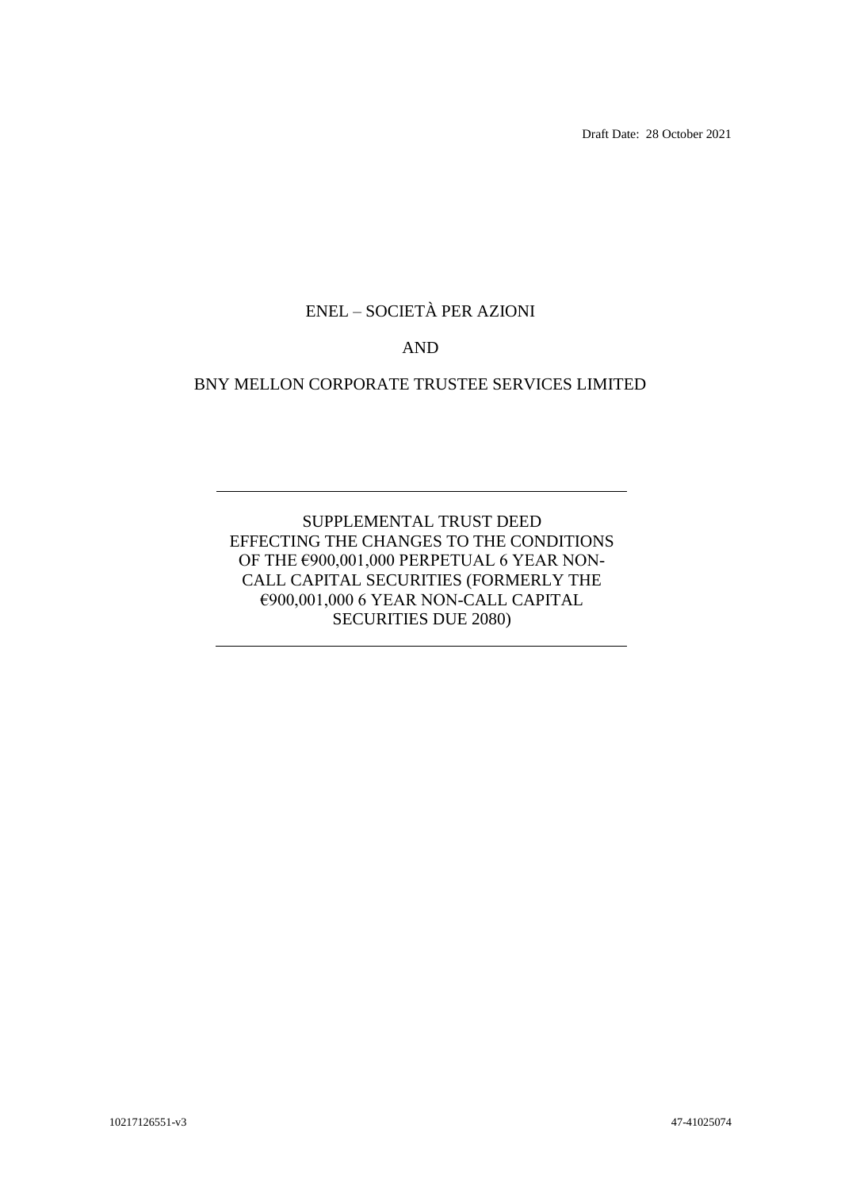Draft Date: 28 October 2021

# ENEL – SOCIETÀ PER AZIONI

# AND

# BNY MELLON CORPORATE TRUSTEE SERVICES LIMITED

# SUPPLEMENTAL TRUST DEED EFFECTING THE CHANGES TO THE CONDITIONS OF THE €900,001,000 PERPETUAL 6 YEAR NON-CALL CAPITAL SECURITIES (FORMERLY THE €900,001,000 6 YEAR NON-CALL CAPITAL SECURITIES DUE 2080)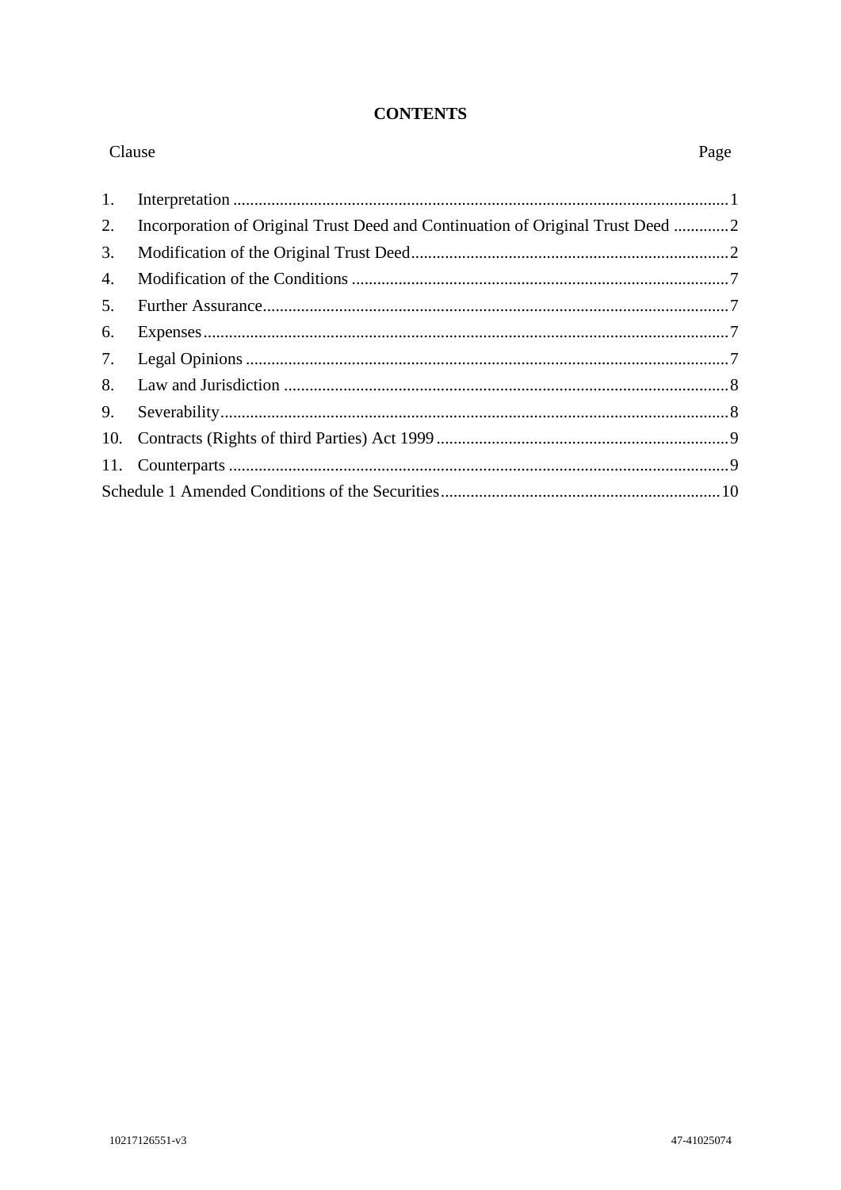#### **CONTENTS**

| Clause |                                                                                | Page |
|--------|--------------------------------------------------------------------------------|------|
| 1.     |                                                                                |      |
| 2.     | Incorporation of Original Trust Deed and Continuation of Original Trust Deed 2 |      |
| 3.     |                                                                                |      |
| 4.     |                                                                                |      |
| 5.     |                                                                                |      |
| 6.     |                                                                                |      |
| 7.     |                                                                                |      |
| 8.     |                                                                                |      |
| 9.     |                                                                                |      |
| 10.    |                                                                                |      |
| 11.    |                                                                                |      |
|        |                                                                                |      |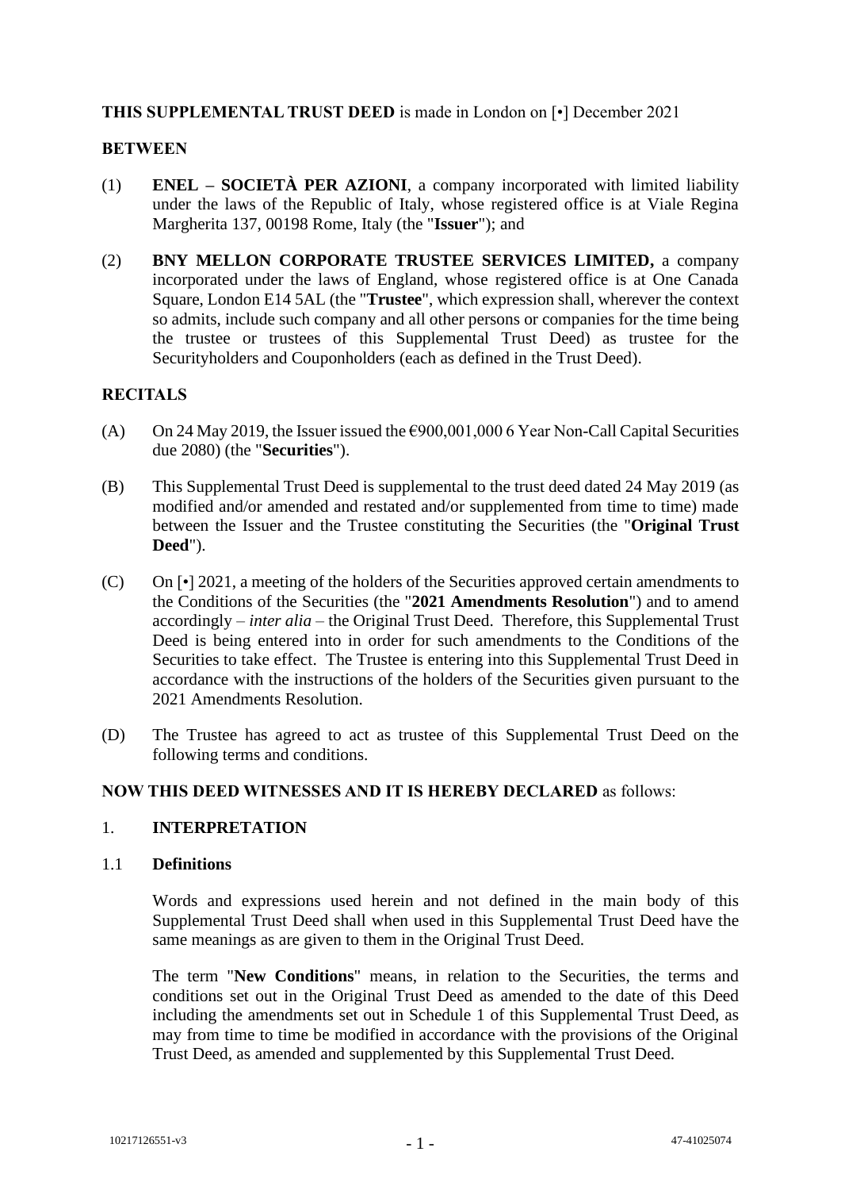# **THIS SUPPLEMENTAL TRUST DEED** is made in London on [•] December 2021

#### **BETWEEN**

- (1) **ENEL – SOCIETÀ PER AZIONI**, a company incorporated with limited liability under the laws of the Republic of Italy, whose registered office is at Viale Regina Margherita 137, 00198 Rome, Italy (the "**Issuer**"); and
- (2) **BNY MELLON CORPORATE TRUSTEE SERVICES LIMITED,** a company incorporated under the laws of England, whose registered office is at One Canada Square, London E14 5AL (the "**Trustee**", which expression shall, wherever the context so admits, include such company and all other persons or companies for the time being the trustee or trustees of this Supplemental Trust Deed) as trustee for the Securityholders and Couponholders (each as defined in the Trust Deed).

# **RECITALS**

- (A) On 24 May 2019, the Issuer issued the  $\epsilon$ 900,001,000 6 Year Non-Call Capital Securities due 2080) (the "**Securities**").
- (B) This Supplemental Trust Deed is supplemental to the trust deed dated 24 May 2019 (as modified and/or amended and restated and/or supplemented from time to time) made between the Issuer and the Trustee constituting the Securities (the "**Original Trust Deed**").
- (C) On [•] 2021, a meeting of the holders of the Securities approved certain amendments to the Conditions of the Securities (the "**2021 Amendments Resolution**") and to amend accordingly – *inter alia* – the Original Trust Deed. Therefore, this Supplemental Trust Deed is being entered into in order for such amendments to the Conditions of the Securities to take effect. The Trustee is entering into this Supplemental Trust Deed in accordance with the instructions of the holders of the Securities given pursuant to the 2021 Amendments Resolution.
- (D) The Trustee has agreed to act as trustee of this Supplemental Trust Deed on the following terms and conditions.

#### **NOW THIS DEED WITNESSES AND IT IS HEREBY DECLARED** as follows:

#### 1. **INTERPRETATION**

#### 1.1 **Definitions**

Words and expressions used herein and not defined in the main body of this Supplemental Trust Deed shall when used in this Supplemental Trust Deed have the same meanings as are given to them in the Original Trust Deed.

The term "**New Conditions**" means, in relation to the Securities, the terms and conditions set out in the Original Trust Deed as amended to the date of this Deed including the amendments set out in [Schedule 1](#page-11-0) of this Supplemental Trust Deed, as may from time to time be modified in accordance with the provisions of the Original Trust Deed, as amended and supplemented by this Supplemental Trust Deed.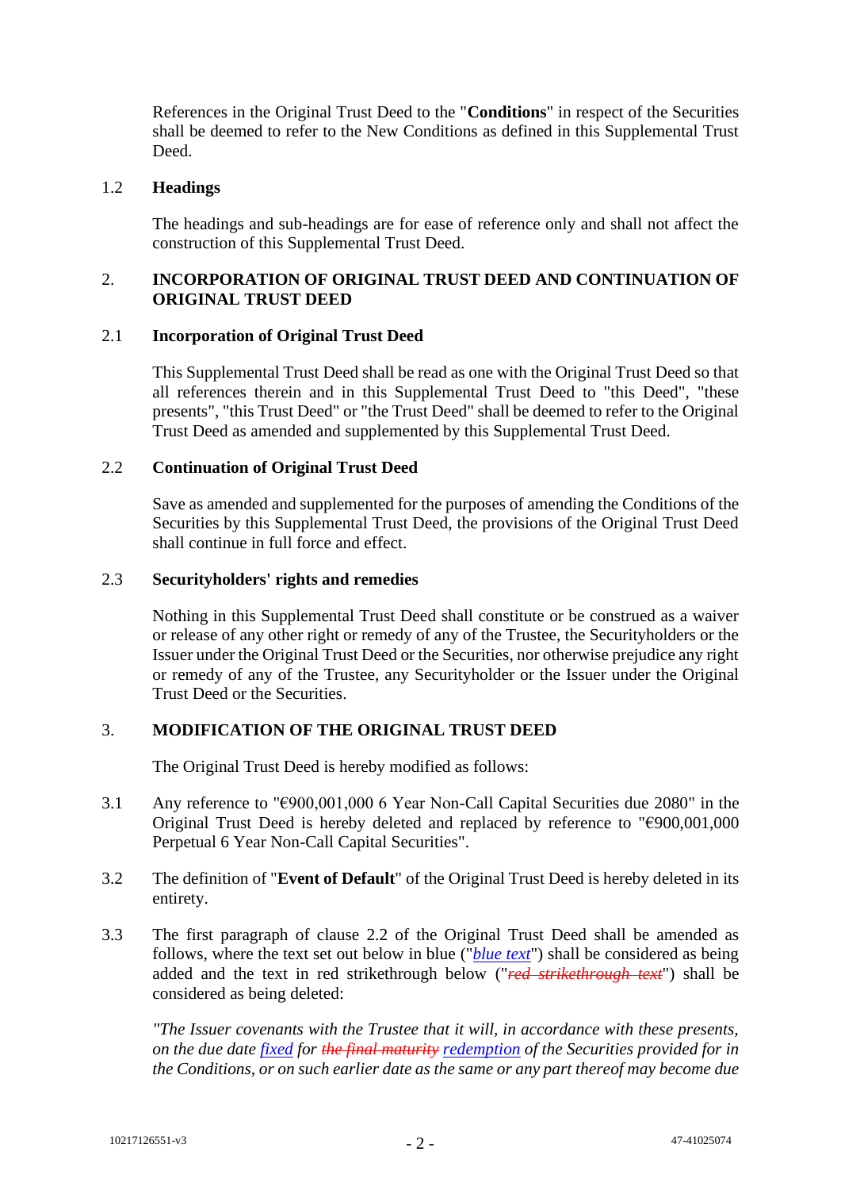References in the Original Trust Deed to the "**Conditions**" in respect of the Securities shall be deemed to refer to the New Conditions as defined in this Supplemental Trust Deed.

#### 1.2 **Headings**

The headings and sub-headings are for ease of reference only and shall not affect the construction of this Supplemental Trust Deed.

# 2. **INCORPORATION OF ORIGINAL TRUST DEED AND CONTINUATION OF ORIGINAL TRUST DEED**

#### 2.1 **Incorporation of Original Trust Deed**

This Supplemental Trust Deed shall be read as one with the Original Trust Deed so that all references therein and in this Supplemental Trust Deed to "this Deed", "these presents", "this Trust Deed" or "the Trust Deed" shall be deemed to refer to the Original Trust Deed as amended and supplemented by this Supplemental Trust Deed.

#### 2.2 **Continuation of Original Trust Deed**

Save as amended and supplemented for the purposes of amending the Conditions of the Securities by this Supplemental Trust Deed, the provisions of the Original Trust Deed shall continue in full force and effect.

#### 2.3 **Securityholders' rights and remedies**

Nothing in this Supplemental Trust Deed shall constitute or be construed as a waiver or release of any other right or remedy of any of the Trustee, the Securityholders or the Issuer under the Original Trust Deed or the Securities, nor otherwise prejudice any right or remedy of any of the Trustee, any Securityholder or the Issuer under the Original Trust Deed or the Securities.

#### 3. **MODIFICATION OF THE ORIGINAL TRUST DEED**

The Original Trust Deed is hereby modified as follows:

3.1 Any reference to "€900,001,000 6 Year Non-Call Capital Securities due 2080" in the Original Trust Deed is hereby deleted and replaced by reference to "€900,001,000 Perpetual 6 Year Non-Call Capital Securities".

# 3.2 The definition of "**Event of Default**" of the Original Trust Deed is hereby deleted in its entirety.

3.3 The first paragraph of clause 2.2 of the Original Trust Deed shall be amended as follows, where the text set out below in blue ("*blue text*") shall be considered as being added and the text in red strikethrough below ("*red strikethrough text*") shall be considered as being deleted:

*"The Issuer covenants with the Trustee that it will, in accordance with these presents, on the due date fixed for the final maturity redemption of the Securities provided for in the Conditions, or on such earlier date as the same or any part thereof may become due*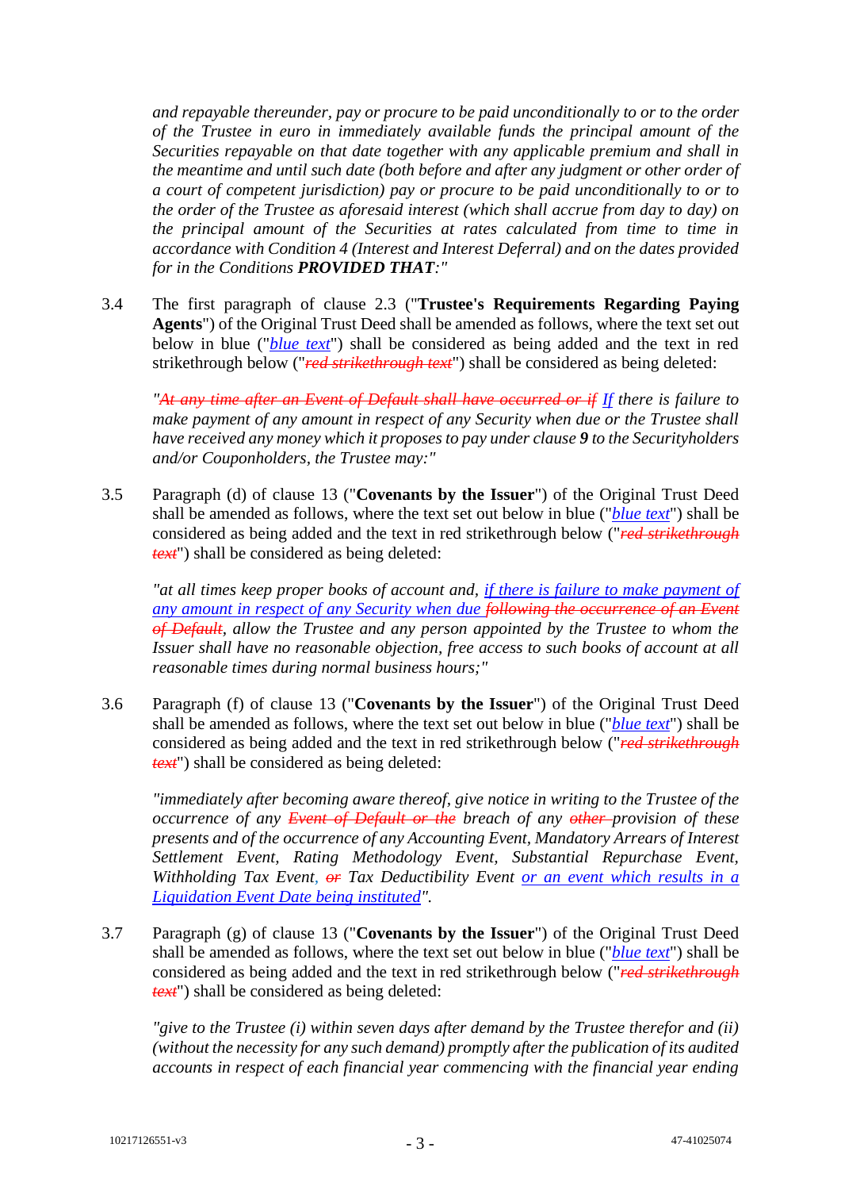*and repayable thereunder, pay or procure to be paid unconditionally to or to the order of the Trustee in euro in immediately available funds the principal amount of the Securities repayable on that date together with any applicable premium and shall in the meantime and until such date (both before and after any judgment or other order of a court of competent jurisdiction) pay or procure to be paid unconditionally to or to the order of the Trustee as aforesaid interest (which shall accrue from day to day) on the principal amount of the Securities at rates calculated from time to time in accordance with Condition 4 (Interest and Interest Deferral) and on the dates provided for in the Conditions PROVIDED THAT:"*

3.4 The first paragraph of clause 2.3 ("**Trustee's Requirements Regarding Paying Agents**") of the Original Trust Deed shall be amended as follows, where the text set out below in blue ("*blue text*") shall be considered as being added and the text in red strikethrough below ("*red strikethrough text*") shall be considered as being deleted:

*"At any time after an Event of Default shall have occurred or if If there is failure to make payment of any amount in respect of any Security when due or the Trustee shall have received any money which it proposes to pay under clause 9 to the Securityholders and/or Couponholders, the Trustee may:"*

3.5 Paragraph (d) of clause 13 ("**Covenants by the Issuer**") of the Original Trust Deed shall be amended as follows, where the text set out below in blue ("*blue text*") shall be considered as being added and the text in red strikethrough below ("*red strikethrough text*") shall be considered as being deleted:

*"at all times keep proper books of account and, if there is failure to make payment of any amount in respect of any Security when due following the occurrence of an Event of Default, allow the Trustee and any person appointed by the Trustee to whom the Issuer shall have no reasonable objection, free access to such books of account at all reasonable times during normal business hours;"*

3.6 Paragraph (f) of clause 13 ("**Covenants by the Issuer**") of the Original Trust Deed shall be amended as follows, where the text set out below in blue ("*blue text*") shall be considered as being added and the text in red strikethrough below ("*red strikethrough text*") shall be considered as being deleted:

*"immediately after becoming aware thereof, give notice in writing to the Trustee of the occurrence of any Event of Default or the breach of any other provision of these presents and of the occurrence of any Accounting Event, Mandatory Arrears of Interest Settlement Event, Rating Methodology Event, Substantial Repurchase Event, Withholding Tax Event, or Tax Deductibility Event or an event which results in a Liquidation Event Date being instituted".*

3.7 Paragraph (g) of clause 13 ("**Covenants by the Issuer**") of the Original Trust Deed shall be amended as follows, where the text set out below in blue ("*blue text*") shall be considered as being added and the text in red strikethrough below ("*red strikethrough text*") shall be considered as being deleted:

*"give to the Trustee (i) within seven days after demand by the Trustee therefor and (ii) (without the necessity for any such demand) promptly after the publication of its audited accounts in respect of each financial year commencing with the financial year ending*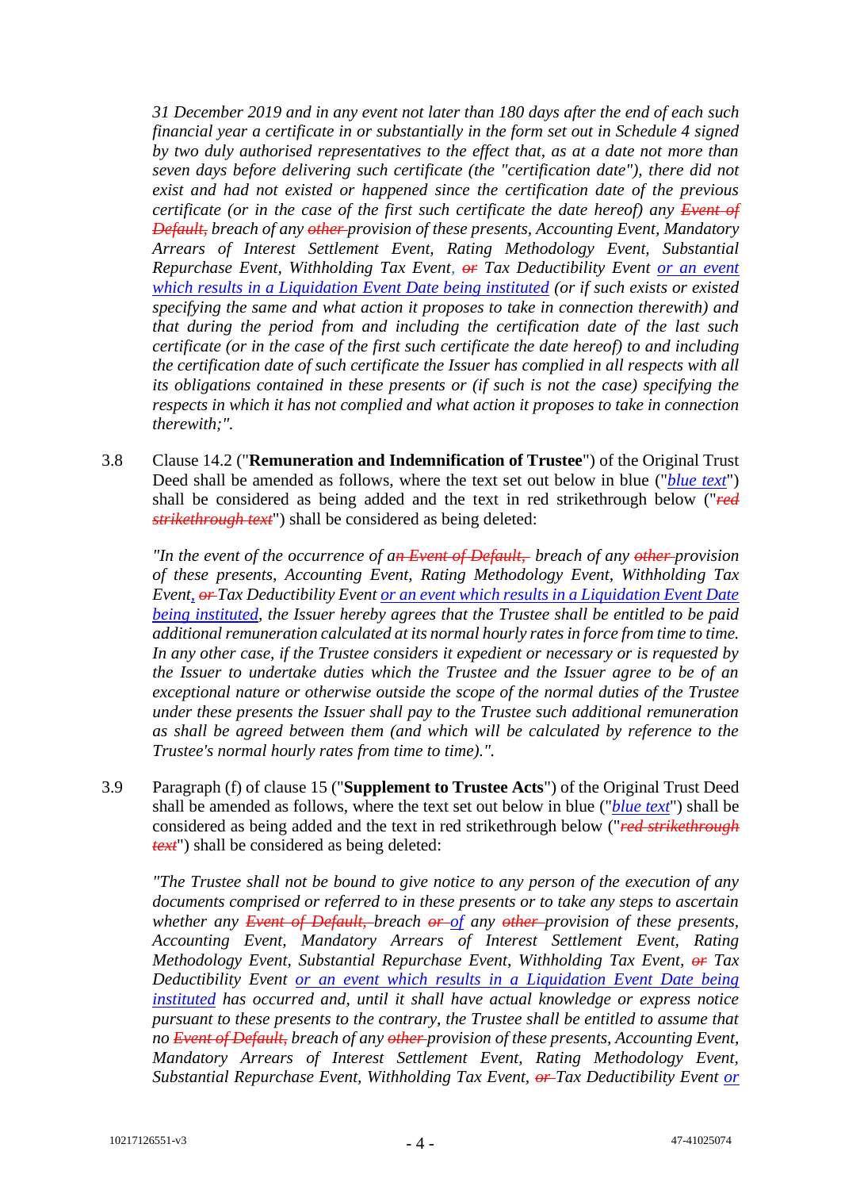*31 December 2019 and in any event not later than 180 days after the end of each such financial year a certificate in or substantially in the form set out in Schedule 4 signed by two duly authorised representatives to the effect that, as at a date not more than seven days before delivering such certificate (the "certification date"), there did not exist and had not existed or happened since the certification date of the previous certificate (or in the case of the first such certificate the date hereof) any Event of Default, breach of any other provision of these presents, Accounting Event, Mandatory Arrears of Interest Settlement Event, Rating Methodology Event, Substantial Repurchase Event, Withholding Tax Event, or Tax Deductibility Event or an event which results in a Liquidation Event Date being instituted (or if such exists or existed specifying the same and what action it proposes to take in connection therewith) and that during the period from and including the certification date of the last such certificate (or in the case of the first such certificate the date hereof) to and including the certification date of such certificate the Issuer has complied in all respects with all its obligations contained in these presents or (if such is not the case) specifying the respects in which it has not complied and what action it proposes to take in connection therewith;".*

3.8 Clause 14.2 ("**Remuneration and Indemnification of Trustee**") of the Original Trust Deed shall be amended as follows, where the text set out below in blue ("*blue text*") shall be considered as being added and the text in red strikethrough below ("*red strikethrough text*") shall be considered as being deleted:

*"In the event of the occurrence of an Event of Default, breach of any other provision of these presents, Accounting Event, Rating Methodology Event, Withholding Tax Event, or Tax Deductibility Event or an event which results in a Liquidation Event Date being instituted, the Issuer hereby agrees that the Trustee shall be entitled to be paid additional remuneration calculated at its normal hourly rates in force from time to time. In any other case, if the Trustee considers it expedient or necessary or is requested by the Issuer to undertake duties which the Trustee and the Issuer agree to be of an exceptional nature or otherwise outside the scope of the normal duties of the Trustee under these presents the Issuer shall pay to the Trustee such additional remuneration as shall be agreed between them (and which will be calculated by reference to the Trustee's normal hourly rates from time to time).".*

3.9 Paragraph (f) of clause 15 ("**Supplement to Trustee Acts**") of the Original Trust Deed shall be amended as follows, where the text set out below in blue ("*blue text*") shall be considered as being added and the text in red strikethrough below ("*red strikethrough text*") shall be considered as being deleted:

*"The Trustee shall not be bound to give notice to any person of the execution of any documents comprised or referred to in these presents or to take any steps to ascertain whether any Event of Default, breach or of any other provision of these presents, Accounting Event, Mandatory Arrears of Interest Settlement Event, Rating Methodology Event, Substantial Repurchase Event, Withholding Tax Event, or Tax Deductibility Event or an event which results in a Liquidation Event Date being instituted has occurred and, until it shall have actual knowledge or express notice pursuant to these presents to the contrary, the Trustee shall be entitled to assume that no Event of Default, breach of any other provision of these presents, Accounting Event, Mandatory Arrears of Interest Settlement Event, Rating Methodology Event, Substantial Repurchase Event, Withholding Tax Event, or Tax Deductibility Event or*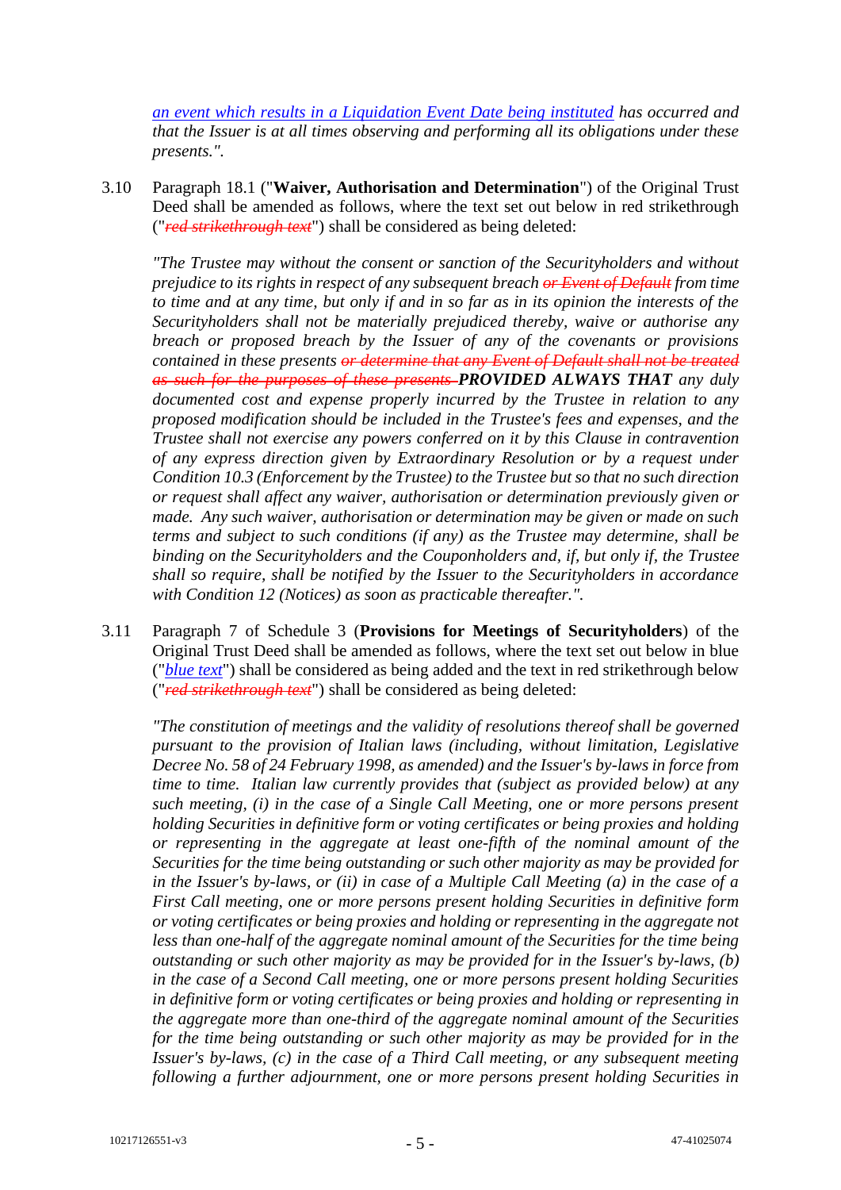*an event which results in a Liquidation Event Date being instituted has occurred and that the Issuer is at all times observing and performing all its obligations under these presents.".*

3.10 Paragraph 18.1 ("**Waiver, Authorisation and Determination**") of the Original Trust Deed shall be amended as follows, where the text set out below in red strikethrough ("*red strikethrough text*") shall be considered as being deleted:

*"The Trustee may without the consent or sanction of the Securityholders and without prejudice to its rights in respect of any subsequent breach or Event of Default from time to time and at any time, but only if and in so far as in its opinion the interests of the Securityholders shall not be materially prejudiced thereby, waive or authorise any breach or proposed breach by the Issuer of any of the covenants or provisions contained in these presents or determine that any Event of Default shall not be treated as such for the purposes of these presents PROVIDED ALWAYS THAT any duly documented cost and expense properly incurred by the Trustee in relation to any proposed modification should be included in the Trustee's fees and expenses, and the Trustee shall not exercise any powers conferred on it by this Clause in contravention of any express direction given by Extraordinary Resolution or by a request under Condition 10.3 (Enforcement by the Trustee) to the Trustee but so that no such direction or request shall affect any waiver, authorisation or determination previously given or made. Any such waiver, authorisation or determination may be given or made on such terms and subject to such conditions (if any) as the Trustee may determine, shall be binding on the Securityholders and the Couponholders and, if, but only if, the Trustee shall so require, shall be notified by the Issuer to the Securityholders in accordance with Condition 12 (Notices) as soon as practicable thereafter.".*

3.11 Paragraph 7 of Schedule 3 (**Provisions for Meetings of Securityholders**) of the Original Trust Deed shall be amended as follows, where the text set out below in blue ("*blue text*") shall be considered as being added and the text in red strikethrough below ("*red strikethrough text*") shall be considered as being deleted:

*"The constitution of meetings and the validity of resolutions thereof shall be governed pursuant to the provision of Italian laws (including, without limitation, Legislative Decree No. 58 of 24 February 1998, as amended) and the Issuer's by-laws in force from time to time. Italian law currently provides that (subject as provided below) at any such meeting, (i) in the case of a Single Call Meeting, one or more persons present holding Securities in definitive form or voting certificates or being proxies and holding or representing in the aggregate at least one-fifth of the nominal amount of the Securities for the time being outstanding or such other majority as may be provided for in the Issuer's by-laws, or (ii) in case of a Multiple Call Meeting (a) in the case of a First Call meeting, one or more persons present holding Securities in definitive form or voting certificates or being proxies and holding or representing in the aggregate not less than one-half of the aggregate nominal amount of the Securities for the time being outstanding or such other majority as may be provided for in the Issuer's by-laws, (b) in the case of a Second Call meeting, one or more persons present holding Securities in definitive form or voting certificates or being proxies and holding or representing in the aggregate more than one-third of the aggregate nominal amount of the Securities for the time being outstanding or such other majority as may be provided for in the Issuer's by-laws, (c) in the case of a Third Call meeting, or any subsequent meeting following a further adjournment, one or more persons present holding Securities in*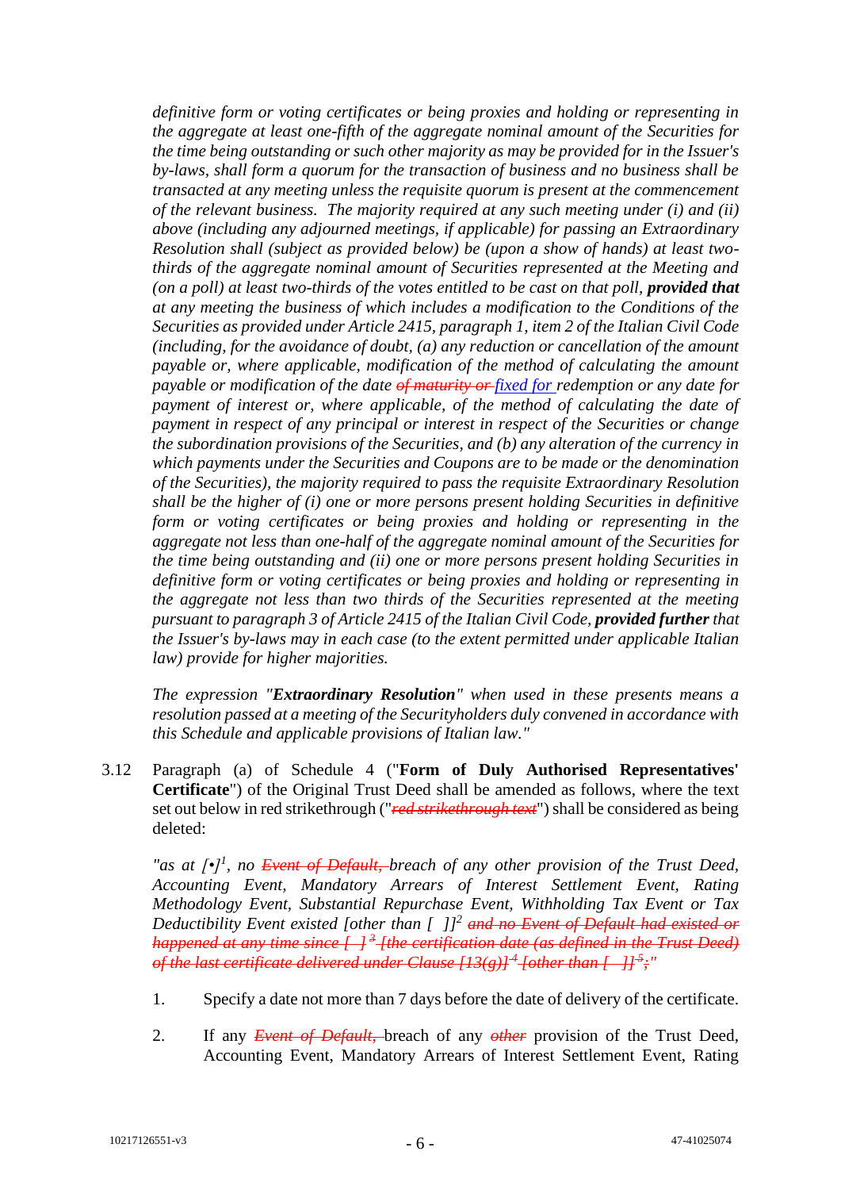*definitive form or voting certificates or being proxies and holding or representing in the aggregate at least one-fifth of the aggregate nominal amount of the Securities for the time being outstanding or such other majority as may be provided for in the Issuer's by-laws, shall form a quorum for the transaction of business and no business shall be transacted at any meeting unless the requisite quorum is present at the commencement of the relevant business. The majority required at any such meeting under (i) and (ii) above (including any adjourned meetings, if applicable) for passing an Extraordinary Resolution shall (subject as provided below) be (upon a show of hands) at least twothirds of the aggregate nominal amount of Securities represented at the Meeting and (on a poll) at least two-thirds of the votes entitled to be cast on that poll, provided that at any meeting the business of which includes a modification to the Conditions of the Securities as provided under Article 2415, paragraph 1, item 2 of the Italian Civil Code (including, for the avoidance of doubt, (a) any reduction or cancellation of the amount payable or, where applicable, modification of the method of calculating the amount payable or modification of the date of maturity or fixed for redemption or any date for*  payment of interest or, where applicable, of the method of calculating the date of *payment in respect of any principal or interest in respect of the Securities or change the subordination provisions of the Securities, and (b) any alteration of the currency in which payments under the Securities and Coupons are to be made or the denomination of the Securities), the majority required to pass the requisite Extraordinary Resolution shall be the higher of (i) one or more persons present holding Securities in definitive form or voting certificates or being proxies and holding or representing in the aggregate not less than one-half of the aggregate nominal amount of the Securities for the time being outstanding and (ii) one or more persons present holding Securities in definitive form or voting certificates or being proxies and holding or representing in the aggregate not less than two thirds of the Securities represented at the meeting pursuant to paragraph 3 of Article 2415 of the Italian Civil Code, provided further that the Issuer's by-laws may in each case (to the extent permitted under applicable Italian law) provide for higher majorities.*

*The expression "Extraordinary Resolution" when used in these presents means a resolution passed at a meeting of the Securityholders duly convened in accordance with this Schedule and applicable provisions of Italian law."*

3.12 Paragraph (a) of Schedule 4 ("**Form of Duly Authorised Representatives' Certificate**") of the Original Trust Deed shall be amended as follows, where the text set out below in red strikethrough ("*red strikethrough text*") shall be considered as being deleted:

*"as at [•]<sup>1</sup>, no <del>Event of Default, b</del>reach of any other provision of the Trust Deed, Accounting Event, Mandatory Arrears of Interest Settlement Event, Rating Methodology Event, Substantial Repurchase Event, Withholding Tax Event or Tax Deductibility Event existed [other than [ ]]<sup>2</sup> and no Event of Default had existed or happened at any time since [ ] <sup>3</sup> [the certification date (as defined in the Trust Deed) of the last certificate delivered under Clause [13(g)] <sup>4</sup> [other than [ ]] <sup>5</sup> ;"*

- 1. Specify a date not more than 7 days before the date of delivery of the certificate.
- 2. If any *Event of Default,* breach of any *other* provision of the Trust Deed, Accounting Event, Mandatory Arrears of Interest Settlement Event, Rating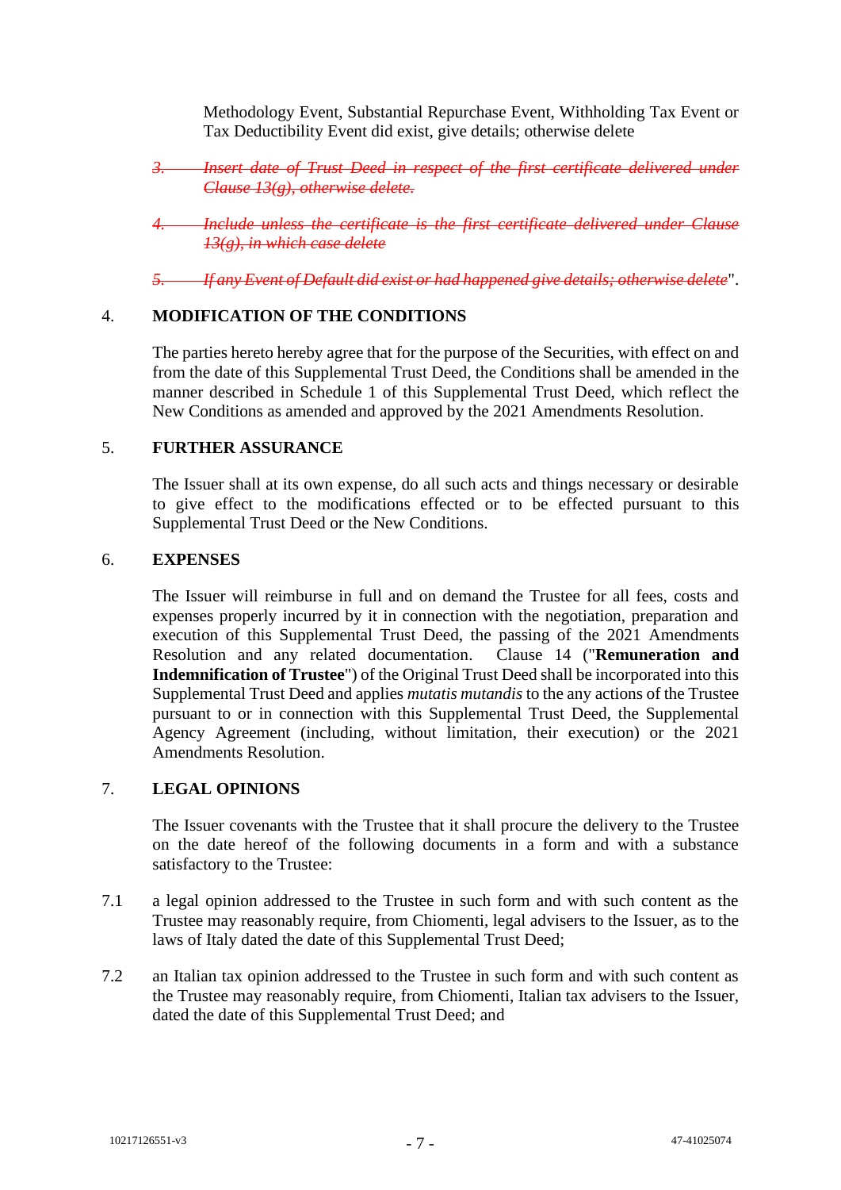Methodology Event, Substantial Repurchase Event, Withholding Tax Event or Tax Deductibility Event did exist, give details; otherwise delete

*3. Insert date of Trust Deed in respect of the first certificate delivered under Clause 13(g), otherwise delete.*

*4. Include unless the certificate is the first certificate delivered under Clause 13(g), in which case delete*

*5. If any Event of Default did exist or had happened give details; otherwise delete*".

# 4. **MODIFICATION OF THE CONDITIONS**

The parties hereto hereby agree that for the purpose of the Securities, with effect on and from the date of this Supplemental Trust Deed, the Conditions shall be amended in the manner described in [Schedule 1](#page-11-0) of this Supplemental Trust Deed, which reflect the New Conditions as amended and approved by the 2021 Amendments Resolution.

#### 5. **FURTHER ASSURANCE**

The Issuer shall at its own expense, do all such acts and things necessary or desirable to give effect to the modifications effected or to be effected pursuant to this Supplemental Trust Deed or the New Conditions.

#### 6. **EXPENSES**

The Issuer will reimburse in full and on demand the Trustee for all fees, costs and expenses properly incurred by it in connection with the negotiation, preparation and execution of this Supplemental Trust Deed, the passing of the 2021 Amendments Resolution and any related documentation. Clause 14 ("**Remuneration and Indemnification of Trustee**") of the Original Trust Deed shall be incorporated into this Supplemental Trust Deed and applies *mutatis mutandis* to the any actions of the Trustee pursuant to or in connection with this Supplemental Trust Deed, the Supplemental Agency Agreement (including, without limitation, their execution) or the 2021 Amendments Resolution.

#### 7. **LEGAL OPINIONS**

The Issuer covenants with the Trustee that it shall procure the delivery to the Trustee on the date hereof of the following documents in a form and with a substance satisfactory to the Trustee:

- 7.1 a legal opinion addressed to the Trustee in such form and with such content as the Trustee may reasonably require, from Chiomenti, legal advisers to the Issuer, as to the laws of Italy dated the date of this Supplemental Trust Deed;
- 7.2 an Italian tax opinion addressed to the Trustee in such form and with such content as the Trustee may reasonably require, from Chiomenti, Italian tax advisers to the Issuer, dated the date of this Supplemental Trust Deed; and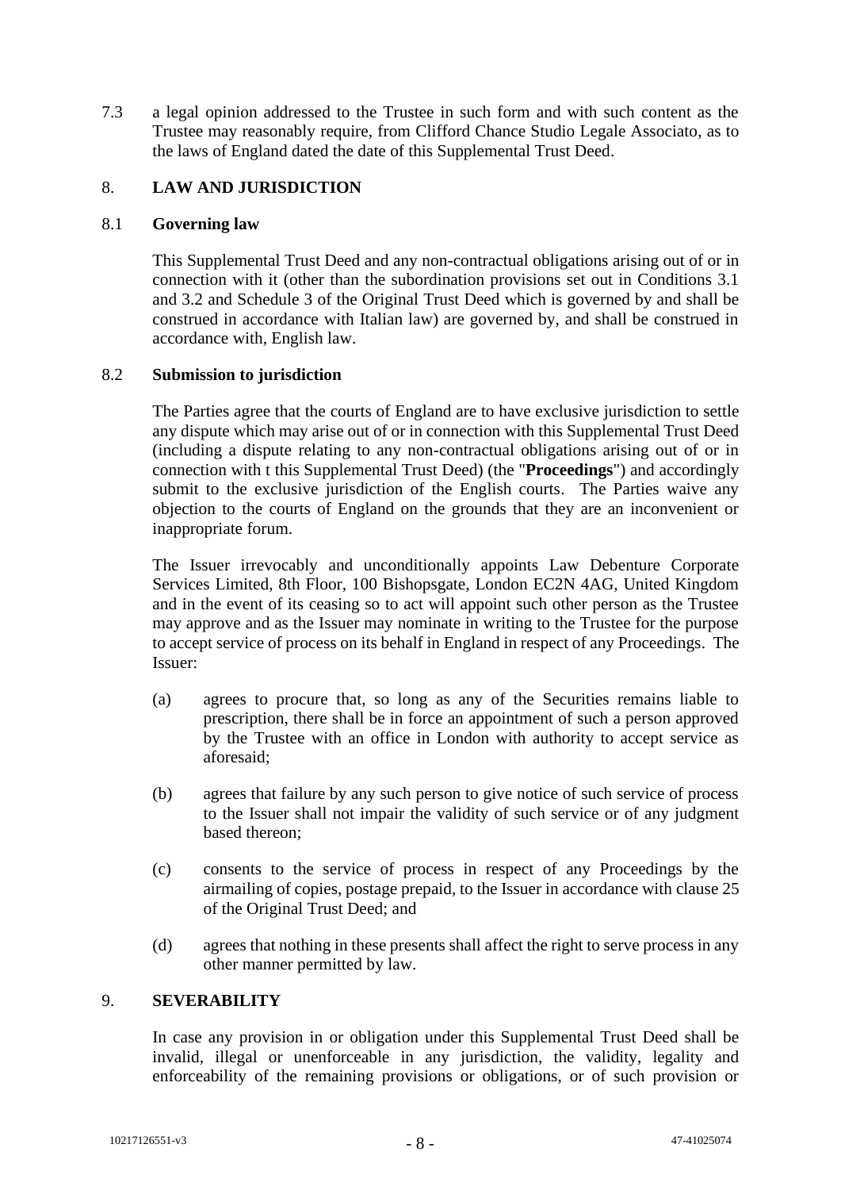7.3 a legal opinion addressed to the Trustee in such form and with such content as the Trustee may reasonably require, from Clifford Chance Studio Legale Associato, as to the laws of England dated the date of this Supplemental Trust Deed.

# 8. **LAW AND JURISDICTION**

#### 8.1 **Governing law**

This Supplemental Trust Deed and any non-contractual obligations arising out of or in connection with it (other than the subordination provisions set out in Conditions 3.1 and 3.2 and Schedule 3 of the Original Trust Deed which is governed by and shall be construed in accordance with Italian law) are governed by, and shall be construed in accordance with, English law.

#### 8.2 **Submission to jurisdiction**

The Parties agree that the courts of England are to have exclusive jurisdiction to settle any dispute which may arise out of or in connection with this Supplemental Trust Deed (including a dispute relating to any non-contractual obligations arising out of or in connection with t this Supplemental Trust Deed) (the "**Proceedings**") and accordingly submit to the exclusive jurisdiction of the English courts. The Parties waive any objection to the courts of England on the grounds that they are an inconvenient or inappropriate forum.

The Issuer irrevocably and unconditionally appoints Law Debenture Corporate Services Limited, 8th Floor, 100 Bishopsgate, London EC2N 4AG, United Kingdom and in the event of its ceasing so to act will appoint such other person as the Trustee may approve and as the Issuer may nominate in writing to the Trustee for the purpose to accept service of process on its behalf in England in respect of any Proceedings. The Issuer:

- (a) agrees to procure that, so long as any of the Securities remains liable to prescription, there shall be in force an appointment of such a person approved by the Trustee with an office in London with authority to accept service as aforesaid;
- (b) agrees that failure by any such person to give notice of such service of process to the Issuer shall not impair the validity of such service or of any judgment based thereon;
- (c) consents to the service of process in respect of any Proceedings by the airmailing of copies, postage prepaid, to the Issuer in accordance with clause 25 of the Original Trust Deed; and
- (d) agrees that nothing in these presents shall affect the right to serve process in any other manner permitted by law.

#### 9. **SEVERABILITY**

In case any provision in or obligation under this Supplemental Trust Deed shall be invalid, illegal or unenforceable in any jurisdiction, the validity, legality and enforceability of the remaining provisions or obligations, or of such provision or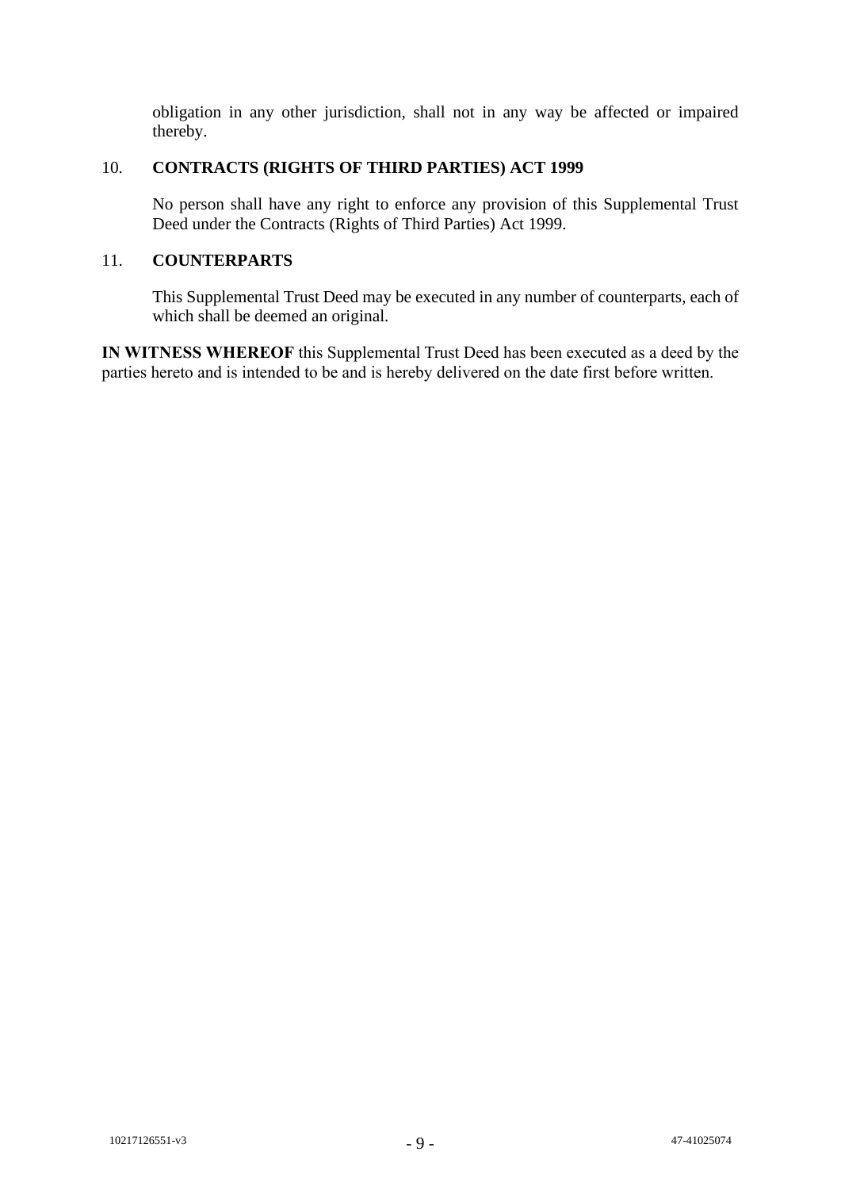obligation in any other jurisdiction, shall not in any way be affected or impaired thereby.

# 10. **CONTRACTS (RIGHTS OF THIRD PARTIES) ACT 1999**

No person shall have any right to enforce any provision of this Supplemental Trust Deed under the Contracts (Rights of Third Parties) Act 1999.

# 11. **COUNTERPARTS**

This Supplemental Trust Deed may be executed in any number of counterparts, each of which shall be deemed an original.

**IN WITNESS WHEREOF** this Supplemental Trust Deed has been executed as a deed by the parties hereto and is intended to be and is hereby delivered on the date first before written.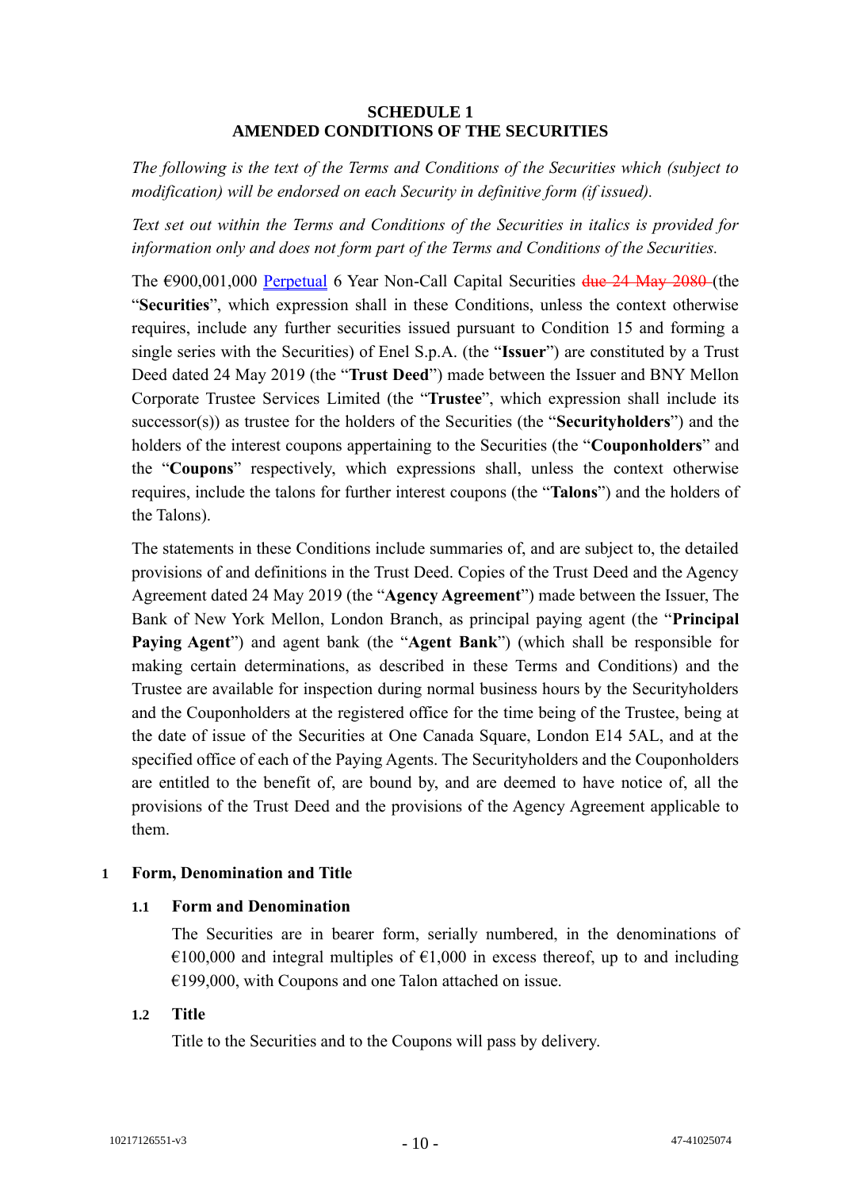# **SCHEDULE 1 AMENDED CONDITIONS OF THE SECURITIES**

<span id="page-11-0"></span>*The following is the text of the Terms and Conditions of the Securities which (subject to modification) will be endorsed on each Security in definitive form (if issued).* 

*Text set out within the Terms and Conditions of the Securities in italics is provided for information only and does not form part of the Terms and Conditions of the Securities.*

The  $\epsilon$ 900,001,000 Perpetual 6 Year Non-Call Capital Securities  $\frac{\text{due 24 Mav }2080}{\text{MeV}}$  (the "**Securities**", which expression shall in these Conditions, unless the context otherwise requires, include any further securities issued pursuant to Condition 15 and forming a single series with the Securities) of Enel S.p.A. (the "**Issuer**") are constituted by a Trust Deed dated 24 May 2019 (the "**Trust Deed**") made between the Issuer and BNY Mellon Corporate Trustee Services Limited (the "**Trustee**", which expression shall include its successor(s)) as trustee for the holders of the Securities (the "**Securityholders**") and the holders of the interest coupons appertaining to the Securities (the "**Couponholders**" and the "**Coupons**" respectively, which expressions shall, unless the context otherwise requires, include the talons for further interest coupons (the "**Talons**") and the holders of the Talons).

The statements in these Conditions include summaries of, and are subject to, the detailed provisions of and definitions in the Trust Deed. Copies of the Trust Deed and the Agency Agreement dated 24 May 2019 (the "**Agency Agreement**") made between the Issuer, The Bank of New York Mellon, London Branch, as principal paying agent (the "**Principal Paying Agent**") and agent bank (the "**Agent Bank**") (which shall be responsible for making certain determinations, as described in these Terms and Conditions) and the Trustee are available for inspection during normal business hours by the Securityholders and the Couponholders at the registered office for the time being of the Trustee, being at the date of issue of the Securities at One Canada Square, London E14 5AL, and at the specified office of each of the Paying Agents. The Securityholders and the Couponholders are entitled to the benefit of, are bound by, and are deemed to have notice of, all the provisions of the Trust Deed and the provisions of the Agency Agreement applicable to them.

# **1 Form, Denomination and Title**

# **1.1 Form and Denomination**

The Securities are in bearer form, serially numbered, in the denominations of €100,000 and integral multiples of €1,000 in excess thereof, up to and including €199,000, with Coupons and one Talon attached on issue.

# **1.2 Title**

Title to the Securities and to the Coupons will pass by delivery.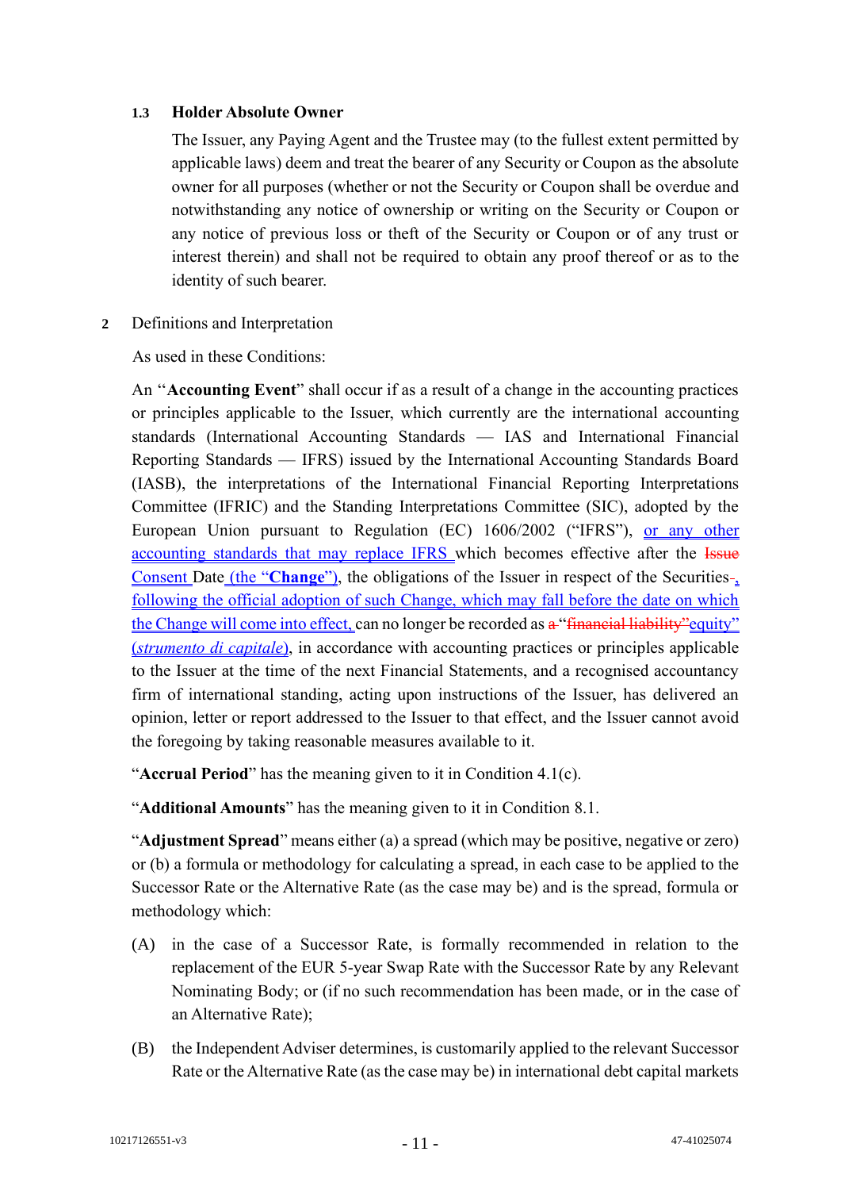# **1.3 Holder Absolute Owner**

The Issuer, any Paying Agent and the Trustee may (to the fullest extent permitted by applicable laws) deem and treat the bearer of any Security or Coupon as the absolute owner for all purposes (whether or not the Security or Coupon shall be overdue and notwithstanding any notice of ownership or writing on the Security or Coupon or any notice of previous loss or theft of the Security or Coupon or of any trust or interest therein) and shall not be required to obtain any proof thereof or as to the identity of such bearer.

**2** Definitions and Interpretation

As used in these Conditions:

An ''**Accounting Event**" shall occur if as a result of a change in the accounting practices or principles applicable to the Issuer, which currently are the international accounting standards (International Accounting Standards — IAS and International Financial Reporting Standards — IFRS) issued by the International Accounting Standards Board (IASB), the interpretations of the International Financial Reporting Interpretations Committee (IFRIC) and the Standing Interpretations Committee (SIC), adopted by the European Union pursuant to Regulation (EC) 1606/2002 ("IFRS"), or any other accounting standards that may replace IFRS which becomes effective after the Issue Consent Date (the "Change"), the obligations of the Issuer in respect of the Securities-, following the official adoption of such Change, which may fall before the date on which the Change will come into effect, can no longer be recorded as a "financial liability" equity" (*strumento di capitale*), in accordance with accounting practices or principles applicable to the Issuer at the time of the next Financial Statements, and a recognised accountancy firm of international standing, acting upon instructions of the Issuer, has delivered an opinion, letter or report addressed to the Issuer to that effect, and the Issuer cannot avoid the foregoing by taking reasonable measures available to it.

"**Accrual Period**" has the meaning given to it in Condition 4.1(c).

"**Additional Amounts**" has the meaning given to it in Condition 8.1.

"**Adjustment Spread**" means either (a) a spread (which may be positive, negative or zero) or (b) a formula or methodology for calculating a spread, in each case to be applied to the Successor Rate or the Alternative Rate (as the case may be) and is the spread, formula or methodology which:

- (A) in the case of a Successor Rate, is formally recommended in relation to the replacement of the EUR 5-year Swap Rate with the Successor Rate by any Relevant Nominating Body; or (if no such recommendation has been made, or in the case of an Alternative Rate);
- (B) the Independent Adviser determines, is customarily applied to the relevant Successor Rate or the Alternative Rate (as the case may be) in international debt capital markets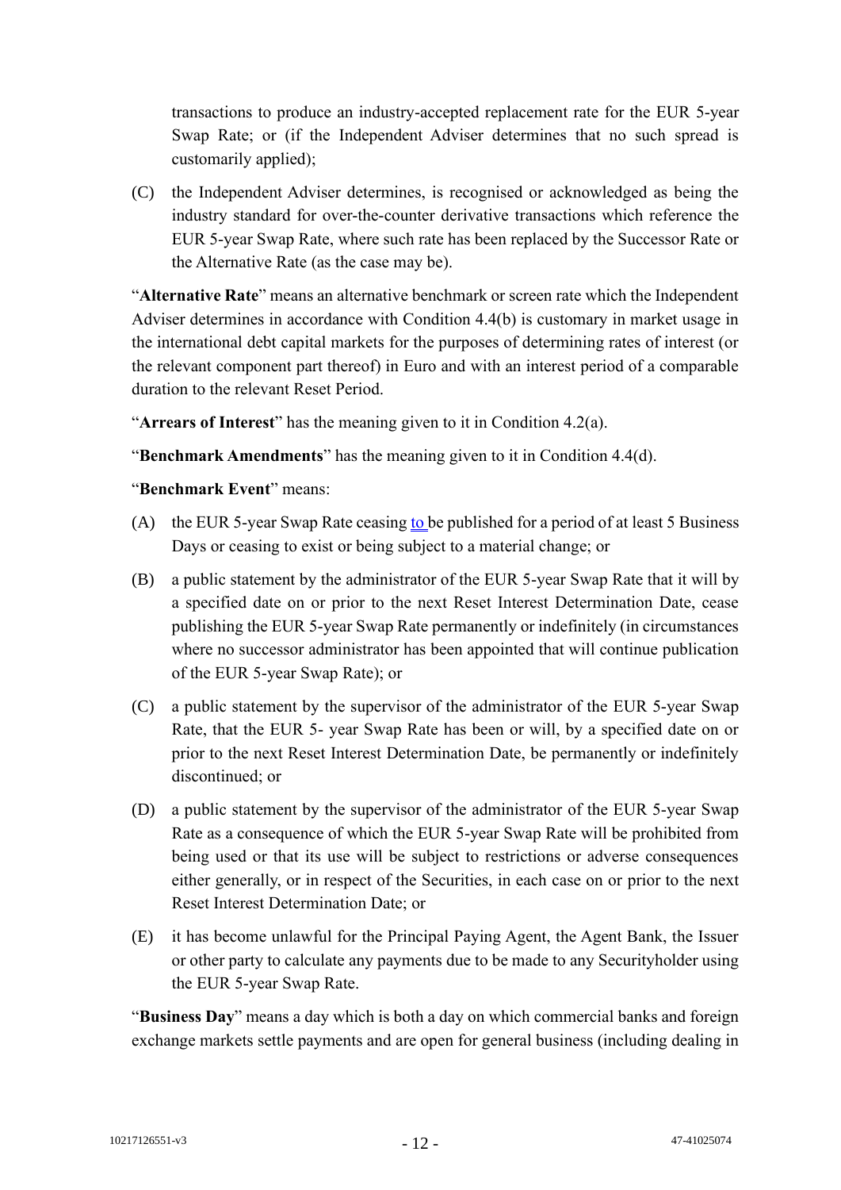transactions to produce an industry-accepted replacement rate for the EUR 5-year Swap Rate; or (if the Independent Adviser determines that no such spread is customarily applied);

(C) the Independent Adviser determines, is recognised or acknowledged as being the industry standard for over-the-counter derivative transactions which reference the EUR 5-year Swap Rate, where such rate has been replaced by the Successor Rate or the Alternative Rate (as the case may be).

"**Alternative Rate**" means an alternative benchmark or screen rate which the Independent Adviser determines in accordance with Condition 4.4(b) is customary in market usage in the international debt capital markets for the purposes of determining rates of interest (or the relevant component part thereof) in Euro and with an interest period of a comparable duration to the relevant Reset Period.

"**Arrears of Interest**" has the meaning given to it in Condition 4.2(a).

"**Benchmark Amendments**" has the meaning given to it in Condition 4.4(d).

# "**Benchmark Event**" means:

- (A) the EUR 5-year Swap Rate ceasing to be published for a period of at least 5 Business Days or ceasing to exist or being subject to a material change; or
- (B) a public statement by the administrator of the EUR 5-year Swap Rate that it will by a specified date on or prior to the next Reset Interest Determination Date, cease publishing the EUR 5-year Swap Rate permanently or indefinitely (in circumstances where no successor administrator has been appointed that will continue publication of the EUR 5-year Swap Rate); or
- (C) a public statement by the supervisor of the administrator of the EUR 5-year Swap Rate, that the EUR 5- year Swap Rate has been or will, by a specified date on or prior to the next Reset Interest Determination Date, be permanently or indefinitely discontinued; or
- (D) a public statement by the supervisor of the administrator of the EUR 5-year Swap Rate as a consequence of which the EUR 5-year Swap Rate will be prohibited from being used or that its use will be subject to restrictions or adverse consequences either generally, or in respect of the Securities, in each case on or prior to the next Reset Interest Determination Date; or
- (E) it has become unlawful for the Principal Paying Agent, the Agent Bank, the Issuer or other party to calculate any payments due to be made to any Securityholder using the EUR 5-year Swap Rate.

"**Business Day**" means a day which is both a day on which commercial banks and foreign exchange markets settle payments and are open for general business (including dealing in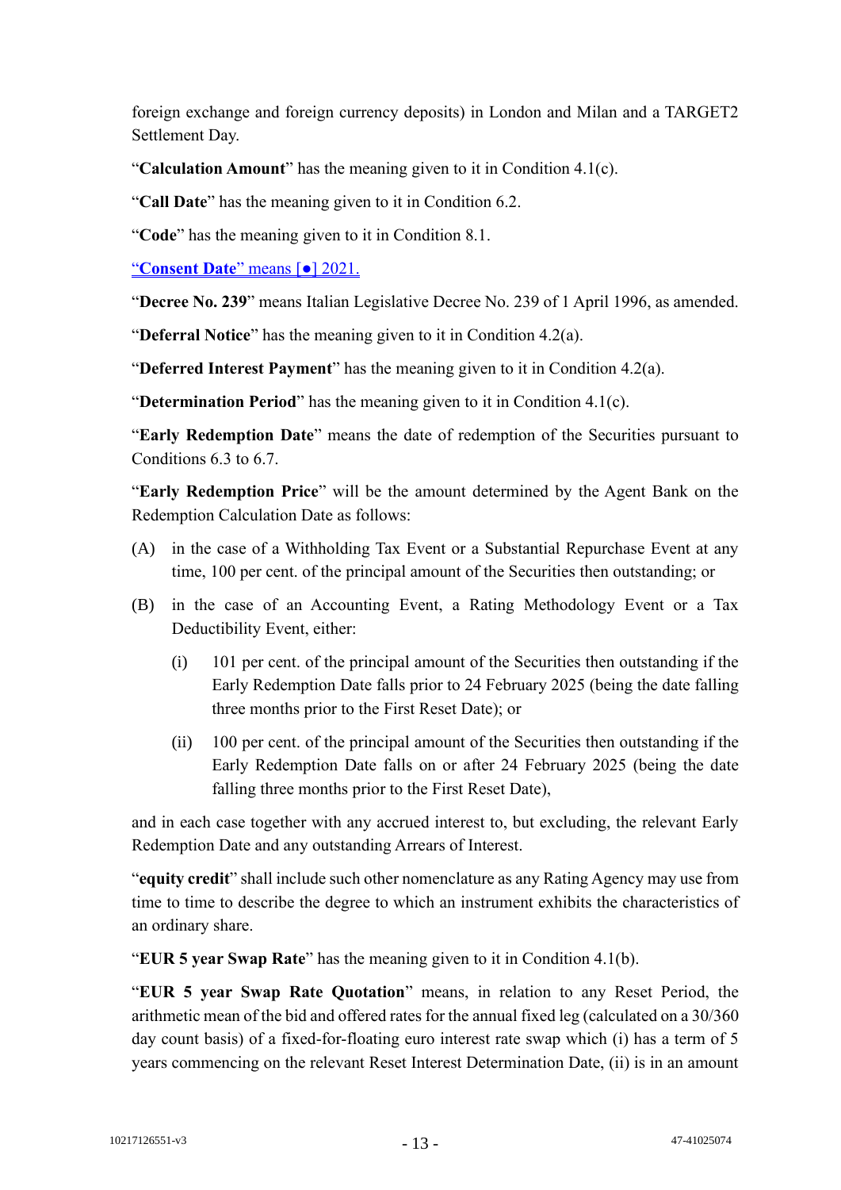foreign exchange and foreign currency deposits) in London and Milan and a TARGET2 Settlement Day.

"**Calculation Amount**" has the meaning given to it in Condition 4.1(c).

"**Call Date**" has the meaning given to it in Condition 6.2.

"**Code**" has the meaning given to it in Condition 8.1.

"**Consent Date**" means [●] 2021.

"**Decree No. 239**" means Italian Legislative Decree No. 239 of 1 April 1996, as amended.

"**Deferral Notice**" has the meaning given to it in Condition 4.2(a).

"**Deferred Interest Payment**" has the meaning given to it in Condition 4.2(a).

"**Determination Period**" has the meaning given to it in Condition 4.1(c).

"**Early Redemption Date**" means the date of redemption of the Securities pursuant to Conditions 6.3 to 6.7.

"**Early Redemption Price**" will be the amount determined by the Agent Bank on the Redemption Calculation Date as follows:

- (A) in the case of a Withholding Tax Event or a Substantial Repurchase Event at any time, 100 per cent. of the principal amount of the Securities then outstanding; or
- (B) in the case of an Accounting Event, a Rating Methodology Event or a Tax Deductibility Event, either:
	- (i) 101 per cent. of the principal amount of the Securities then outstanding if the Early Redemption Date falls prior to 24 February 2025 (being the date falling three months prior to the First Reset Date); or
	- (ii) 100 per cent. of the principal amount of the Securities then outstanding if the Early Redemption Date falls on or after 24 February 2025 (being the date falling three months prior to the First Reset Date),

and in each case together with any accrued interest to, but excluding, the relevant Early Redemption Date and any outstanding Arrears of Interest.

"**equity credit**" shall include such other nomenclature as any Rating Agency may use from time to time to describe the degree to which an instrument exhibits the characteristics of an ordinary share.

"**EUR 5 year Swap Rate**" has the meaning given to it in Condition 4.1(b).

"**EUR 5 year Swap Rate Quotation**" means, in relation to any Reset Period, the arithmetic mean of the bid and offered rates for the annual fixed leg (calculated on a 30/360 day count basis) of a fixed-for-floating euro interest rate swap which (i) has a term of 5 years commencing on the relevant Reset Interest Determination Date, (ii) is in an amount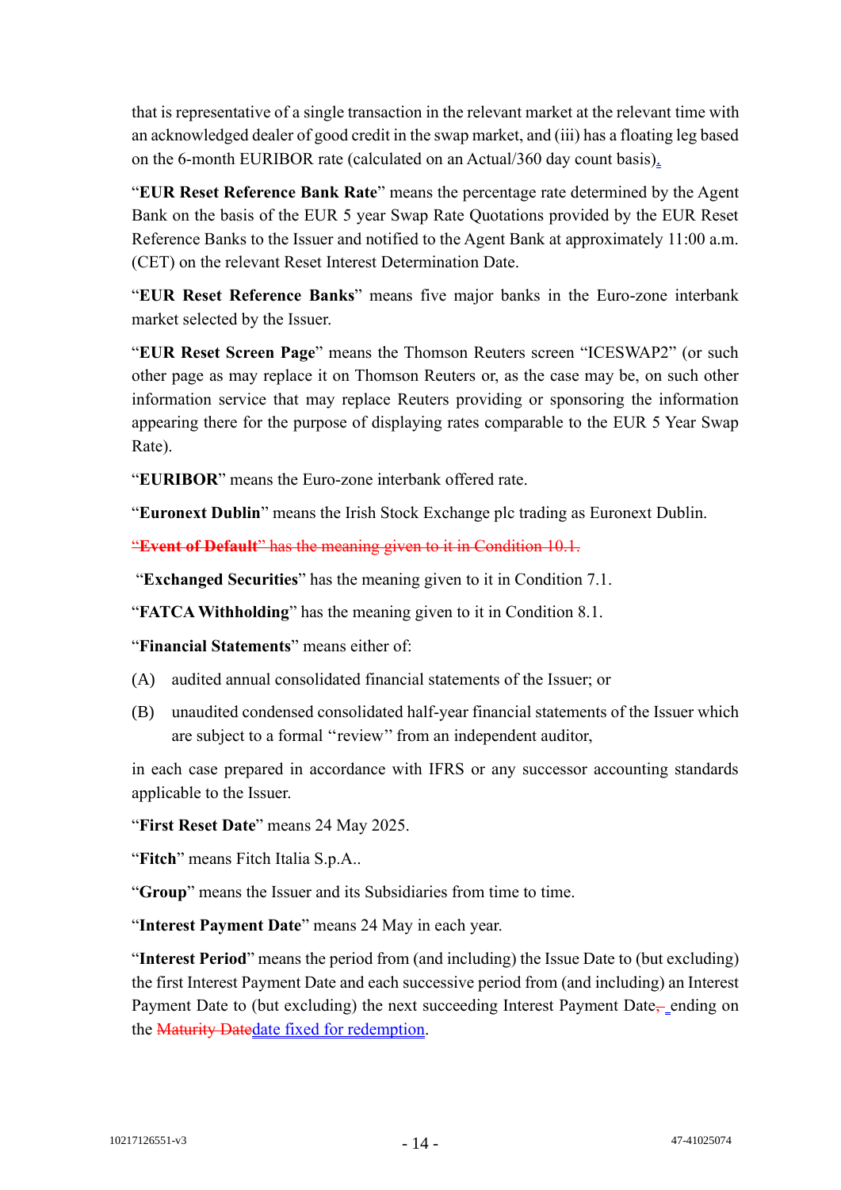that is representative of a single transaction in the relevant market at the relevant time with an acknowledged dealer of good credit in the swap market, and (iii) has a floating leg based on the 6-month EURIBOR rate (calculated on an Actual/360 day count basis).

"**EUR Reset Reference Bank Rate**" means the percentage rate determined by the Agent Bank on the basis of the EUR 5 year Swap Rate Quotations provided by the EUR Reset Reference Banks to the Issuer and notified to the Agent Bank at approximately 11:00 a.m. (CET) on the relevant Reset Interest Determination Date.

"**EUR Reset Reference Banks**" means five major banks in the Euro-zone interbank market selected by the Issuer.

"**EUR Reset Screen Page**" means the Thomson Reuters screen "ICESWAP2" (or such other page as may replace it on Thomson Reuters or, as the case may be, on such other information service that may replace Reuters providing or sponsoring the information appearing there for the purpose of displaying rates comparable to the EUR 5 Year Swap Rate).

"**EURIBOR**" means the Euro-zone interbank offered rate.

"**Euronext Dublin**" means the Irish Stock Exchange plc trading as Euronext Dublin.

"**Event of Default**" has the meaning given to it in Condition 10.1.

"**Exchanged Securities**" has the meaning given to it in Condition 7.1.

"**FATCA Withholding**" has the meaning given to it in Condition 8.1.

"**Financial Statements**" means either of:

- (A) audited annual consolidated financial statements of the Issuer; or
- (B) unaudited condensed consolidated half-year financial statements of the Issuer which are subject to a formal ''review'' from an independent auditor,

in each case prepared in accordance with IFRS or any successor accounting standards applicable to the Issuer.

"**First Reset Date**" means 24 May 2025.

"**Fitch**" means Fitch Italia S.p.A..

"**Group**" means the Issuer and its Subsidiaries from time to time.

"**Interest Payment Date**" means 24 May in each year.

"**Interest Period**" means the period from (and including) the Issue Date to (but excluding) the first Interest Payment Date and each successive period from (and including) an Interest Payment Date to (but excluding) the next succeeding Interest Payment Date<sub>r</sub> ending on the Maturity Datedate fixed for redemption.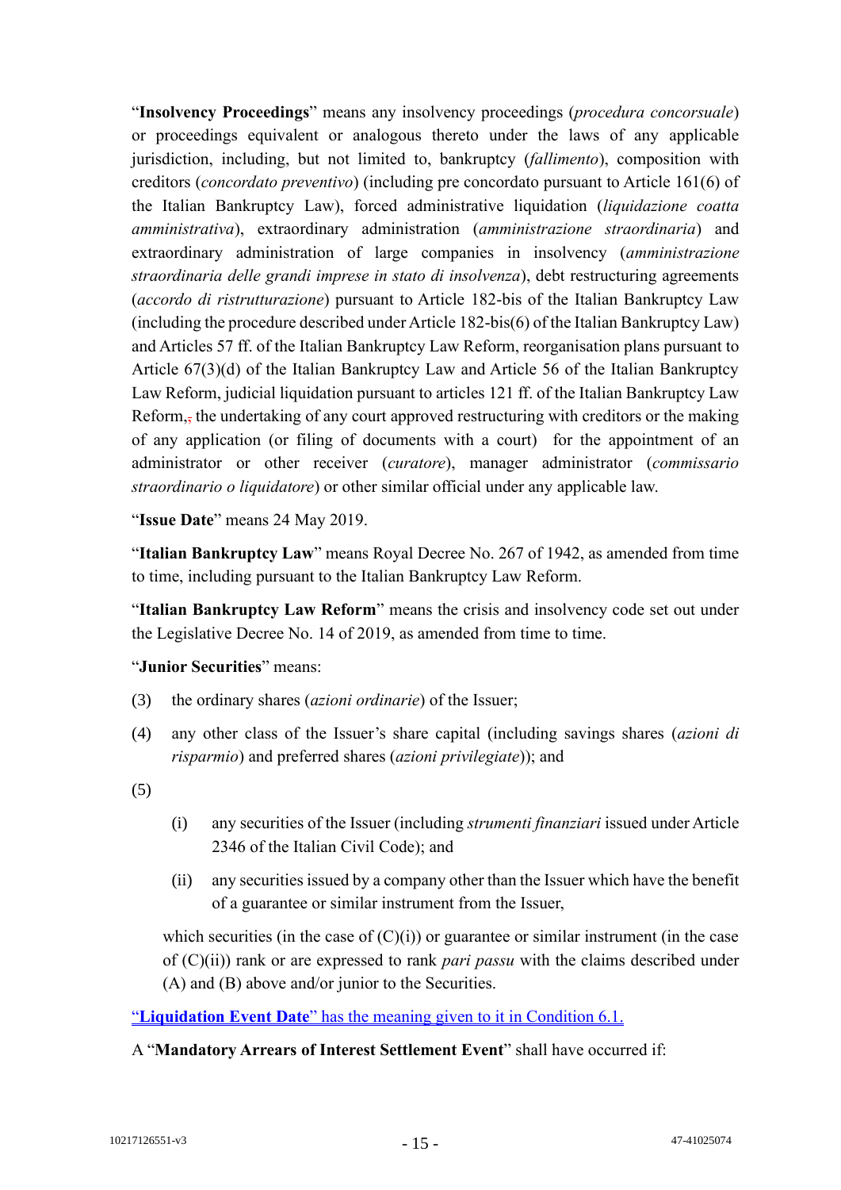"**Insolvency Proceedings**" means any insolvency proceedings (*procedura concorsuale*) or proceedings equivalent or analogous thereto under the laws of any applicable jurisdiction, including, but not limited to, bankruptcy (*fallimento*), composition with creditors (*concordato preventivo*) (including pre concordato pursuant to Article 161(6) of the Italian Bankruptcy Law), forced administrative liquidation (*liquidazione coatta amministrativa*), extraordinary administration (*amministrazione straordinaria*) and extraordinary administration of large companies in insolvency (*amministrazione straordinaria delle grandi imprese in stato di insolvenza*), debt restructuring agreements (*accordo di ristrutturazione*) pursuant to Article 182-bis of the Italian Bankruptcy Law (including the procedure described under Article 182-bis(6) of the Italian Bankruptcy Law) and Articles 57 ff. of the Italian Bankruptcy Law Reform, reorganisation plans pursuant to Article 67(3)(d) of the Italian Bankruptcy Law and Article 56 of the Italian Bankruptcy Law Reform, judicial liquidation pursuant to articles 121 ff. of the Italian Bankruptcy Law Reform,, the undertaking of any court approved restructuring with creditors or the making of any application (or filing of documents with a court) for the appointment of an administrator or other receiver (*curatore*), manager administrator (*commissario straordinario o liquidatore*) or other similar official under any applicable law.

"**Issue Date**" means 24 May 2019.

"**Italian Bankruptcy Law**" means Royal Decree No. 267 of 1942, as amended from time to time, including pursuant to the Italian Bankruptcy Law Reform.

"**Italian Bankruptcy Law Reform**" means the crisis and insolvency code set out under the Legislative Decree No. 14 of 2019, as amended from time to time.

# "**Junior Securities**" means:

- (3) the ordinary shares (*azioni ordinarie*) of the Issuer;
- (4) any other class of the Issuer's share capital (including savings shares (*azioni di risparmio*) and preferred shares (*azioni privilegiate*)); and

(5)

- (i) any securities of the Issuer (including *strumenti finanziari* issued under Article 2346 of the Italian Civil Code); and
- (ii) any securities issued by a company other than the Issuer which have the benefit of a guarantee or similar instrument from the Issuer,

which securities (in the case of  $(C)(i)$ ) or guarantee or similar instrument (in the case of (C)(ii)) rank or are expressed to rank *pari passu* with the claims described under (A) and (B) above and/or junior to the Securities.

"**Liquidation Event Date**" has the meaning given to it in Condition 6.1.

#### A "**Mandatory Arrears of Interest Settlement Event**" shall have occurred if: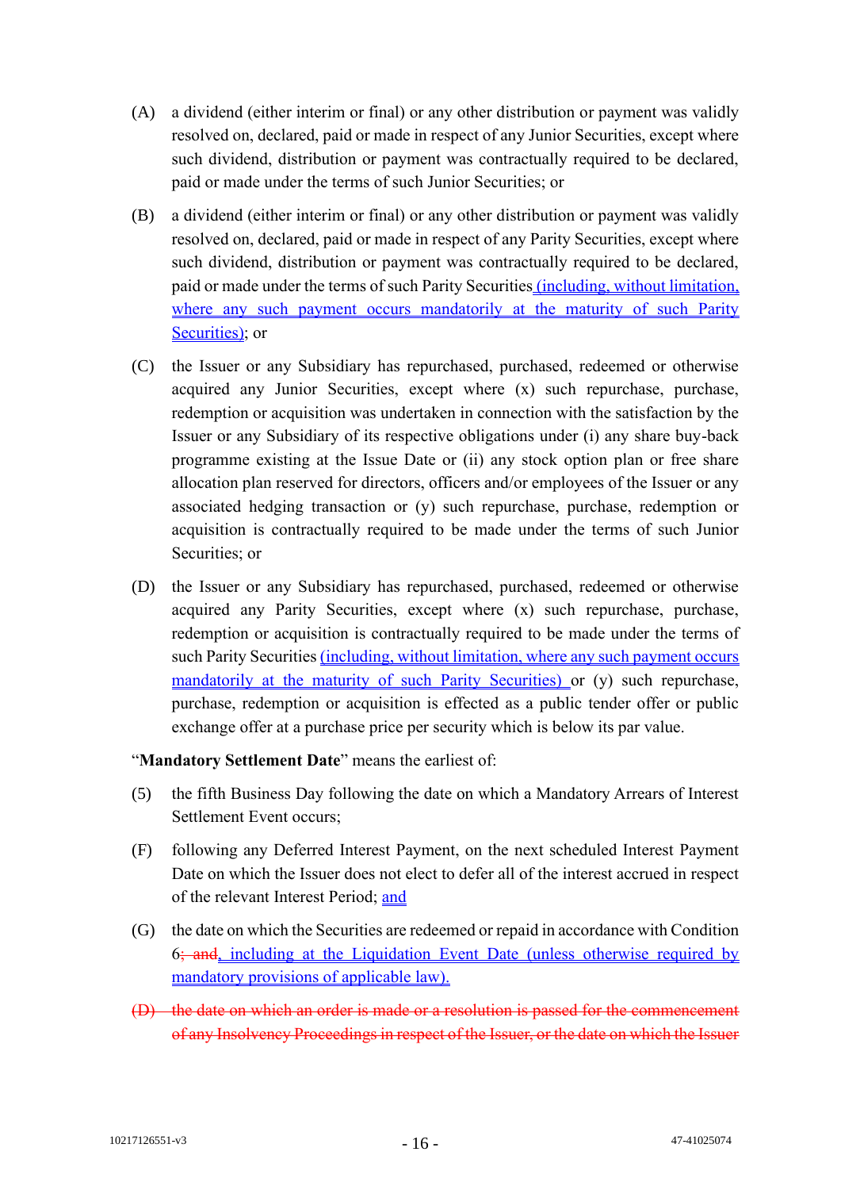- (A) a dividend (either interim or final) or any other distribution or payment was validly resolved on, declared, paid or made in respect of any Junior Securities, except where such dividend, distribution or payment was contractually required to be declared, paid or made under the terms of such Junior Securities; or
- (B) a dividend (either interim or final) or any other distribution or payment was validly resolved on, declared, paid or made in respect of any Parity Securities, except where such dividend, distribution or payment was contractually required to be declared, paid or made under the terms of such Parity Securities (including, without limitation, where any such payment occurs mandatorily at the maturity of such Parity Securities); or
- (C) the Issuer or any Subsidiary has repurchased, purchased, redeemed or otherwise acquired any Junior Securities, except where (x) such repurchase, purchase, redemption or acquisition was undertaken in connection with the satisfaction by the Issuer or any Subsidiary of its respective obligations under (i) any share buy-back programme existing at the Issue Date or (ii) any stock option plan or free share allocation plan reserved for directors, officers and/or employees of the Issuer or any associated hedging transaction or (y) such repurchase, purchase, redemption or acquisition is contractually required to be made under the terms of such Junior Securities; or
- (D) the Issuer or any Subsidiary has repurchased, purchased, redeemed or otherwise acquired any Parity Securities, except where (x) such repurchase, purchase, redemption or acquisition is contractually required to be made under the terms of such Parity Securities (including, without limitation, where any such payment occurs mandatorily at the maturity of such Parity Securities) or (y) such repurchase, purchase, redemption or acquisition is effected as a public tender offer or public exchange offer at a purchase price per security which is below its par value.

"**Mandatory Settlement Date**" means the earliest of:

- (5) the fifth Business Day following the date on which a Mandatory Arrears of Interest Settlement Event occurs;
- (F) following any Deferred Interest Payment, on the next scheduled Interest Payment Date on which the Issuer does not elect to defer all of the interest accrued in respect of the relevant Interest Period; and
- (G) the date on which the Securities are redeemed or repaid in accordance with Condition 6; and, including at the Liquidation Event Date (unless otherwise required by mandatory provisions of applicable law).
- (D) the date on which an order is made or a resolution is passed for the commencement of any Insolvency Proceedings in respect of the Issuer, or the date on which the Issuer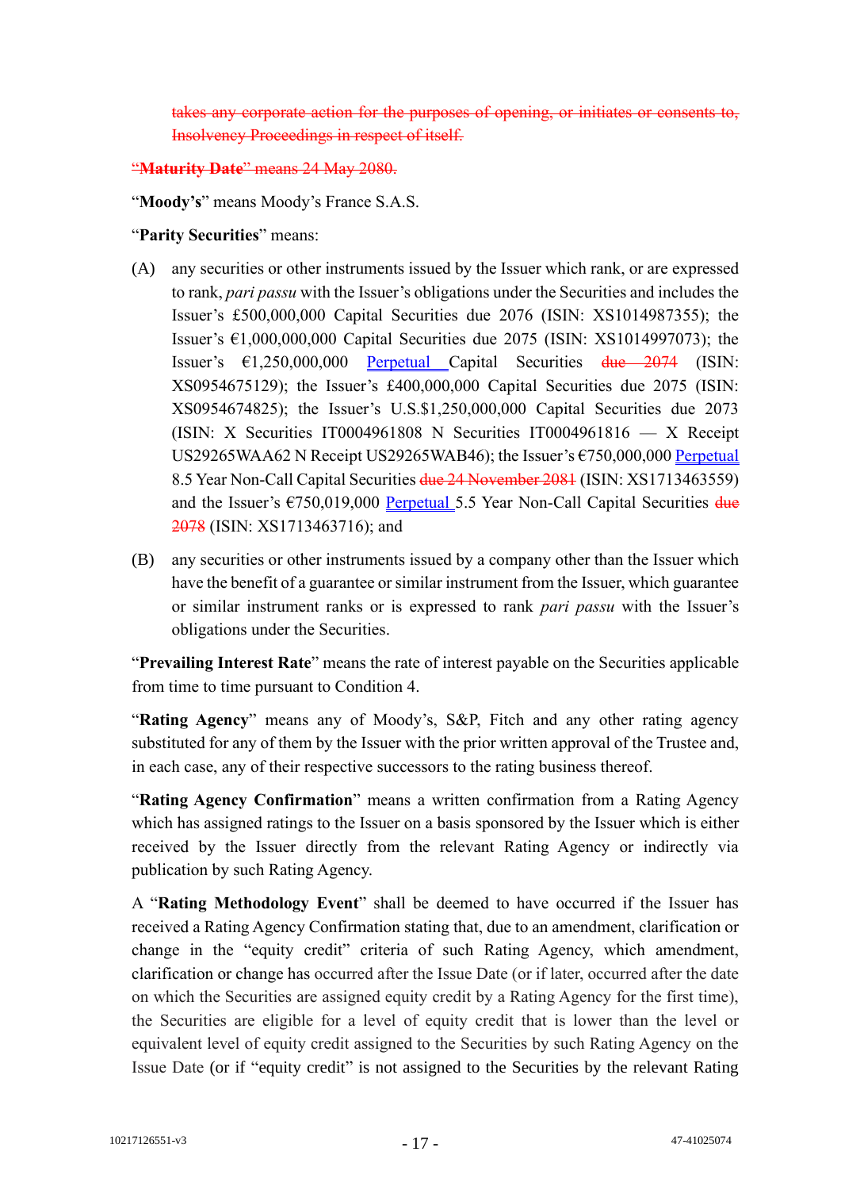corporate action for the purposes of opening, Insolvency Proceedings in respect of itself.

# "**Maturity Date**" means 24 May 2080.

"**Moody's**" means Moody's France S.A.S.

### "**Parity Securities**" means:

- (A) any securities or other instruments issued by the Issuer which rank, or are expressed to rank, *pari passu* with the Issuer's obligations under the Securities and includes the Issuer's £500,000,000 Capital Securities due 2076 (ISIN: XS1014987355); the Issuer's €1,000,000,000 Capital Securities due 2075 (ISIN: XS1014997073); the Issuer's €1,250,000,000 Perpetual Capital Securities due 2074 (ISIN: XS0954675129); the Issuer's £400,000,000 Capital Securities due 2075 (ISIN: XS0954674825); the Issuer's U.S.\$1,250,000,000 Capital Securities due 2073 (ISIN: X Securities IT0004961808 N Securities IT0004961816 — X Receipt US29265WAA62 N Receipt US29265WAB46); the Issuer's €750,000,000 Perpetual 8.5 Year Non-Call Capital Securities due 24 November 2081 (ISIN: XS1713463559) and the Issuer's  $\epsilon$ 750,019,000 Perpetual 5.5 Year Non-Call Capital Securities  $\frac{d\mu}{dt}$ 2078 (ISIN: XS1713463716); and
- (B) any securities or other instruments issued by a company other than the Issuer which have the benefit of a guarantee or similar instrument from the Issuer, which guarantee or similar instrument ranks or is expressed to rank *pari passu* with the Issuer's obligations under the Securities.

"**Prevailing Interest Rate**" means the rate of interest payable on the Securities applicable from time to time pursuant to Condition 4.

"**Rating Agency**" means any of Moody's, S&P, Fitch and any other rating agency substituted for any of them by the Issuer with the prior written approval of the Trustee and, in each case, any of their respective successors to the rating business thereof.

"**Rating Agency Confirmation**" means a written confirmation from a Rating Agency which has assigned ratings to the Issuer on a basis sponsored by the Issuer which is either received by the Issuer directly from the relevant Rating Agency or indirectly via publication by such Rating Agency.

A "**Rating Methodology Event**" shall be deemed to have occurred if the Issuer has received a Rating Agency Confirmation stating that, due to an amendment, clarification or change in the "equity credit" criteria of such Rating Agency, which amendment, clarification or change has occurred after the Issue Date (or if later, occurred after the date on which the Securities are assigned equity credit by a Rating Agency for the first time), the Securities are eligible for a level of equity credit that is lower than the level or equivalent level of equity credit assigned to the Securities by such Rating Agency on the Issue Date (or if "equity credit" is not assigned to the Securities by the relevant Rating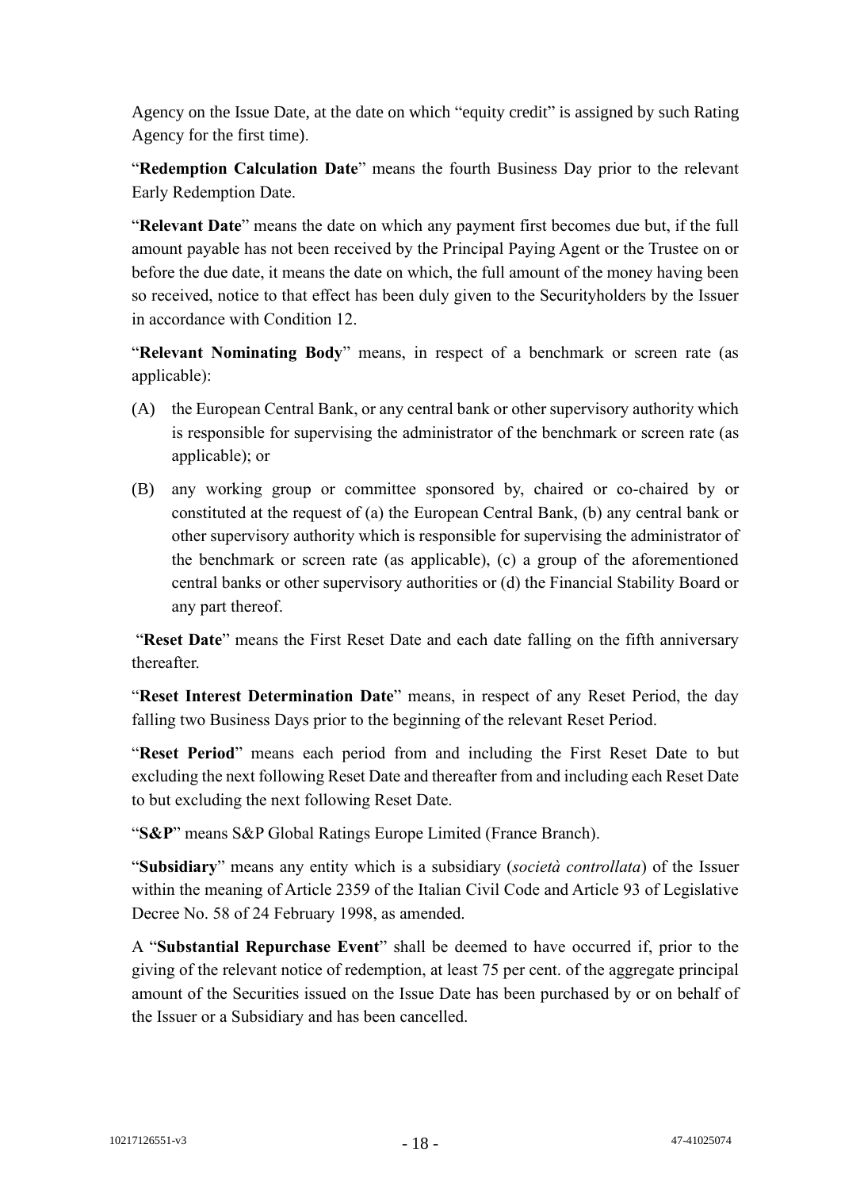Agency on the Issue Date, at the date on which "equity credit" is assigned by such Rating Agency for the first time).

"**Redemption Calculation Date**" means the fourth Business Day prior to the relevant Early Redemption Date.

"**Relevant Date**" means the date on which any payment first becomes due but, if the full amount payable has not been received by the Principal Paying Agent or the Trustee on or before the due date, it means the date on which, the full amount of the money having been so received, notice to that effect has been duly given to the Securityholders by the Issuer in accordance with Condition 12.

"**Relevant Nominating Body**" means, in respect of a benchmark or screen rate (as applicable):

- (A) the European Central Bank, or any central bank or other supervisory authority which is responsible for supervising the administrator of the benchmark or screen rate (as applicable); or
- (B) any working group or committee sponsored by, chaired or co-chaired by or constituted at the request of (a) the European Central Bank, (b) any central bank or other supervisory authority which is responsible for supervising the administrator of the benchmark or screen rate (as applicable), (c) a group of the aforementioned central banks or other supervisory authorities or (d) the Financial Stability Board or any part thereof.

"**Reset Date**" means the First Reset Date and each date falling on the fifth anniversary thereafter.

"**Reset Interest Determination Date**" means, in respect of any Reset Period, the day falling two Business Days prior to the beginning of the relevant Reset Period.

"**Reset Period**" means each period from and including the First Reset Date to but excluding the next following Reset Date and thereafter from and including each Reset Date to but excluding the next following Reset Date.

"**S&P**" means S&P Global Ratings Europe Limited (France Branch).

"**Subsidiary**" means any entity which is a subsidiary (*società controllata*) of the Issuer within the meaning of Article 2359 of the Italian Civil Code and Article 93 of Legislative Decree No. 58 of 24 February 1998, as amended.

A "**Substantial Repurchase Event**" shall be deemed to have occurred if, prior to the giving of the relevant notice of redemption, at least 75 per cent. of the aggregate principal amount of the Securities issued on the Issue Date has been purchased by or on behalf of the Issuer or a Subsidiary and has been cancelled.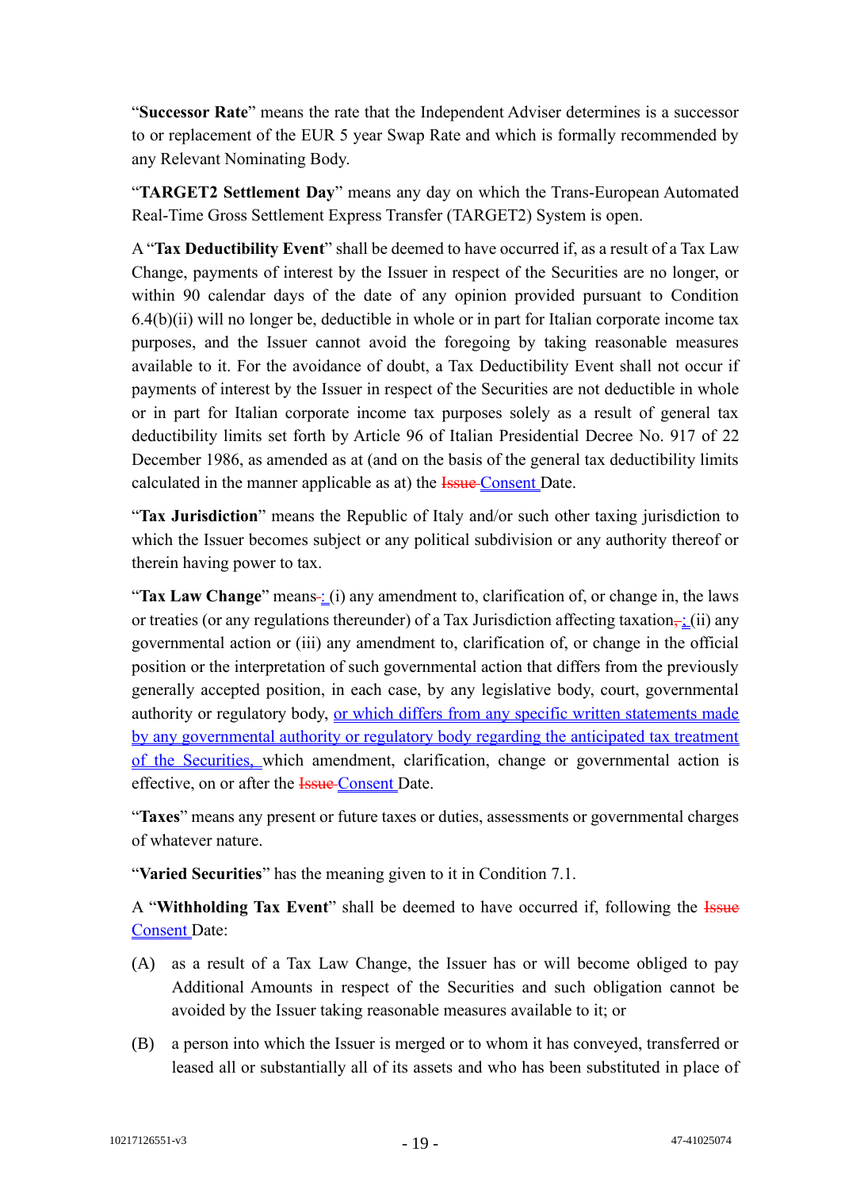"**Successor Rate**" means the rate that the Independent Adviser determines is a successor to or replacement of the EUR 5 year Swap Rate and which is formally recommended by any Relevant Nominating Body.

"**TARGET2 Settlement Day**" means any day on which the Trans-European Automated Real-Time Gross Settlement Express Transfer (TARGET2) System is open.

A "**Tax Deductibility Event**" shall be deemed to have occurred if, as a result of a Tax Law Change, payments of interest by the Issuer in respect of the Securities are no longer, or within 90 calendar days of the date of any opinion provided pursuant to Condition 6.4(b)(ii) will no longer be, deductible in whole or in part for Italian corporate income tax purposes, and the Issuer cannot avoid the foregoing by taking reasonable measures available to it. For the avoidance of doubt, a Tax Deductibility Event shall not occur if payments of interest by the Issuer in respect of the Securities are not deductible in whole or in part for Italian corporate income tax purposes solely as a result of general tax deductibility limits set forth by Article 96 of Italian Presidential Decree No. 917 of 22 December 1986, as amended as at (and on the basis of the general tax deductibility limits calculated in the manner applicable as at) the **Issue Consent Date.** 

"**Tax Jurisdiction**" means the Republic of Italy and/or such other taxing jurisdiction to which the Issuer becomes subject or any political subdivision or any authority thereof or therein having power to tax.

"Tax Law Change" means-: (i) any amendment to, clarification of, or change in, the laws or treaties (or any regulations thereunder) of a Tax Jurisdiction affecting taxation $\frac{1}{r}$  (ii) any governmental action or (iii) any amendment to, clarification of, or change in the official position or the interpretation of such governmental action that differs from the previously generally accepted position, in each case, by any legislative body, court, governmental authority or regulatory body, or which differs from any specific written statements made by any governmental authority or regulatory body regarding the anticipated tax treatment of the Securities, which amendment, clarification, change or governmental action is effective, on or after the **Issue** Consent Date.

"**Taxes**" means any present or future taxes or duties, assessments or governmental charges of whatever nature.

"**Varied Securities**" has the meaning given to it in Condition 7.1.

A "**Withholding Tax Event**" shall be deemed to have occurred if, following the Issue Consent Date:

- (A) as a result of a Tax Law Change, the Issuer has or will become obliged to pay Additional Amounts in respect of the Securities and such obligation cannot be avoided by the Issuer taking reasonable measures available to it; or
- (B) a person into which the Issuer is merged or to whom it has conveyed, transferred or leased all or substantially all of its assets and who has been substituted in place of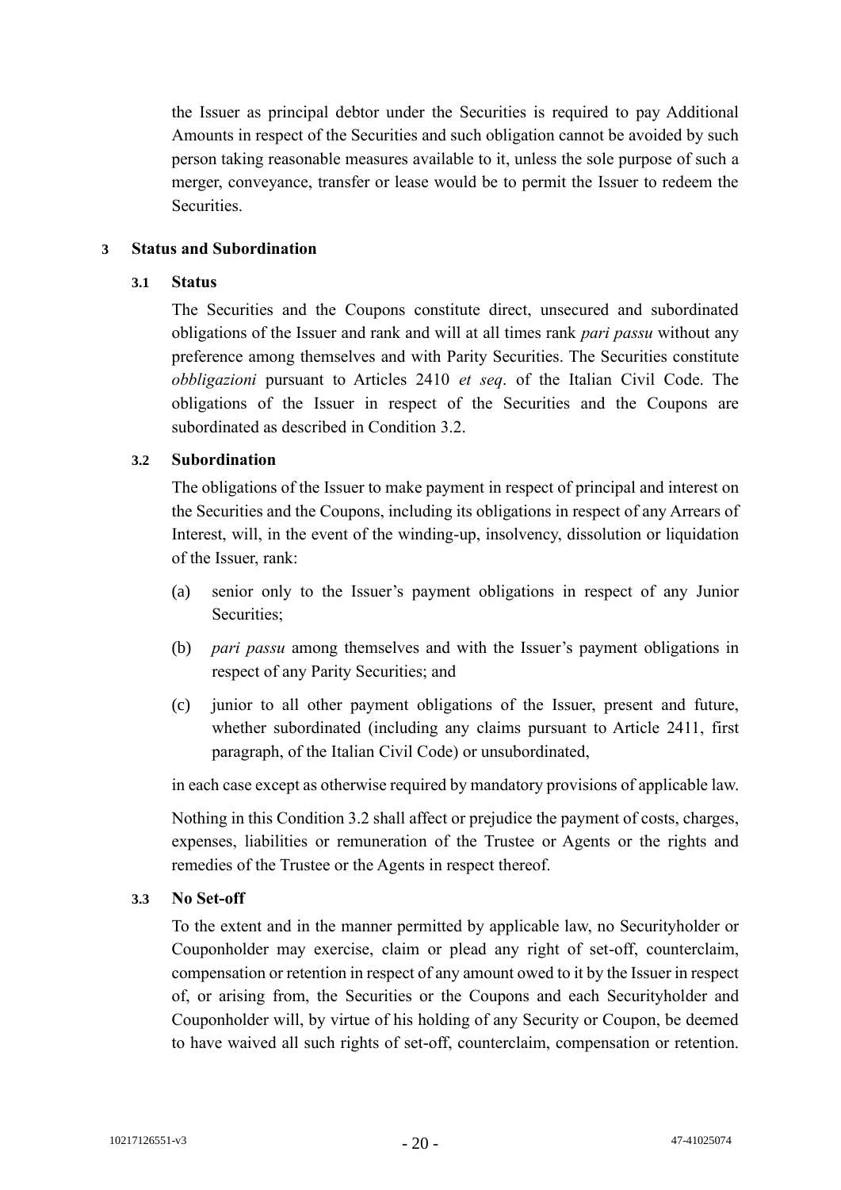the Issuer as principal debtor under the Securities is required to pay Additional Amounts in respect of the Securities and such obligation cannot be avoided by such person taking reasonable measures available to it, unless the sole purpose of such a merger, conveyance, transfer or lease would be to permit the Issuer to redeem the Securities.

### **3 Status and Subordination**

#### **3.1 Status**

The Securities and the Coupons constitute direct, unsecured and subordinated obligations of the Issuer and rank and will at all times rank *pari passu* without any preference among themselves and with Parity Securities. The Securities constitute *obbligazioni* pursuant to Articles 2410 *et seq*. of the Italian Civil Code. The obligations of the Issuer in respect of the Securities and the Coupons are subordinated as described in Condition 3.2.

# **3.2 Subordination**

The obligations of the Issuer to make payment in respect of principal and interest on the Securities and the Coupons, including its obligations in respect of any Arrears of Interest, will, in the event of the winding-up, insolvency, dissolution or liquidation of the Issuer, rank:

- (a) senior only to the Issuer's payment obligations in respect of any Junior Securities;
- (b) *pari passu* among themselves and with the Issuer's payment obligations in respect of any Parity Securities; and
- (c) junior to all other payment obligations of the Issuer, present and future, whether subordinated (including any claims pursuant to Article 2411, first paragraph, of the Italian Civil Code) or unsubordinated,

in each case except as otherwise required by mandatory provisions of applicable law.

Nothing in this Condition 3.2 shall affect or prejudice the payment of costs, charges, expenses, liabilities or remuneration of the Trustee or Agents or the rights and remedies of the Trustee or the Agents in respect thereof.

#### **3.3 No Set-off**

To the extent and in the manner permitted by applicable law, no Securityholder or Couponholder may exercise, claim or plead any right of set-off, counterclaim, compensation or retention in respect of any amount owed to it by the Issuer in respect of, or arising from, the Securities or the Coupons and each Securityholder and Couponholder will, by virtue of his holding of any Security or Coupon, be deemed to have waived all such rights of set-off, counterclaim, compensation or retention.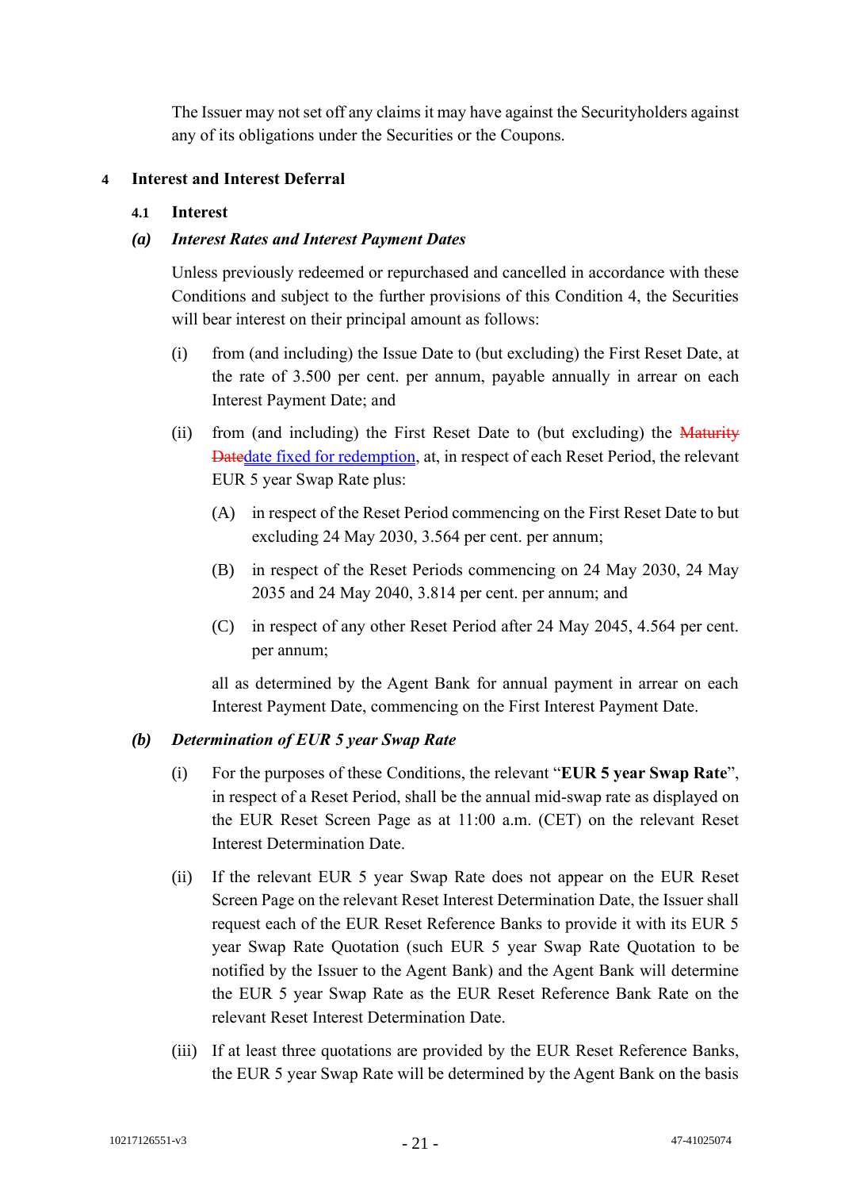The Issuer may not set off any claims it may have against the Securityholders against any of its obligations under the Securities or the Coupons.

# **4 Interest and Interest Deferral**

#### **4.1 Interest**

### *(a) Interest Rates and Interest Payment Dates*

Unless previously redeemed or repurchased and cancelled in accordance with these Conditions and subject to the further provisions of this Condition 4, the Securities will bear interest on their principal amount as follows:

- (i) from (and including) the Issue Date to (but excluding) the First Reset Date, at the rate of 3.500 per cent. per annum, payable annually in arrear on each Interest Payment Date; and
- (ii) from (and including) the First Reset Date to (but excluding) the Maturity Datedate fixed for redemption, at, in respect of each Reset Period, the relevant EUR 5 year Swap Rate plus:
	- (A) in respect of the Reset Period commencing on the First Reset Date to but excluding 24 May 2030, 3.564 per cent. per annum;
	- (B) in respect of the Reset Periods commencing on 24 May 2030, 24 May 2035 and 24 May 2040, 3.814 per cent. per annum; and
	- (C) in respect of any other Reset Period after 24 May 2045, 4.564 per cent. per annum;

all as determined by the Agent Bank for annual payment in arrear on each Interest Payment Date, commencing on the First Interest Payment Date.

#### *(b) Determination of EUR 5 year Swap Rate*

- (i) For the purposes of these Conditions, the relevant "**EUR 5 year Swap Rate**", in respect of a Reset Period, shall be the annual mid-swap rate as displayed on the EUR Reset Screen Page as at 11:00 a.m. (CET) on the relevant Reset Interest Determination Date.
- (ii) If the relevant EUR 5 year Swap Rate does not appear on the EUR Reset Screen Page on the relevant Reset Interest Determination Date, the Issuer shall request each of the EUR Reset Reference Banks to provide it with its EUR 5 year Swap Rate Quotation (such EUR 5 year Swap Rate Quotation to be notified by the Issuer to the Agent Bank) and the Agent Bank will determine the EUR 5 year Swap Rate as the EUR Reset Reference Bank Rate on the relevant Reset Interest Determination Date.
- (iii) If at least three quotations are provided by the EUR Reset Reference Banks, the EUR 5 year Swap Rate will be determined by the Agent Bank on the basis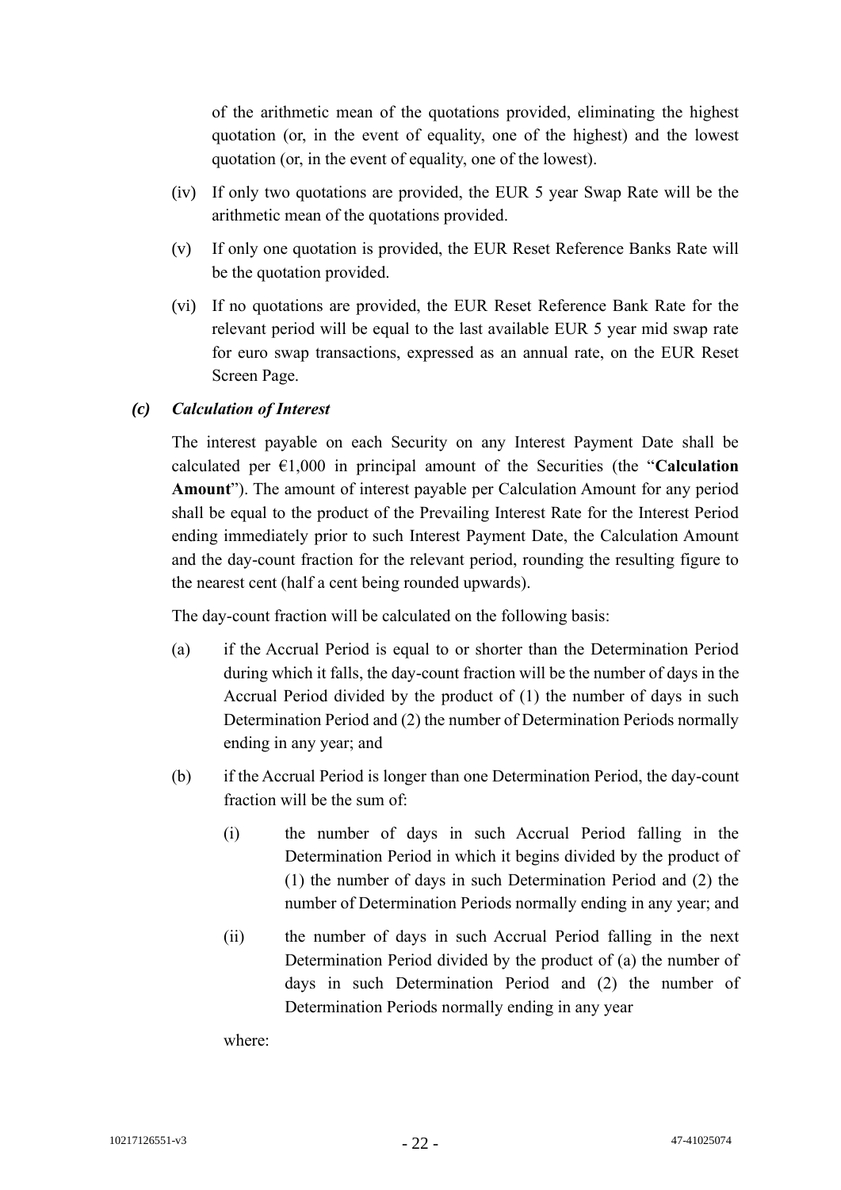of the arithmetic mean of the quotations provided, eliminating the highest quotation (or, in the event of equality, one of the highest) and the lowest quotation (or, in the event of equality, one of the lowest).

- (iv) If only two quotations are provided, the EUR 5 year Swap Rate will be the arithmetic mean of the quotations provided.
- (v) If only one quotation is provided, the EUR Reset Reference Banks Rate will be the quotation provided.
- (vi) If no quotations are provided, the EUR Reset Reference Bank Rate for the relevant period will be equal to the last available EUR 5 year mid swap rate for euro swap transactions, expressed as an annual rate, on the EUR Reset Screen Page.

# *(c) Calculation of Interest*

The interest payable on each Security on any Interest Payment Date shall be calculated per  $\epsilon$ 1,000 in principal amount of the Securities (the "**Calculation Amount**"). The amount of interest payable per Calculation Amount for any period shall be equal to the product of the Prevailing Interest Rate for the Interest Period ending immediately prior to such Interest Payment Date, the Calculation Amount and the day-count fraction for the relevant period, rounding the resulting figure to the nearest cent (half a cent being rounded upwards).

The day-count fraction will be calculated on the following basis:

- (a) if the Accrual Period is equal to or shorter than the Determination Period during which it falls, the day-count fraction will be the number of days in the Accrual Period divided by the product of (1) the number of days in such Determination Period and (2) the number of Determination Periods normally ending in any year; and
- (b) if the Accrual Period is longer than one Determination Period, the day-count fraction will be the sum of:
	- (i) the number of days in such Accrual Period falling in the Determination Period in which it begins divided by the product of (1) the number of days in such Determination Period and (2) the number of Determination Periods normally ending in any year; and
	- (ii) the number of days in such Accrual Period falling in the next Determination Period divided by the product of (a) the number of days in such Determination Period and (2) the number of Determination Periods normally ending in any year

where: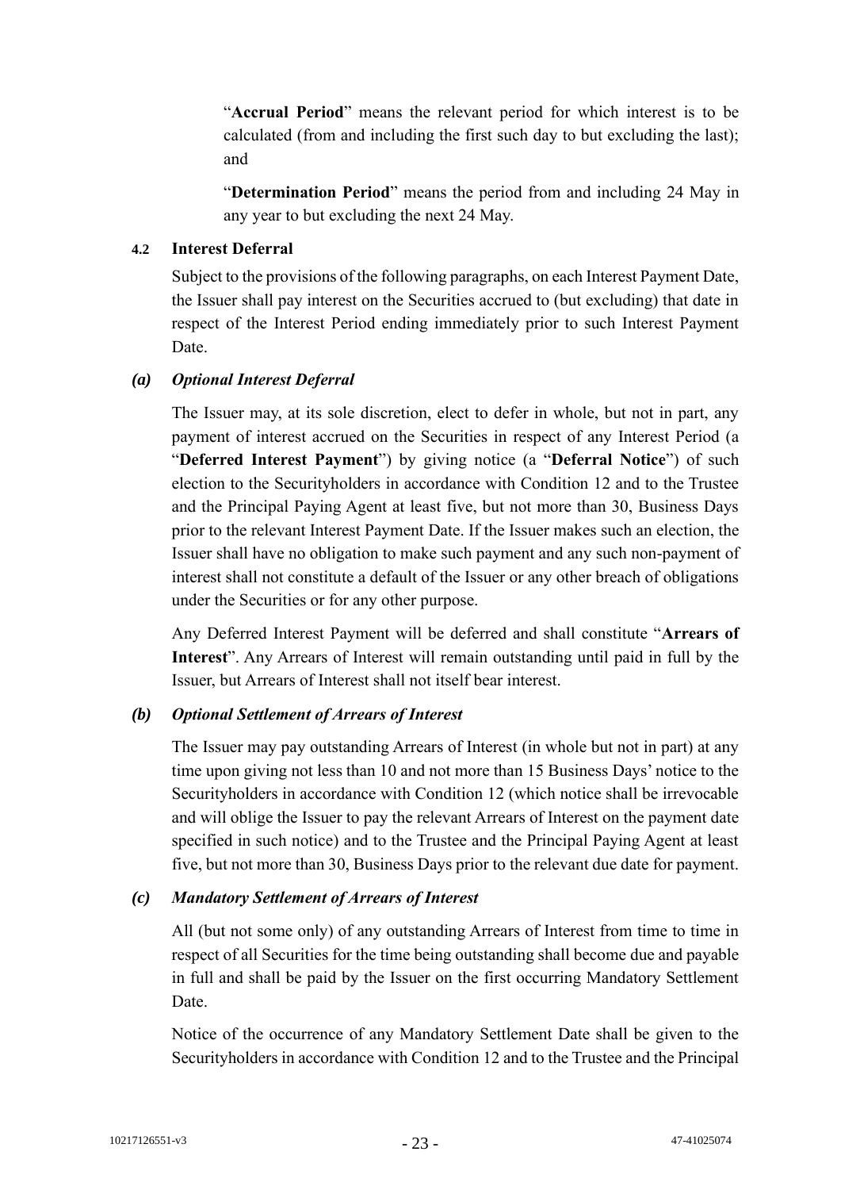"**Accrual Period**" means the relevant period for which interest is to be calculated (from and including the first such day to but excluding the last); and

"**Determination Period**" means the period from and including 24 May in any year to but excluding the next 24 May.

# **4.2 Interest Deferral**

Subject to the provisions of the following paragraphs, on each Interest Payment Date, the Issuer shall pay interest on the Securities accrued to (but excluding) that date in respect of the Interest Period ending immediately prior to such Interest Payment Date.

# *(a) Optional Interest Deferral*

The Issuer may, at its sole discretion, elect to defer in whole, but not in part, any payment of interest accrued on the Securities in respect of any Interest Period (a "**Deferred Interest Payment**") by giving notice (a "**Deferral Notice**") of such election to the Securityholders in accordance with Condition 12 and to the Trustee and the Principal Paying Agent at least five, but not more than 30, Business Days prior to the relevant Interest Payment Date. If the Issuer makes such an election, the Issuer shall have no obligation to make such payment and any such non-payment of interest shall not constitute a default of the Issuer or any other breach of obligations under the Securities or for any other purpose.

Any Deferred Interest Payment will be deferred and shall constitute "**Arrears of Interest**". Any Arrears of Interest will remain outstanding until paid in full by the Issuer, but Arrears of Interest shall not itself bear interest.

# *(b) Optional Settlement of Arrears of Interest*

The Issuer may pay outstanding Arrears of Interest (in whole but not in part) at any time upon giving not less than 10 and not more than 15 Business Days' notice to the Securityholders in accordance with Condition 12 (which notice shall be irrevocable and will oblige the Issuer to pay the relevant Arrears of Interest on the payment date specified in such notice) and to the Trustee and the Principal Paying Agent at least five, but not more than 30, Business Days prior to the relevant due date for payment.

#### *(c) Mandatory Settlement of Arrears of Interest*

All (but not some only) of any outstanding Arrears of Interest from time to time in respect of all Securities for the time being outstanding shall become due and payable in full and shall be paid by the Issuer on the first occurring Mandatory Settlement Date.

Notice of the occurrence of any Mandatory Settlement Date shall be given to the Securityholders in accordance with Condition 12 and to the Trustee and the Principal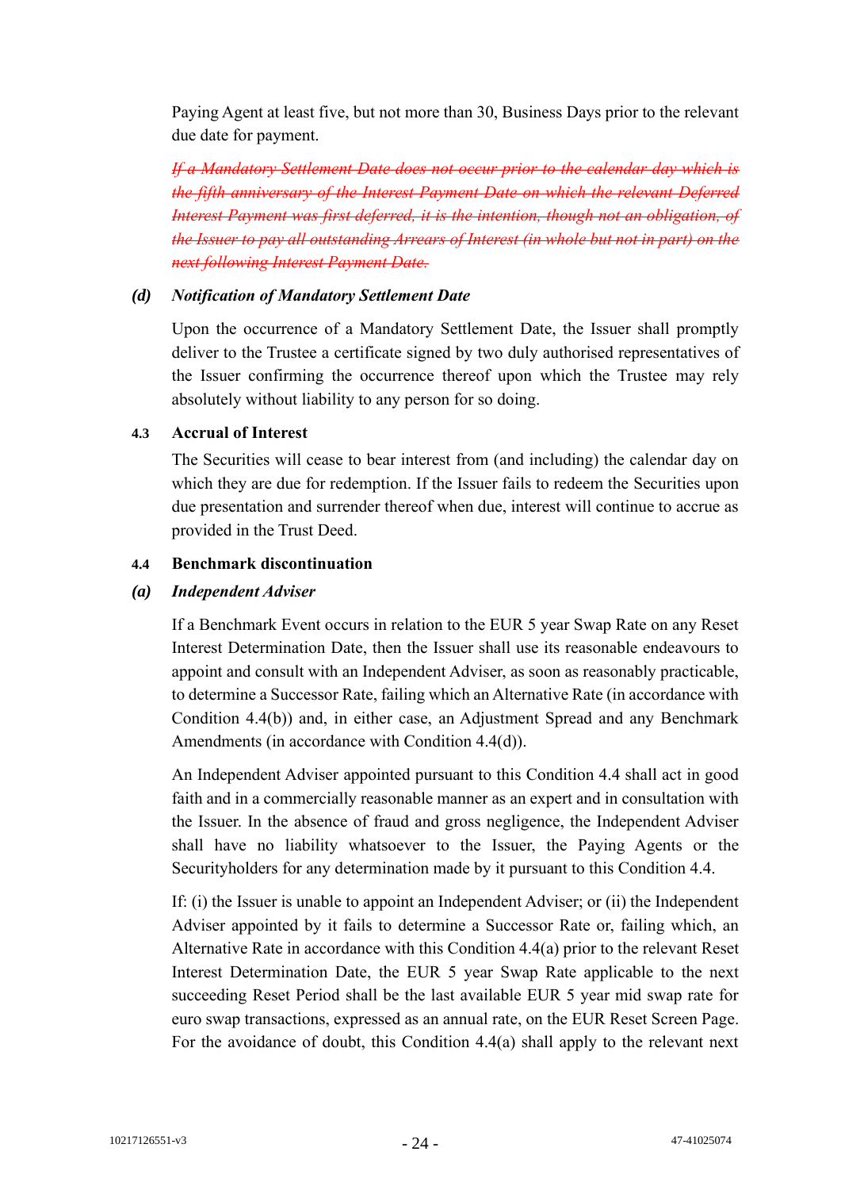Paying Agent at least five, but not more than 30, Business Days prior to the relevant due date for payment.

*If a Mandatory Settlement Date does not occur prior to the calendar day which is the fifth anniversary of the Interest Payment Date on which the relevant Deferred Interest Payment was first deferred, it is the intention, though not an obligation, of the Issuer to pay all outstanding Arrears of Interest (in whole but not in part) on the next following Interest Payment Date.*

### *(d) Notification of Mandatory Settlement Date*

Upon the occurrence of a Mandatory Settlement Date, the Issuer shall promptly deliver to the Trustee a certificate signed by two duly authorised representatives of the Issuer confirming the occurrence thereof upon which the Trustee may rely absolutely without liability to any person for so doing.

# **4.3 Accrual of Interest**

The Securities will cease to bear interest from (and including) the calendar day on which they are due for redemption. If the Issuer fails to redeem the Securities upon due presentation and surrender thereof when due, interest will continue to accrue as provided in the Trust Deed.

# **4.4 Benchmark discontinuation**

# *(a) Independent Adviser*

If a Benchmark Event occurs in relation to the EUR 5 year Swap Rate on any Reset Interest Determination Date, then the Issuer shall use its reasonable endeavours to appoint and consult with an Independent Adviser, as soon as reasonably practicable, to determine a Successor Rate, failing which an Alternative Rate (in accordance with Condition 4.4(b)) and, in either case, an Adjustment Spread and any Benchmark Amendments (in accordance with Condition 4.4(d)).

An Independent Adviser appointed pursuant to this Condition 4.4 shall act in good faith and in a commercially reasonable manner as an expert and in consultation with the Issuer. In the absence of fraud and gross negligence, the Independent Adviser shall have no liability whatsoever to the Issuer, the Paying Agents or the Securityholders for any determination made by it pursuant to this Condition 4.4.

If: (i) the Issuer is unable to appoint an Independent Adviser; or (ii) the Independent Adviser appointed by it fails to determine a Successor Rate or, failing which, an Alternative Rate in accordance with this Condition 4.4(a) prior to the relevant Reset Interest Determination Date, the EUR 5 year Swap Rate applicable to the next succeeding Reset Period shall be the last available EUR 5 year mid swap rate for euro swap transactions, expressed as an annual rate, on the EUR Reset Screen Page. For the avoidance of doubt, this Condition 4.4(a) shall apply to the relevant next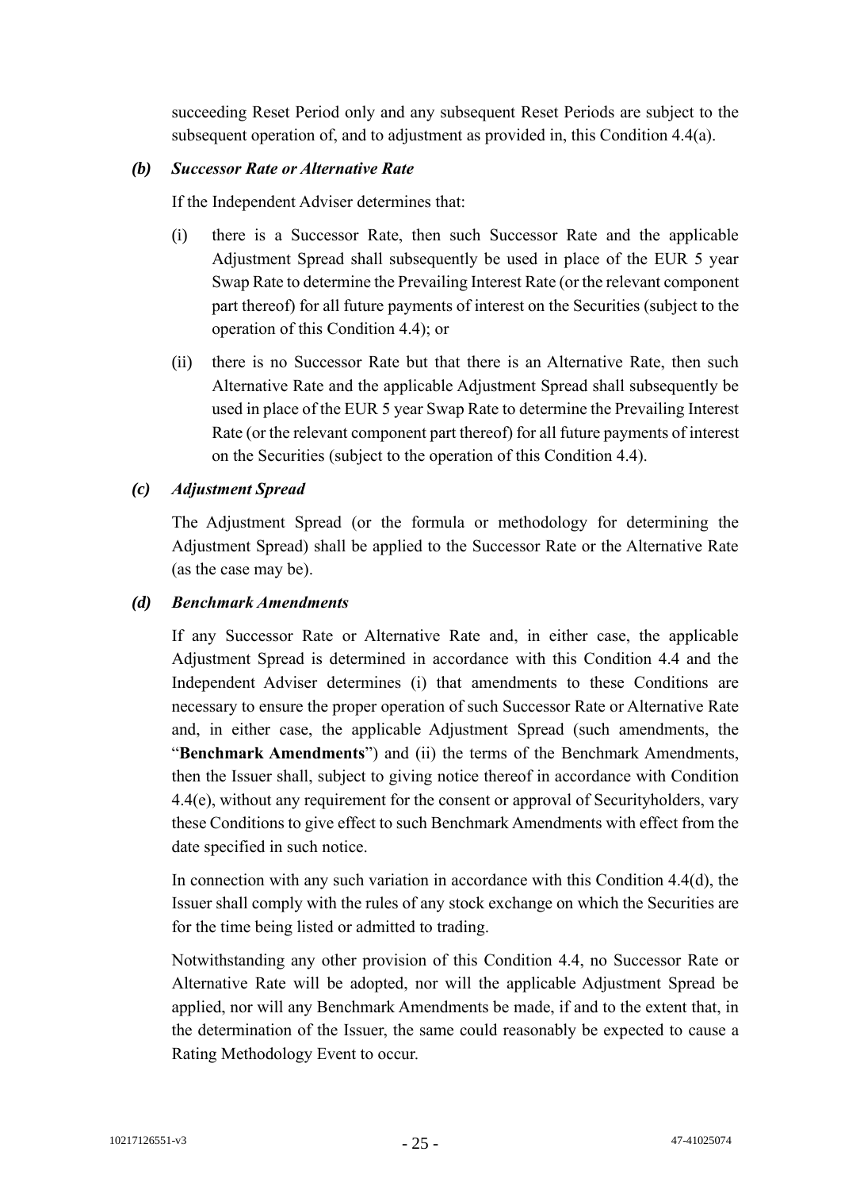succeeding Reset Period only and any subsequent Reset Periods are subject to the subsequent operation of, and to adjustment as provided in, this Condition 4.4(a).

### *(b) Successor Rate or Alternative Rate*

If the Independent Adviser determines that:

- (i) there is a Successor Rate, then such Successor Rate and the applicable Adjustment Spread shall subsequently be used in place of the EUR 5 year Swap Rate to determine the Prevailing Interest Rate (or the relevant component part thereof) for all future payments of interest on the Securities (subject to the operation of this Condition 4.4); or
- (ii) there is no Successor Rate but that there is an Alternative Rate, then such Alternative Rate and the applicable Adjustment Spread shall subsequently be used in place of the EUR 5 year Swap Rate to determine the Prevailing Interest Rate (or the relevant component part thereof) for all future payments of interest on the Securities (subject to the operation of this Condition 4.4).

# *(c) Adjustment Spread*

The Adjustment Spread (or the formula or methodology for determining the Adjustment Spread) shall be applied to the Successor Rate or the Alternative Rate (as the case may be).

# *(d) Benchmark Amendments*

If any Successor Rate or Alternative Rate and, in either case, the applicable Adjustment Spread is determined in accordance with this Condition 4.4 and the Independent Adviser determines (i) that amendments to these Conditions are necessary to ensure the proper operation of such Successor Rate or Alternative Rate and, in either case, the applicable Adjustment Spread (such amendments, the "**Benchmark Amendments**") and (ii) the terms of the Benchmark Amendments, then the Issuer shall, subject to giving notice thereof in accordance with Condition 4.4(e), without any requirement for the consent or approval of Securityholders, vary these Conditions to give effect to such Benchmark Amendments with effect from the date specified in such notice.

In connection with any such variation in accordance with this Condition 4.4(d), the Issuer shall comply with the rules of any stock exchange on which the Securities are for the time being listed or admitted to trading.

Notwithstanding any other provision of this Condition 4.4, no Successor Rate or Alternative Rate will be adopted, nor will the applicable Adjustment Spread be applied, nor will any Benchmark Amendments be made, if and to the extent that, in the determination of the Issuer, the same could reasonably be expected to cause a Rating Methodology Event to occur.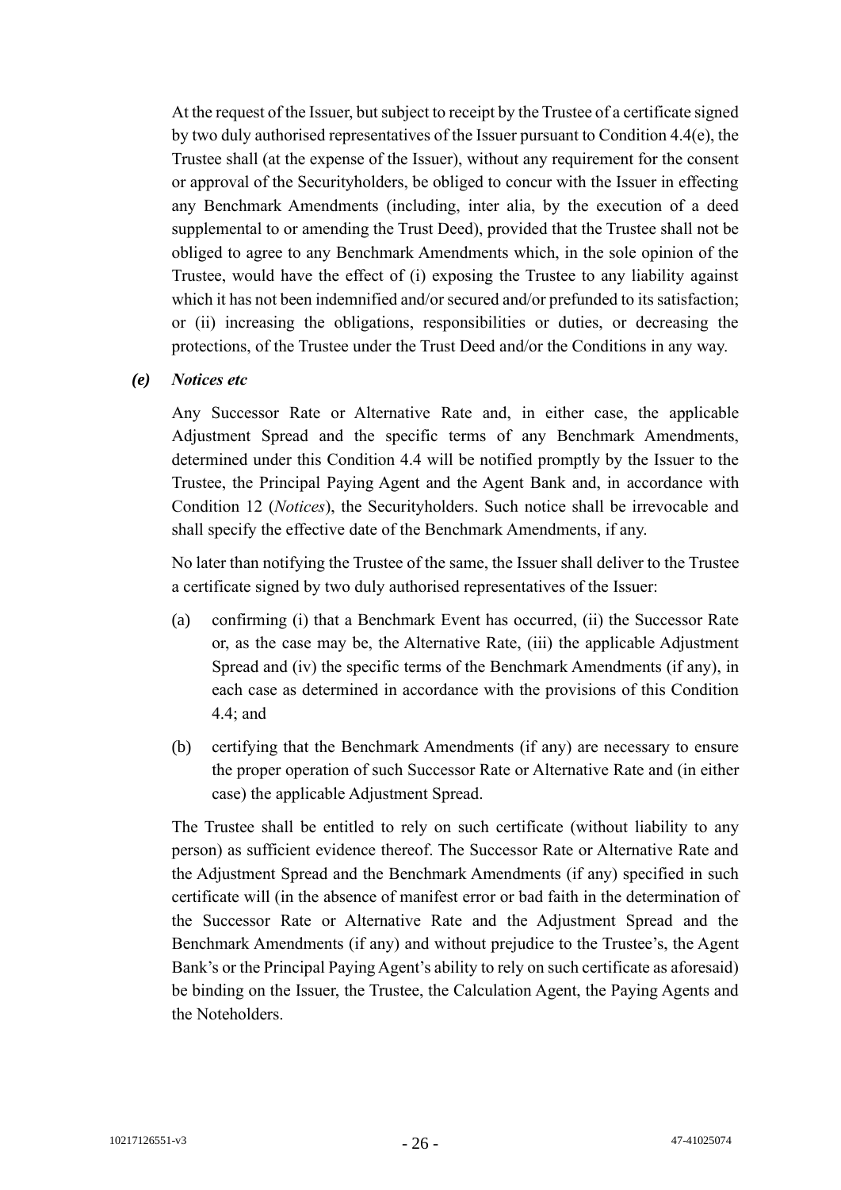At the request of the Issuer, but subject to receipt by the Trustee of a certificate signed by two duly authorised representatives of the Issuer pursuant to Condition 4.4(e), the Trustee shall (at the expense of the Issuer), without any requirement for the consent or approval of the Securityholders, be obliged to concur with the Issuer in effecting any Benchmark Amendments (including, inter alia, by the execution of a deed supplemental to or amending the Trust Deed), provided that the Trustee shall not be obliged to agree to any Benchmark Amendments which, in the sole opinion of the Trustee, would have the effect of (i) exposing the Trustee to any liability against which it has not been indemnified and/or secured and/or prefunded to its satisfaction; or (ii) increasing the obligations, responsibilities or duties, or decreasing the protections, of the Trustee under the Trust Deed and/or the Conditions in any way.

#### *(e) Notices etc*

Any Successor Rate or Alternative Rate and, in either case, the applicable Adjustment Spread and the specific terms of any Benchmark Amendments, determined under this Condition 4.4 will be notified promptly by the Issuer to the Trustee, the Principal Paying Agent and the Agent Bank and, in accordance with Condition 12 (*Notices*), the Securityholders. Such notice shall be irrevocable and shall specify the effective date of the Benchmark Amendments, if any.

No later than notifying the Trustee of the same, the Issuer shall deliver to the Trustee a certificate signed by two duly authorised representatives of the Issuer:

- (a) confirming (i) that a Benchmark Event has occurred, (ii) the Successor Rate or, as the case may be, the Alternative Rate, (iii) the applicable Adjustment Spread and (iv) the specific terms of the Benchmark Amendments (if any), in each case as determined in accordance with the provisions of this Condition 4.4; and
- (b) certifying that the Benchmark Amendments (if any) are necessary to ensure the proper operation of such Successor Rate or Alternative Rate and (in either case) the applicable Adjustment Spread.

The Trustee shall be entitled to rely on such certificate (without liability to any person) as sufficient evidence thereof. The Successor Rate or Alternative Rate and the Adjustment Spread and the Benchmark Amendments (if any) specified in such certificate will (in the absence of manifest error or bad faith in the determination of the Successor Rate or Alternative Rate and the Adjustment Spread and the Benchmark Amendments (if any) and without prejudice to the Trustee's, the Agent Bank's or the Principal Paying Agent's ability to rely on such certificate as aforesaid) be binding on the Issuer, the Trustee, the Calculation Agent, the Paying Agents and the Noteholders.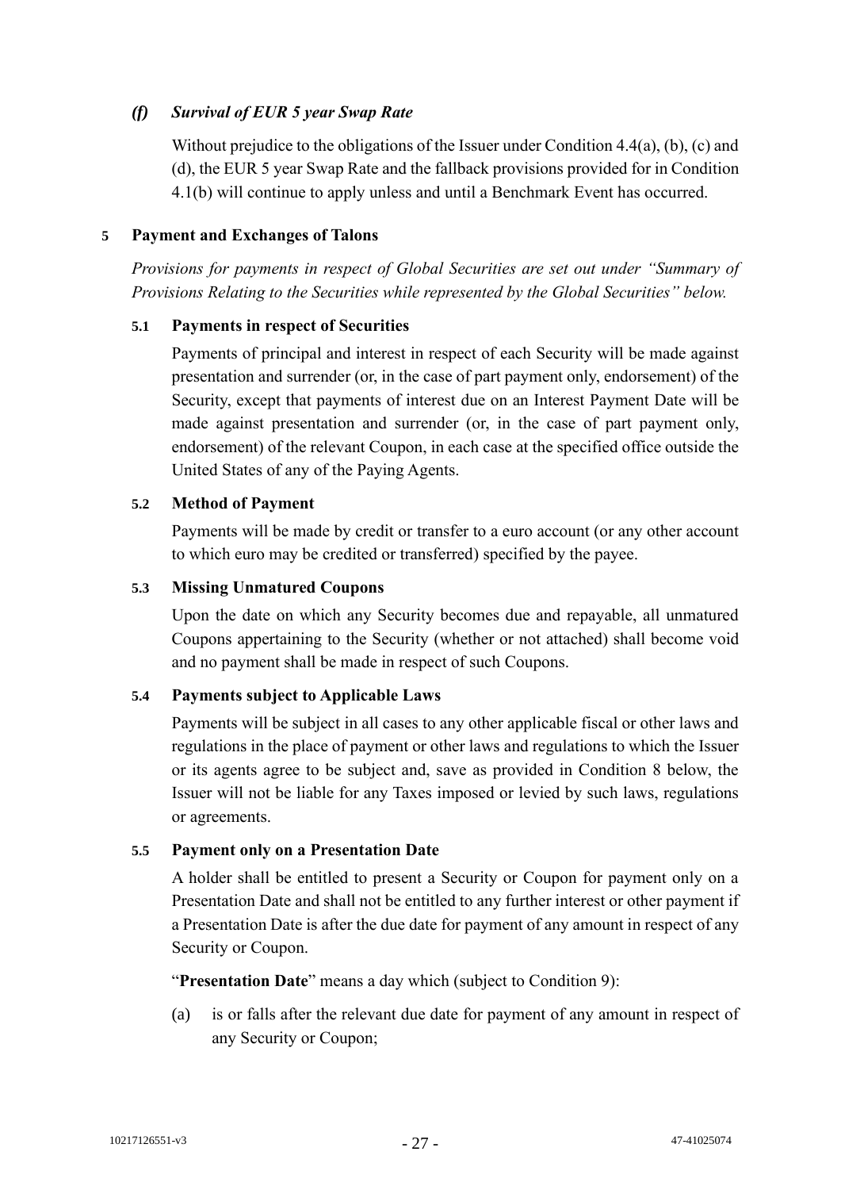# *(f) Survival of EUR 5 year Swap Rate*

Without prejudice to the obligations of the Issuer under Condition 4.4(a), (b), (c) and (d), the EUR 5 year Swap Rate and the fallback provisions provided for in Condition 4.1(b) will continue to apply unless and until a Benchmark Event has occurred.

# **5 Payment and Exchanges of Talons**

*Provisions for payments in respect of Global Securities are set out under "Summary of Provisions Relating to the Securities while represented by the Global Securities" below.*

# **5.1 Payments in respect of Securities**

Payments of principal and interest in respect of each Security will be made against presentation and surrender (or, in the case of part payment only, endorsement) of the Security, except that payments of interest due on an Interest Payment Date will be made against presentation and surrender (or, in the case of part payment only, endorsement) of the relevant Coupon, in each case at the specified office outside the United States of any of the Paying Agents.

# **5.2 Method of Payment**

Payments will be made by credit or transfer to a euro account (or any other account to which euro may be credited or transferred) specified by the payee.

# **5.3 Missing Unmatured Coupons**

Upon the date on which any Security becomes due and repayable, all unmatured Coupons appertaining to the Security (whether or not attached) shall become void and no payment shall be made in respect of such Coupons.

#### **5.4 Payments subject to Applicable Laws**

Payments will be subject in all cases to any other applicable fiscal or other laws and regulations in the place of payment or other laws and regulations to which the Issuer or its agents agree to be subject and, save as provided in Condition 8 below, the Issuer will not be liable for any Taxes imposed or levied by such laws, regulations or agreements.

#### **5.5 Payment only on a Presentation Date**

A holder shall be entitled to present a Security or Coupon for payment only on a Presentation Date and shall not be entitled to any further interest or other payment if a Presentation Date is after the due date for payment of any amount in respect of any Security or Coupon.

"**Presentation Date**" means a day which (subject to Condition 9):

(a) is or falls after the relevant due date for payment of any amount in respect of any Security or Coupon;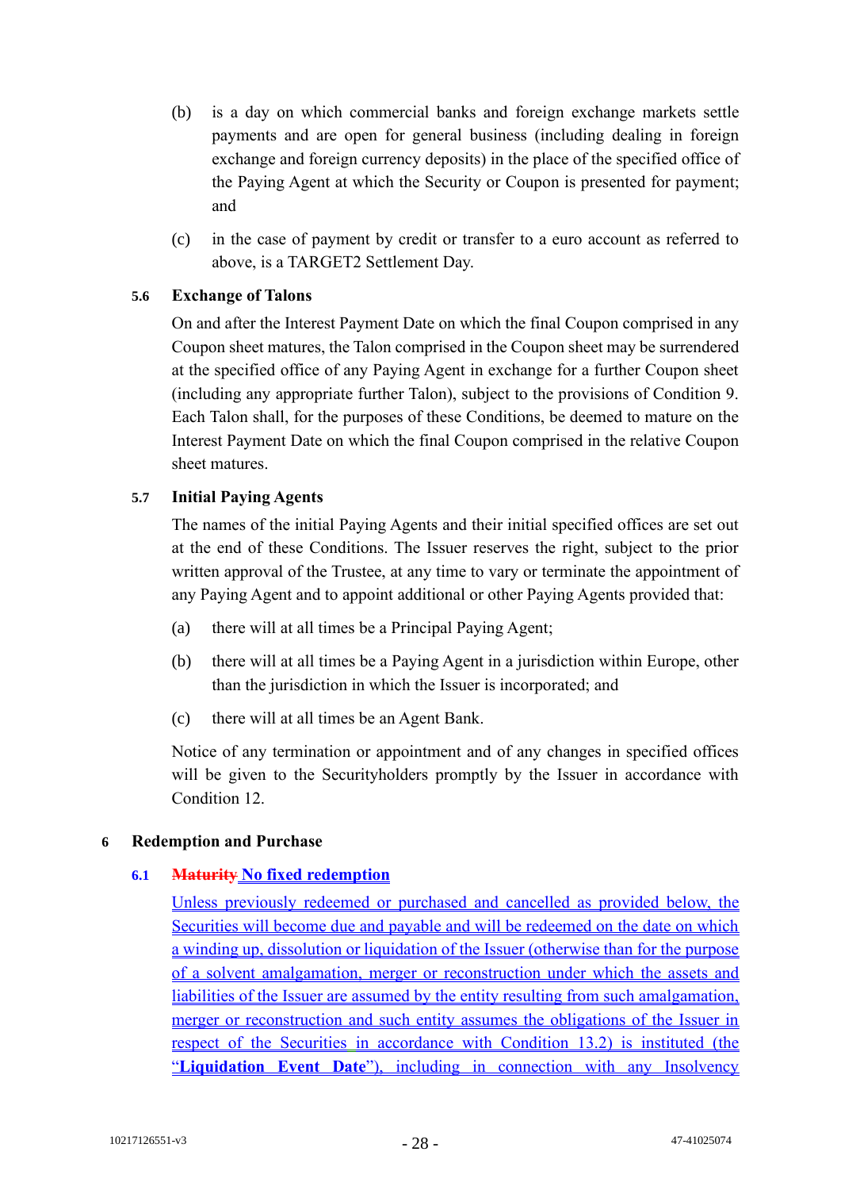- (b) is a day on which commercial banks and foreign exchange markets settle payments and are open for general business (including dealing in foreign exchange and foreign currency deposits) in the place of the specified office of the Paying Agent at which the Security or Coupon is presented for payment; and
- (c) in the case of payment by credit or transfer to a euro account as referred to above, is a TARGET2 Settlement Day.

# **5.6 Exchange of Talons**

On and after the Interest Payment Date on which the final Coupon comprised in any Coupon sheet matures, the Talon comprised in the Coupon sheet may be surrendered at the specified office of any Paying Agent in exchange for a further Coupon sheet (including any appropriate further Talon), subject to the provisions of Condition 9. Each Talon shall, for the purposes of these Conditions, be deemed to mature on the Interest Payment Date on which the final Coupon comprised in the relative Coupon sheet matures.

# **5.7 Initial Paying Agents**

The names of the initial Paying Agents and their initial specified offices are set out at the end of these Conditions. The Issuer reserves the right, subject to the prior written approval of the Trustee, at any time to vary or terminate the appointment of any Paying Agent and to appoint additional or other Paying Agents provided that:

- (a) there will at all times be a Principal Paying Agent;
- (b) there will at all times be a Paying Agent in a jurisdiction within Europe, other than the jurisdiction in which the Issuer is incorporated; and
- (c) there will at all times be an Agent Bank.

Notice of any termination or appointment and of any changes in specified offices will be given to the Securityholders promptly by the Issuer in accordance with Condition 12.

#### **6 Redemption and Purchase**

#### **6.1 Maturity No fixed redemption**

Unless previously redeemed or purchased and cancelled as provided below, the Securities will become due and payable and will be redeemed on the date on which a winding up, dissolution or liquidation of the Issuer (otherwise than for the purpose of a solvent amalgamation, merger or reconstruction under which the assets and liabilities of the Issuer are assumed by the entity resulting from such amalgamation, merger or reconstruction and such entity assumes the obligations of the Issuer in respect of the Securities in accordance with Condition 13.2) is instituted (the "**Liquidation Event Date**"), including in connection with any Insolvency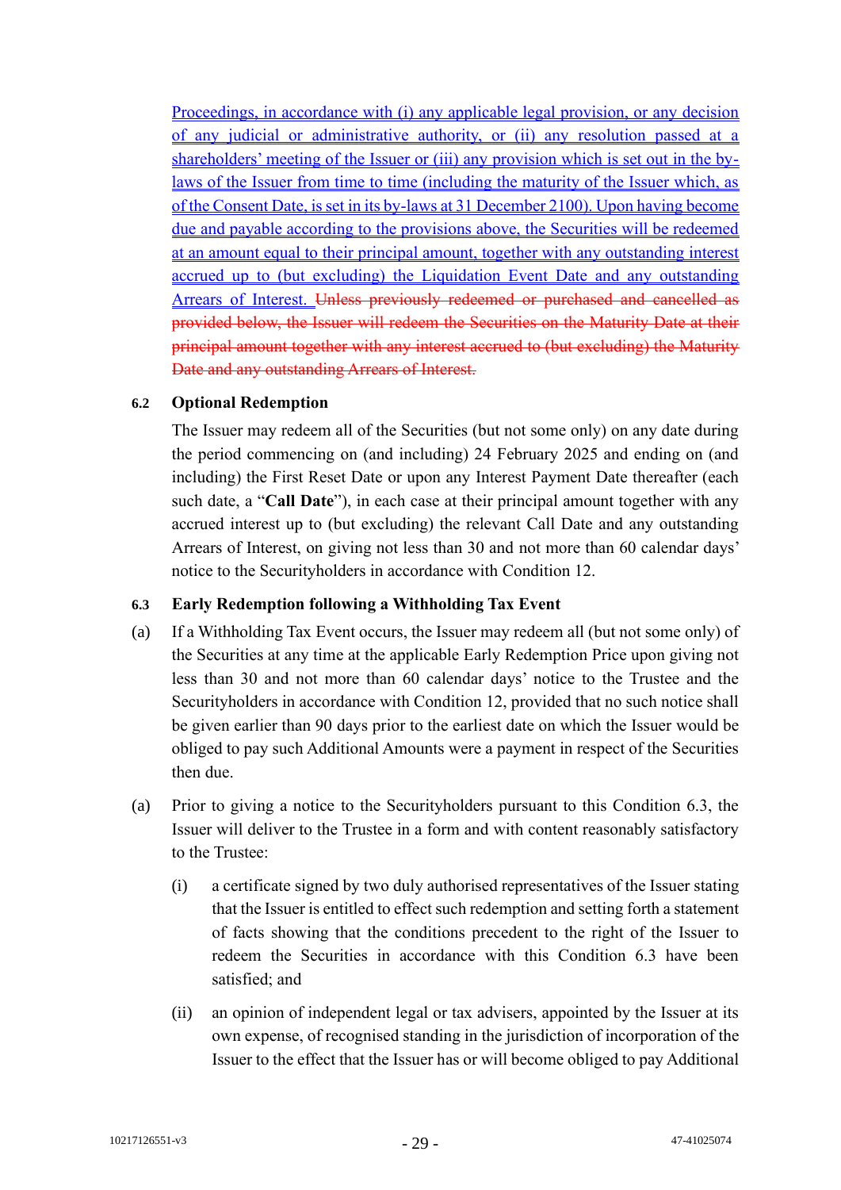Proceedings, in accordance with (i) any applicable legal provision, or any decision of any judicial or administrative authority, or (ii) any resolution passed at a shareholders' meeting of the Issuer or (iii) any provision which is set out in the bylaws of the Issuer from time to time (including the maturity of the Issuer which, as of the Consent Date, is set in its by-laws at 31 December 2100). Upon having become due and payable according to the provisions above, the Securities will be redeemed at an amount equal to their principal amount, together with any outstanding interest accrued up to (but excluding) the Liquidation Event Date and any outstanding Arrears of Interest. Unless previously redeemed or purchased and cancelled as provided below, the Issuer will redeem the Securities on the Maturity Date at their principal amount together with any interest accrued to (but excluding) the Maturity Date and any outstanding Arrears of Interest.

# **6.2 Optional Redemption**

The Issuer may redeem all of the Securities (but not some only) on any date during the period commencing on (and including) 24 February 2025 and ending on (and including) the First Reset Date or upon any Interest Payment Date thereafter (each such date, a "**Call Date**"), in each case at their principal amount together with any accrued interest up to (but excluding) the relevant Call Date and any outstanding Arrears of Interest, on giving not less than 30 and not more than 60 calendar days' notice to the Securityholders in accordance with Condition 12.

#### **6.3 Early Redemption following a Withholding Tax Event**

- (a) If a Withholding Tax Event occurs, the Issuer may redeem all (but not some only) of the Securities at any time at the applicable Early Redemption Price upon giving not less than 30 and not more than 60 calendar days' notice to the Trustee and the Securityholders in accordance with Condition 12, provided that no such notice shall be given earlier than 90 days prior to the earliest date on which the Issuer would be obliged to pay such Additional Amounts were a payment in respect of the Securities then due.
- (a) Prior to giving a notice to the Securityholders pursuant to this Condition 6.3, the Issuer will deliver to the Trustee in a form and with content reasonably satisfactory to the Trustee:
	- (i) a certificate signed by two duly authorised representatives of the Issuer stating that the Issuer is entitled to effect such redemption and setting forth a statement of facts showing that the conditions precedent to the right of the Issuer to redeem the Securities in accordance with this Condition 6.3 have been satisfied; and
	- (ii) an opinion of independent legal or tax advisers, appointed by the Issuer at its own expense, of recognised standing in the jurisdiction of incorporation of the Issuer to the effect that the Issuer has or will become obliged to pay Additional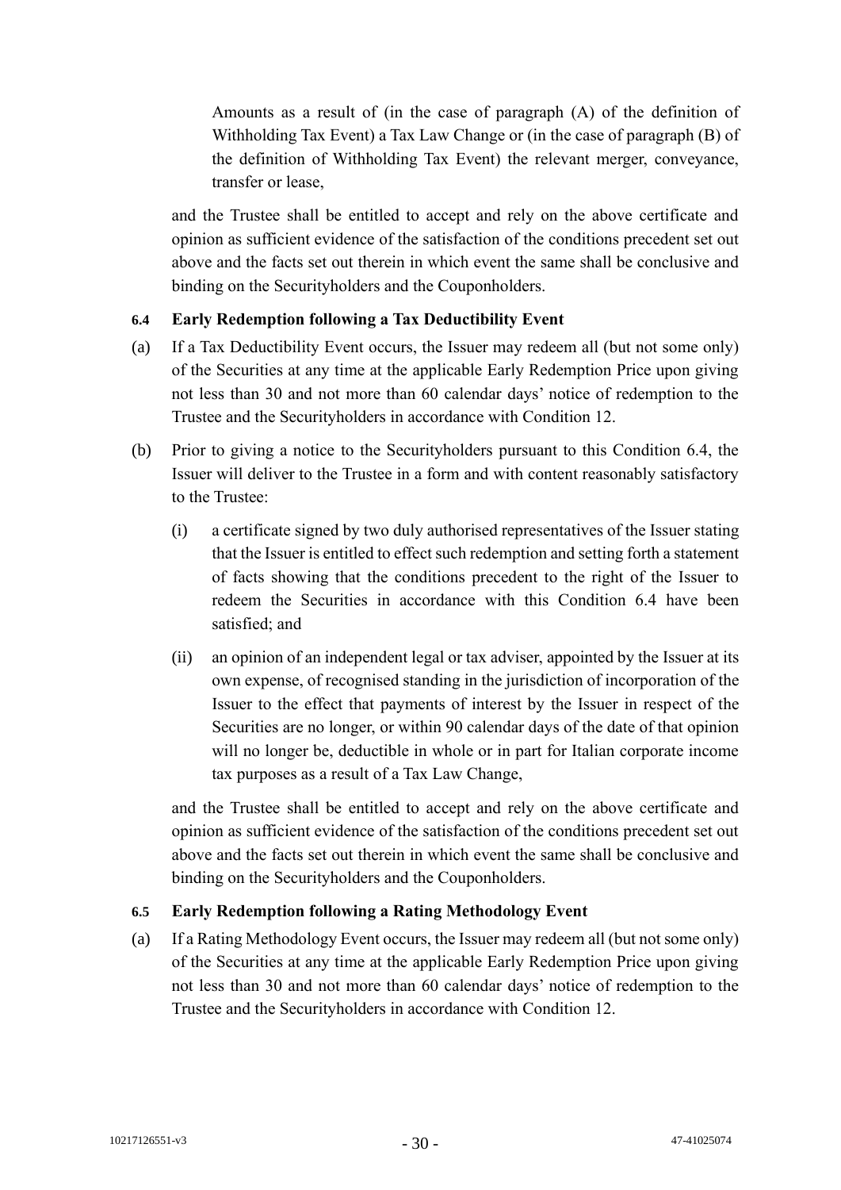Amounts as a result of (in the case of paragraph (A) of the definition of Withholding Tax Event) a Tax Law Change or (in the case of paragraph (B) of the definition of Withholding Tax Event) the relevant merger, conveyance, transfer or lease,

and the Trustee shall be entitled to accept and rely on the above certificate and opinion as sufficient evidence of the satisfaction of the conditions precedent set out above and the facts set out therein in which event the same shall be conclusive and binding on the Securityholders and the Couponholders.

# **6.4 Early Redemption following a Tax Deductibility Event**

- (a) If a Tax Deductibility Event occurs, the Issuer may redeem all (but not some only) of the Securities at any time at the applicable Early Redemption Price upon giving not less than 30 and not more than 60 calendar days' notice of redemption to the Trustee and the Securityholders in accordance with Condition 12.
- (b) Prior to giving a notice to the Securityholders pursuant to this Condition 6.4, the Issuer will deliver to the Trustee in a form and with content reasonably satisfactory to the Trustee:
	- (i) a certificate signed by two duly authorised representatives of the Issuer stating that the Issuer is entitled to effect such redemption and setting forth a statement of facts showing that the conditions precedent to the right of the Issuer to redeem the Securities in accordance with this Condition 6.4 have been satisfied; and
	- (ii) an opinion of an independent legal or tax adviser, appointed by the Issuer at its own expense, of recognised standing in the jurisdiction of incorporation of the Issuer to the effect that payments of interest by the Issuer in respect of the Securities are no longer, or within 90 calendar days of the date of that opinion will no longer be, deductible in whole or in part for Italian corporate income tax purposes as a result of a Tax Law Change,

and the Trustee shall be entitled to accept and rely on the above certificate and opinion as sufficient evidence of the satisfaction of the conditions precedent set out above and the facts set out therein in which event the same shall be conclusive and binding on the Securityholders and the Couponholders.

# **6.5 Early Redemption following a Rating Methodology Event**

(a) If a Rating Methodology Event occurs, the Issuer may redeem all (but not some only) of the Securities at any time at the applicable Early Redemption Price upon giving not less than 30 and not more than 60 calendar days' notice of redemption to the Trustee and the Securityholders in accordance with Condition 12.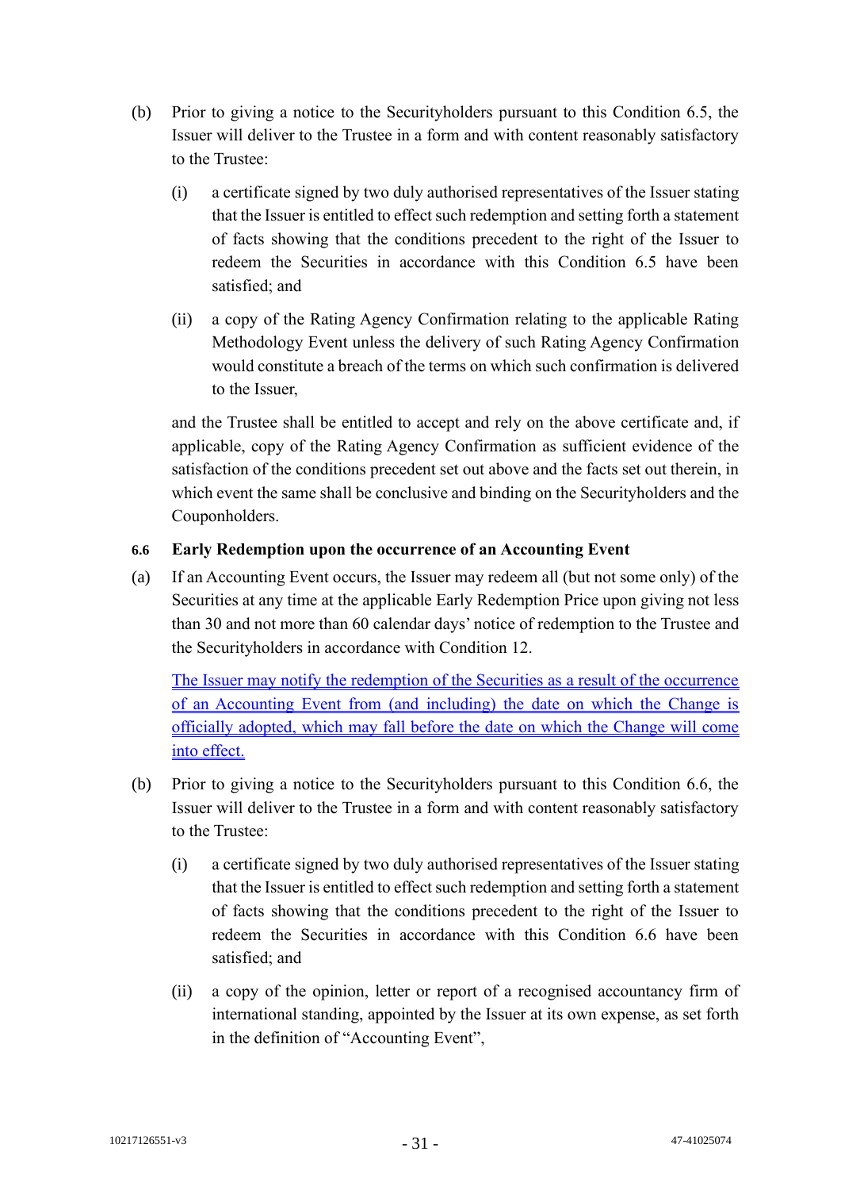- (b) Prior to giving a notice to the Securityholders pursuant to this Condition 6.5, the Issuer will deliver to the Trustee in a form and with content reasonably satisfactory to the Trustee:
	- (i) a certificate signed by two duly authorised representatives of the Issuer stating that the Issuer is entitled to effect such redemption and setting forth a statement of facts showing that the conditions precedent to the right of the Issuer to redeem the Securities in accordance with this Condition 6.5 have been satisfied; and
	- (ii) a copy of the Rating Agency Confirmation relating to the applicable Rating Methodology Event unless the delivery of such Rating Agency Confirmation would constitute a breach of the terms on which such confirmation is delivered to the Issuer,

and the Trustee shall be entitled to accept and rely on the above certificate and, if applicable, copy of the Rating Agency Confirmation as sufficient evidence of the satisfaction of the conditions precedent set out above and the facts set out therein, in which event the same shall be conclusive and binding on the Securityholders and the Couponholders.

# **6.6 Early Redemption upon the occurrence of an Accounting Event**

(a) If an Accounting Event occurs, the Issuer may redeem all (but not some only) of the Securities at any time at the applicable Early Redemption Price upon giving not less than 30 and not more than 60 calendar days' notice of redemption to the Trustee and the Securityholders in accordance with Condition 12.

The Issuer may notify the redemption of the Securities as a result of the occurrence of an Accounting Event from (and including) the date on which the Change is officially adopted, which may fall before the date on which the Change will come into effect.

- (b) Prior to giving a notice to the Securityholders pursuant to this Condition 6.6, the Issuer will deliver to the Trustee in a form and with content reasonably satisfactory to the Trustee:
	- (i) a certificate signed by two duly authorised representatives of the Issuer stating that the Issuer is entitled to effect such redemption and setting forth a statement of facts showing that the conditions precedent to the right of the Issuer to redeem the Securities in accordance with this Condition 6.6 have been satisfied; and
	- (ii) a copy of the opinion, letter or report of a recognised accountancy firm of international standing, appointed by the Issuer at its own expense, as set forth in the definition of "Accounting Event",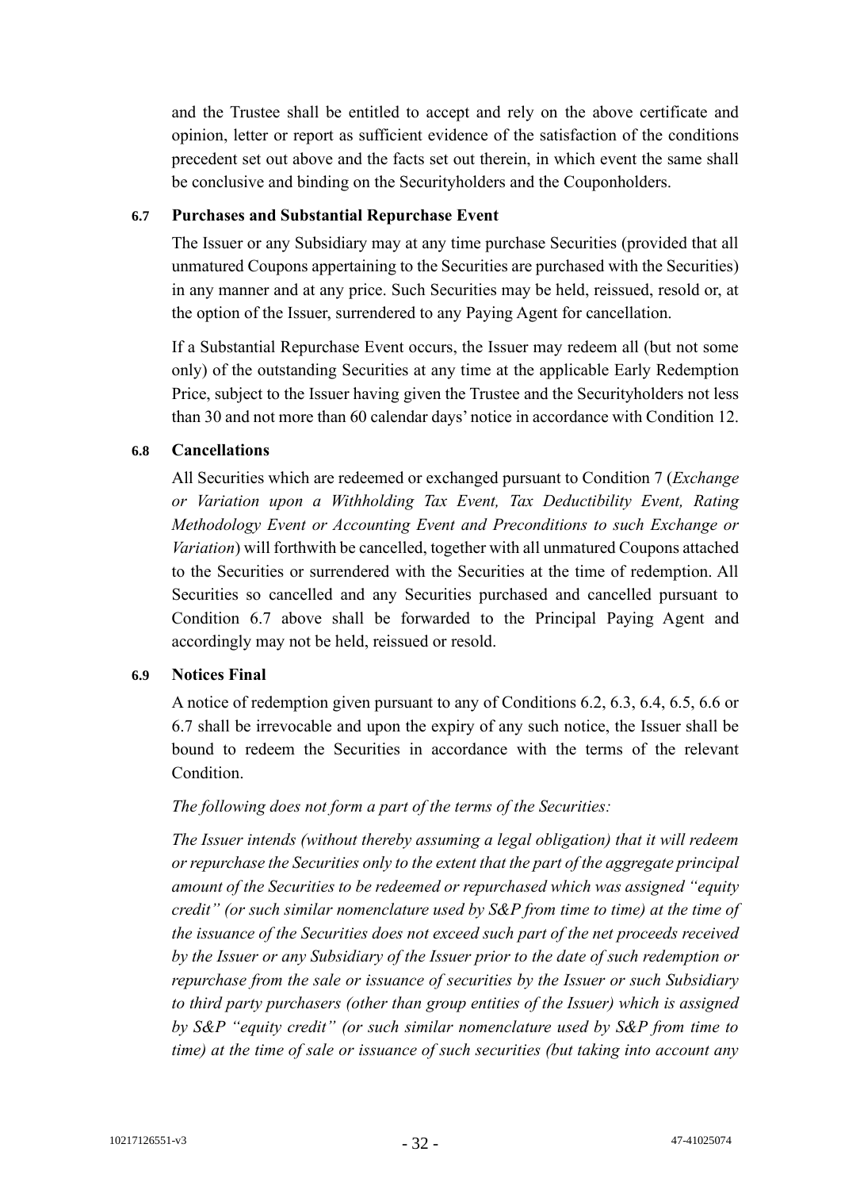and the Trustee shall be entitled to accept and rely on the above certificate and opinion, letter or report as sufficient evidence of the satisfaction of the conditions precedent set out above and the facts set out therein, in which event the same shall be conclusive and binding on the Securityholders and the Couponholders.

# **6.7 Purchases and Substantial Repurchase Event**

The Issuer or any Subsidiary may at any time purchase Securities (provided that all unmatured Coupons appertaining to the Securities are purchased with the Securities) in any manner and at any price. Such Securities may be held, reissued, resold or, at the option of the Issuer, surrendered to any Paying Agent for cancellation.

If a Substantial Repurchase Event occurs, the Issuer may redeem all (but not some only) of the outstanding Securities at any time at the applicable Early Redemption Price, subject to the Issuer having given the Trustee and the Securityholders not less than 30 and not more than 60 calendar days' notice in accordance with Condition 12.

# **6.8 Cancellations**

All Securities which are redeemed or exchanged pursuant to Condition 7 (*Exchange or Variation upon a Withholding Tax Event, Tax Deductibility Event, Rating Methodology Event or Accounting Event and Preconditions to such Exchange or Variation*) will forthwith be cancelled, together with all unmatured Coupons attached to the Securities or surrendered with the Securities at the time of redemption. All Securities so cancelled and any Securities purchased and cancelled pursuant to Condition 6.7 above shall be forwarded to the Principal Paying Agent and accordingly may not be held, reissued or resold.

# **6.9 Notices Final**

A notice of redemption given pursuant to any of Conditions 6.2, 6.3, 6.4, 6.5, 6.6 or 6.7 shall be irrevocable and upon the expiry of any such notice, the Issuer shall be bound to redeem the Securities in accordance with the terms of the relevant Condition.

# *The following does not form a part of the terms of the Securities:*

*The Issuer intends (without thereby assuming a legal obligation) that it will redeem or repurchase the Securities only to the extent that the part of the aggregate principal amount of the Securities to be redeemed or repurchased which was assigned "equity credit" (or such similar nomenclature used by S&P from time to time) at the time of the issuance of the Securities does not exceed such part of the net proceeds received by the Issuer or any Subsidiary of the Issuer prior to the date of such redemption or repurchase from the sale or issuance of securities by the Issuer or such Subsidiary to third party purchasers (other than group entities of the Issuer) which is assigned by S&P "equity credit" (or such similar nomenclature used by S&P from time to time) at the time of sale or issuance of such securities (but taking into account any*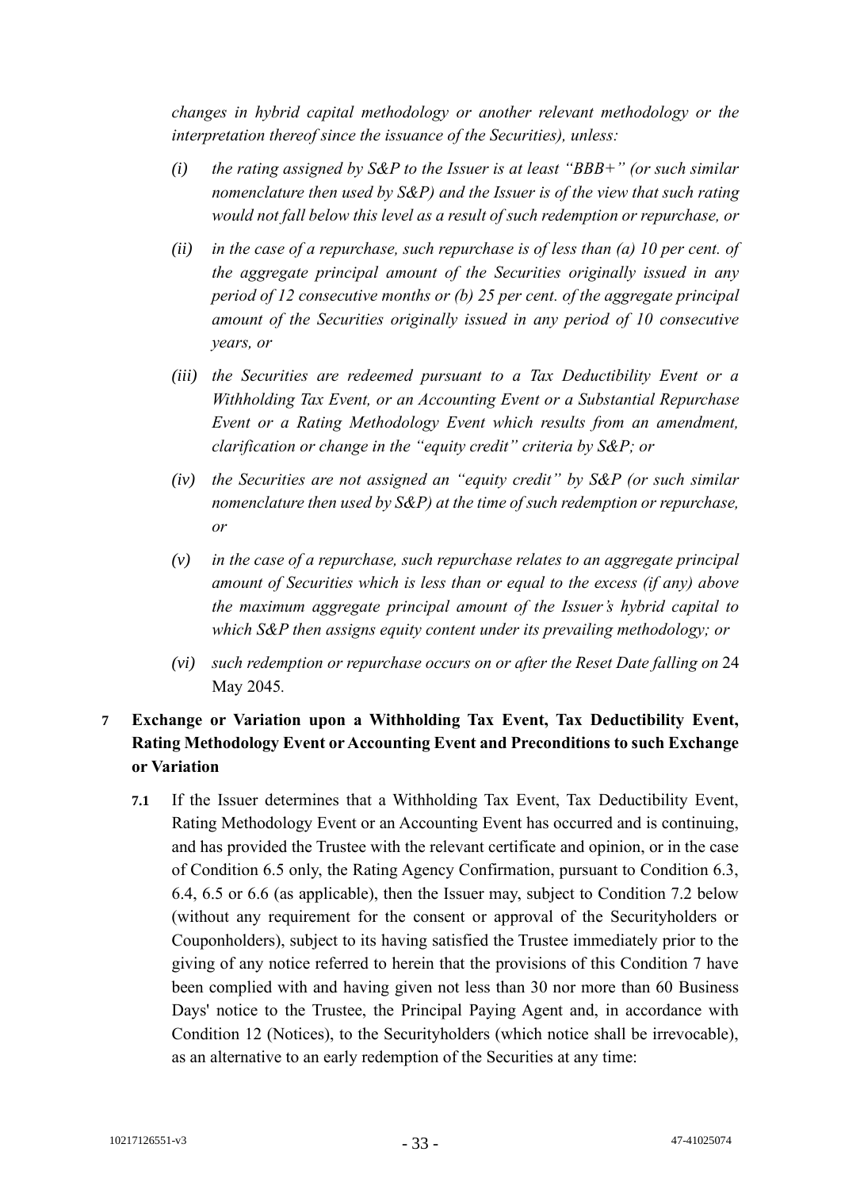*changes in hybrid capital methodology or another relevant methodology or the interpretation thereof since the issuance of the Securities), unless:*

- *(i) the rating assigned by S&P to the Issuer is at least "BBB+" (or such similar nomenclature then used by S&P) and the Issuer is of the view that such rating would not fall below this level as a result of such redemption or repurchase, or*
- *(ii) in the case of a repurchase, such repurchase is of less than (a) 10 per cent. of the aggregate principal amount of the Securities originally issued in any period of 12 consecutive months or (b) 25 per cent. of the aggregate principal amount of the Securities originally issued in any period of 10 consecutive years, or*
- *(iii) the Securities are redeemed pursuant to a Tax Deductibility Event or a Withholding Tax Event, or an Accounting Event or a Substantial Repurchase Event or a Rating Methodology Event which results from an amendment, clarification or change in the "equity credit" criteria by S&P; or*
- *(iv) the Securities are not assigned an "equity credit" by S&P (or such similar nomenclature then used by S&P) at the time of such redemption or repurchase, or*
- *(v) in the case of a repurchase, such repurchase relates to an aggregate principal amount of Securities which is less than or equal to the excess (if any) above the maximum aggregate principal amount of the Issuer's hybrid capital to which S&P then assigns equity content under its prevailing methodology; or*
- *(vi) such redemption or repurchase occurs on or after the Reset Date falling on* 24 May 2045*.*

# **7 Exchange or Variation upon a Withholding Tax Event, Tax Deductibility Event, Rating Methodology Event or Accounting Event and Preconditions to such Exchange or Variation**

**7.1** If the Issuer determines that a Withholding Tax Event, Tax Deductibility Event, Rating Methodology Event or an Accounting Event has occurred and is continuing, and has provided the Trustee with the relevant certificate and opinion, or in the case of Condition 6.5 only, the Rating Agency Confirmation, pursuant to Condition 6.3, 6.4, 6.5 or 6.6 (as applicable), then the Issuer may, subject to Condition 7.2 below (without any requirement for the consent or approval of the Securityholders or Couponholders), subject to its having satisfied the Trustee immediately prior to the giving of any notice referred to herein that the provisions of this Condition 7 have been complied with and having given not less than 30 nor more than 60 Business Days' notice to the Trustee, the Principal Paying Agent and, in accordance with Condition 12 (Notices), to the Securityholders (which notice shall be irrevocable), as an alternative to an early redemption of the Securities at any time: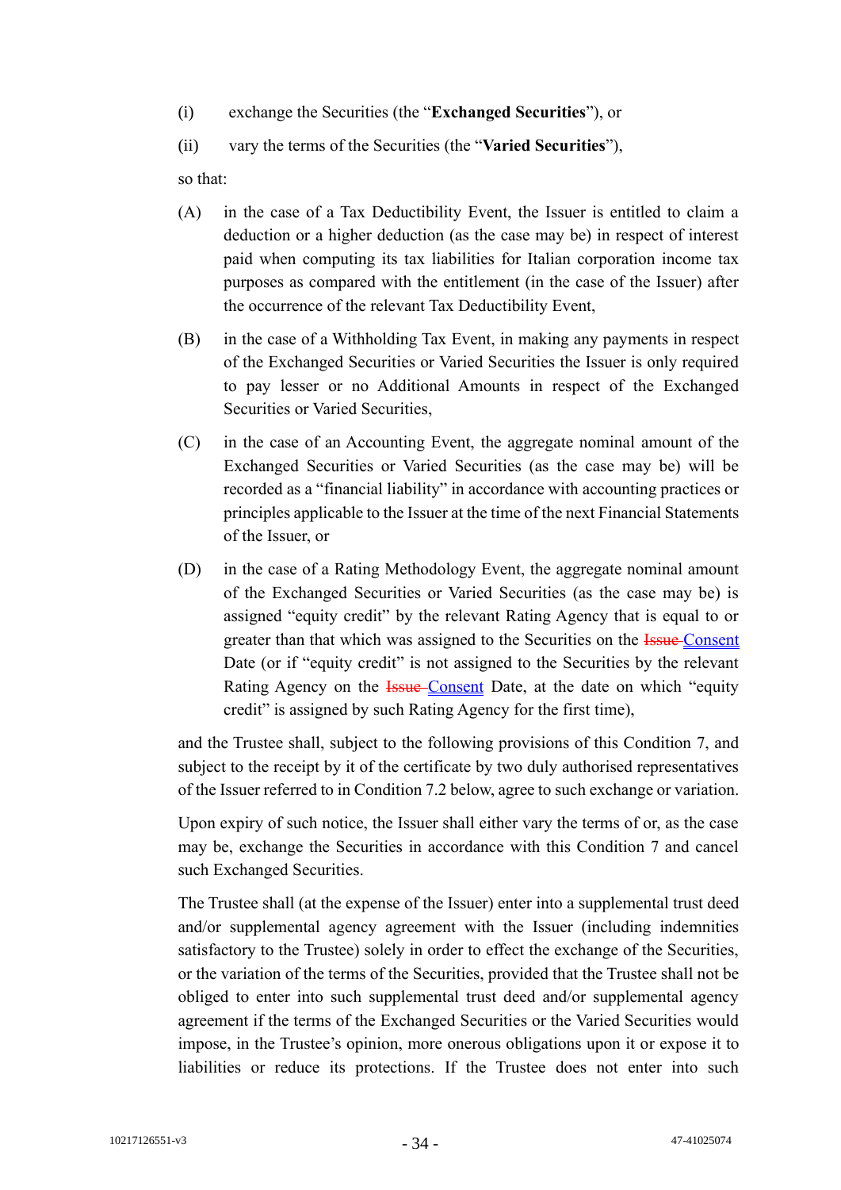- (i) exchange the Securities (the "**Exchanged Securities**"), or
- (ii) vary the terms of the Securities (the "**Varied Securities**"),

so that:

- (A) in the case of a Tax Deductibility Event, the Issuer is entitled to claim a deduction or a higher deduction (as the case may be) in respect of interest paid when computing its tax liabilities for Italian corporation income tax purposes as compared with the entitlement (in the case of the Issuer) after the occurrence of the relevant Tax Deductibility Event,
- (B) in the case of a Withholding Tax Event, in making any payments in respect of the Exchanged Securities or Varied Securities the Issuer is only required to pay lesser or no Additional Amounts in respect of the Exchanged Securities or Varied Securities,
- (C) in the case of an Accounting Event, the aggregate nominal amount of the Exchanged Securities or Varied Securities (as the case may be) will be recorded as a "financial liability" in accordance with accounting practices or principles applicable to the Issuer at the time of the next Financial Statements of the Issuer, or
- (D) in the case of a Rating Methodology Event, the aggregate nominal amount of the Exchanged Securities or Varied Securities (as the case may be) is assigned "equity credit" by the relevant Rating Agency that is equal to or greater than that which was assigned to the Securities on the **Issue Consent** Date (or if "equity credit" is not assigned to the Securities by the relevant Rating Agency on the **Issue-Consent** Date, at the date on which "equity credit" is assigned by such Rating Agency for the first time),

and the Trustee shall, subject to the following provisions of this Condition 7, and subject to the receipt by it of the certificate by two duly authorised representatives of the Issuer referred to in Condition 7.2 below, agree to such exchange or variation.

Upon expiry of such notice, the Issuer shall either vary the terms of or, as the case may be, exchange the Securities in accordance with this Condition 7 and cancel such Exchanged Securities.

The Trustee shall (at the expense of the Issuer) enter into a supplemental trust deed and/or supplemental agency agreement with the Issuer (including indemnities satisfactory to the Trustee) solely in order to effect the exchange of the Securities, or the variation of the terms of the Securities, provided that the Trustee shall not be obliged to enter into such supplemental trust deed and/or supplemental agency agreement if the terms of the Exchanged Securities or the Varied Securities would impose, in the Trustee's opinion, more onerous obligations upon it or expose it to liabilities or reduce its protections. If the Trustee does not enter into such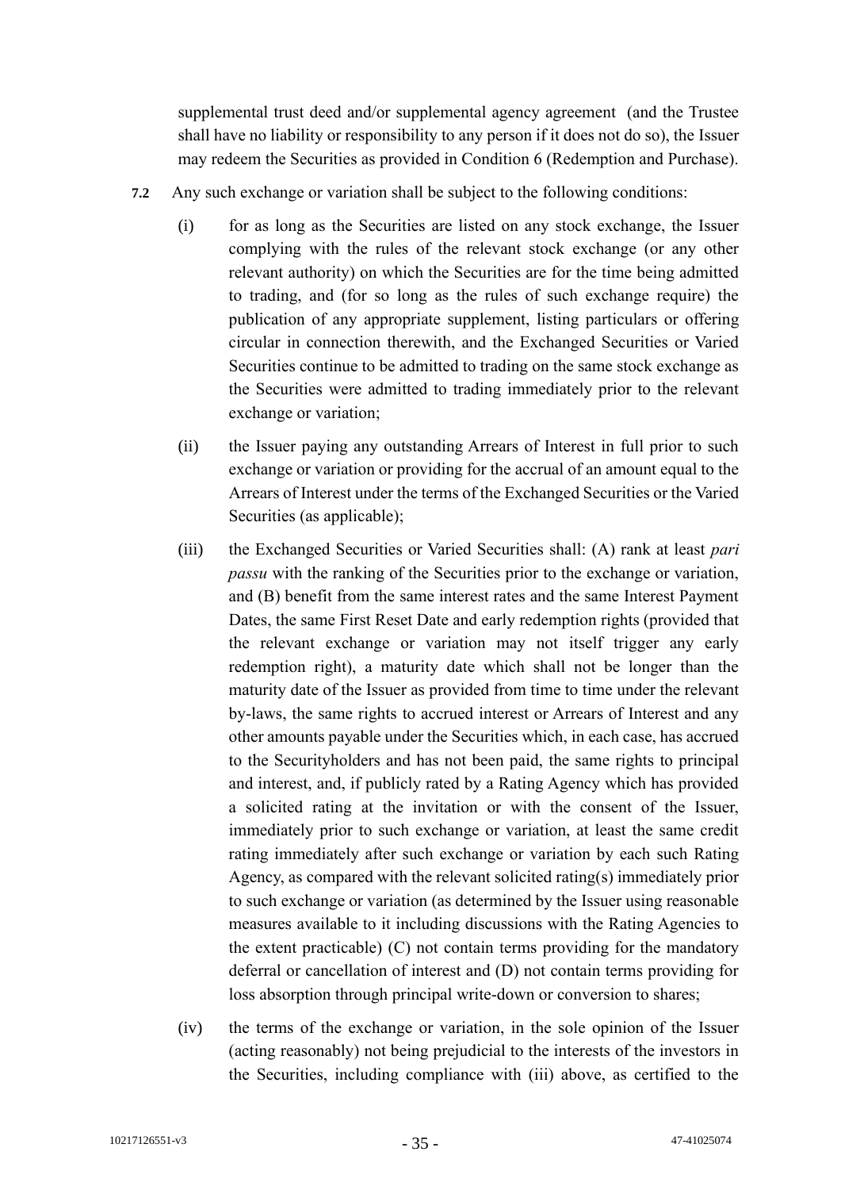supplemental trust deed and/or supplemental agency agreement (and the Trustee shall have no liability or responsibility to any person if it does not do so), the Issuer may redeem the Securities as provided in Condition 6 (Redemption and Purchase).

- **7.2** Any such exchange or variation shall be subject to the following conditions:
	- (i) for as long as the Securities are listed on any stock exchange, the Issuer complying with the rules of the relevant stock exchange (or any other relevant authority) on which the Securities are for the time being admitted to trading, and (for so long as the rules of such exchange require) the publication of any appropriate supplement, listing particulars or offering circular in connection therewith, and the Exchanged Securities or Varied Securities continue to be admitted to trading on the same stock exchange as the Securities were admitted to trading immediately prior to the relevant exchange or variation;
	- (ii) the Issuer paying any outstanding Arrears of Interest in full prior to such exchange or variation or providing for the accrual of an amount equal to the Arrears of Interest under the terms of the Exchanged Securities or the Varied Securities (as applicable);
	- (iii) the Exchanged Securities or Varied Securities shall: (A) rank at least *pari passu* with the ranking of the Securities prior to the exchange or variation, and (B) benefit from the same interest rates and the same Interest Payment Dates, the same First Reset Date and early redemption rights (provided that the relevant exchange or variation may not itself trigger any early redemption right), a maturity date which shall not be longer than the maturity date of the Issuer as provided from time to time under the relevant by-laws, the same rights to accrued interest or Arrears of Interest and any other amounts payable under the Securities which, in each case, has accrued to the Securityholders and has not been paid, the same rights to principal and interest, and, if publicly rated by a Rating Agency which has provided a solicited rating at the invitation or with the consent of the Issuer, immediately prior to such exchange or variation, at least the same credit rating immediately after such exchange or variation by each such Rating Agency, as compared with the relevant solicited rating(s) immediately prior to such exchange or variation (as determined by the Issuer using reasonable measures available to it including discussions with the Rating Agencies to the extent practicable) (C) not contain terms providing for the mandatory deferral or cancellation of interest and (D) not contain terms providing for loss absorption through principal write-down or conversion to shares;
	- (iv) the terms of the exchange or variation, in the sole opinion of the Issuer (acting reasonably) not being prejudicial to the interests of the investors in the Securities, including compliance with (iii) above, as certified to the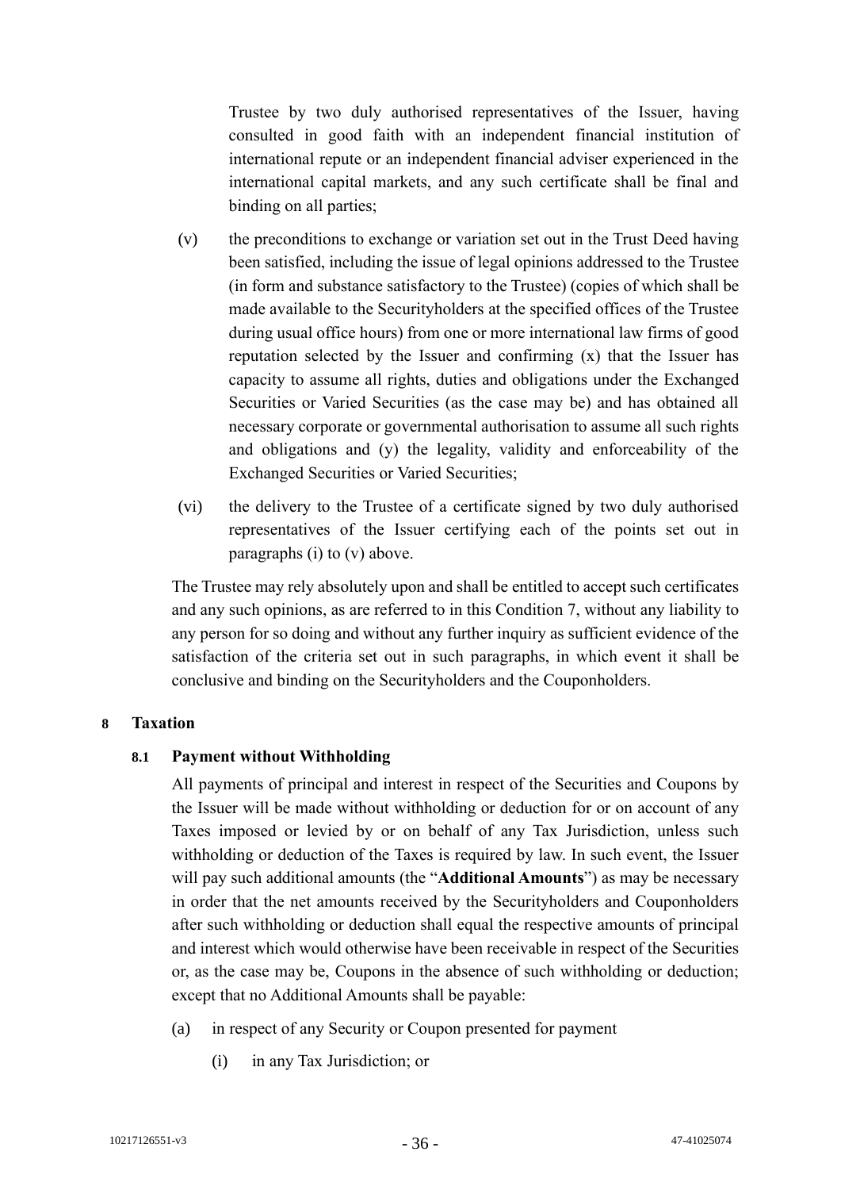Trustee by two duly authorised representatives of the Issuer, having consulted in good faith with an independent financial institution of international repute or an independent financial adviser experienced in the international capital markets, and any such certificate shall be final and binding on all parties;

- (v) the preconditions to exchange or variation set out in the Trust Deed having been satisfied, including the issue of legal opinions addressed to the Trustee (in form and substance satisfactory to the Trustee) (copies of which shall be made available to the Securityholders at the specified offices of the Trustee during usual office hours) from one or more international law firms of good reputation selected by the Issuer and confirming (x) that the Issuer has capacity to assume all rights, duties and obligations under the Exchanged Securities or Varied Securities (as the case may be) and has obtained all necessary corporate or governmental authorisation to assume all such rights and obligations and (y) the legality, validity and enforceability of the Exchanged Securities or Varied Securities;
- (vi) the delivery to the Trustee of a certificate signed by two duly authorised representatives of the Issuer certifying each of the points set out in paragraphs (i) to (v) above.

The Trustee may rely absolutely upon and shall be entitled to accept such certificates and any such opinions, as are referred to in this Condition 7, without any liability to any person for so doing and without any further inquiry as sufficient evidence of the satisfaction of the criteria set out in such paragraphs, in which event it shall be conclusive and binding on the Securityholders and the Couponholders.

#### **8 Taxation**

# **8.1 Payment without Withholding**

All payments of principal and interest in respect of the Securities and Coupons by the Issuer will be made without withholding or deduction for or on account of any Taxes imposed or levied by or on behalf of any Tax Jurisdiction, unless such withholding or deduction of the Taxes is required by law. In such event, the Issuer will pay such additional amounts (the "**Additional Amounts**") as may be necessary in order that the net amounts received by the Securityholders and Couponholders after such withholding or deduction shall equal the respective amounts of principal and interest which would otherwise have been receivable in respect of the Securities or, as the case may be, Coupons in the absence of such withholding or deduction; except that no Additional Amounts shall be payable:

- (a) in respect of any Security or Coupon presented for payment
	- (i) in any Tax Jurisdiction; or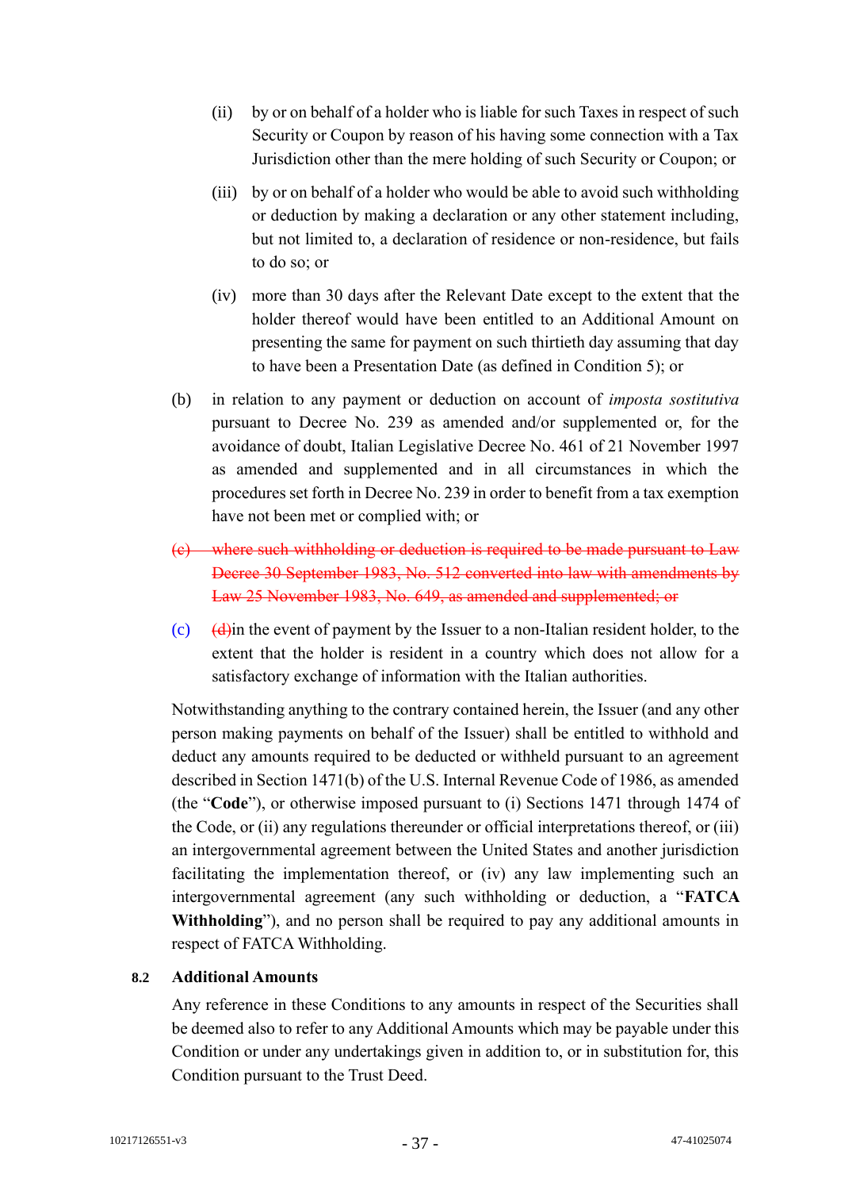- (ii) by or on behalf of a holder who is liable for such Taxes in respect of such Security or Coupon by reason of his having some connection with a Tax Jurisdiction other than the mere holding of such Security or Coupon; or
- (iii) by or on behalf of a holder who would be able to avoid such withholding or deduction by making a declaration or any other statement including, but not limited to, a declaration of residence or non-residence, but fails to do so; or
- (iv) more than 30 days after the Relevant Date except to the extent that the holder thereof would have been entitled to an Additional Amount on presenting the same for payment on such thirtieth day assuming that day to have been a Presentation Date (as defined in Condition 5); or
- (b) in relation to any payment or deduction on account of *imposta sostitutiva*  pursuant to Decree No. 239 as amended and/or supplemented or, for the avoidance of doubt, Italian Legislative Decree No. 461 of 21 November 1997 as amended and supplemented and in all circumstances in which the procedures set forth in Decree No. 239 in order to benefit from a tax exemption have not been met or complied with; or
- (c) where such withholding or deduction is required to be made pursuant to Law Decree 30 September 1983, No. 512 converted into law with amendments by Law 25 November 1983, No. 649, as amended and supplemented; or
- (c)  $\left(\frac{d}{dx}\right)$  (d) the event of payment by the Issuer to a non-Italian resident holder, to the extent that the holder is resident in a country which does not allow for a satisfactory exchange of information with the Italian authorities.

Notwithstanding anything to the contrary contained herein, the Issuer (and any other person making payments on behalf of the Issuer) shall be entitled to withhold and deduct any amounts required to be deducted or withheld pursuant to an agreement described in Section 1471(b) of the U.S. Internal Revenue Code of 1986, as amended (the "**Code**"), or otherwise imposed pursuant to (i) Sections 1471 through 1474 of the Code, or (ii) any regulations thereunder or official interpretations thereof, or (iii) an intergovernmental agreement between the United States and another jurisdiction facilitating the implementation thereof, or (iv) any law implementing such an intergovernmental agreement (any such withholding or deduction, a "**FATCA Withholding**"), and no person shall be required to pay any additional amounts in respect of FATCA Withholding.

#### **8.2 Additional Amounts**

Any reference in these Conditions to any amounts in respect of the Securities shall be deemed also to refer to any Additional Amounts which may be payable under this Condition or under any undertakings given in addition to, or in substitution for, this Condition pursuant to the Trust Deed.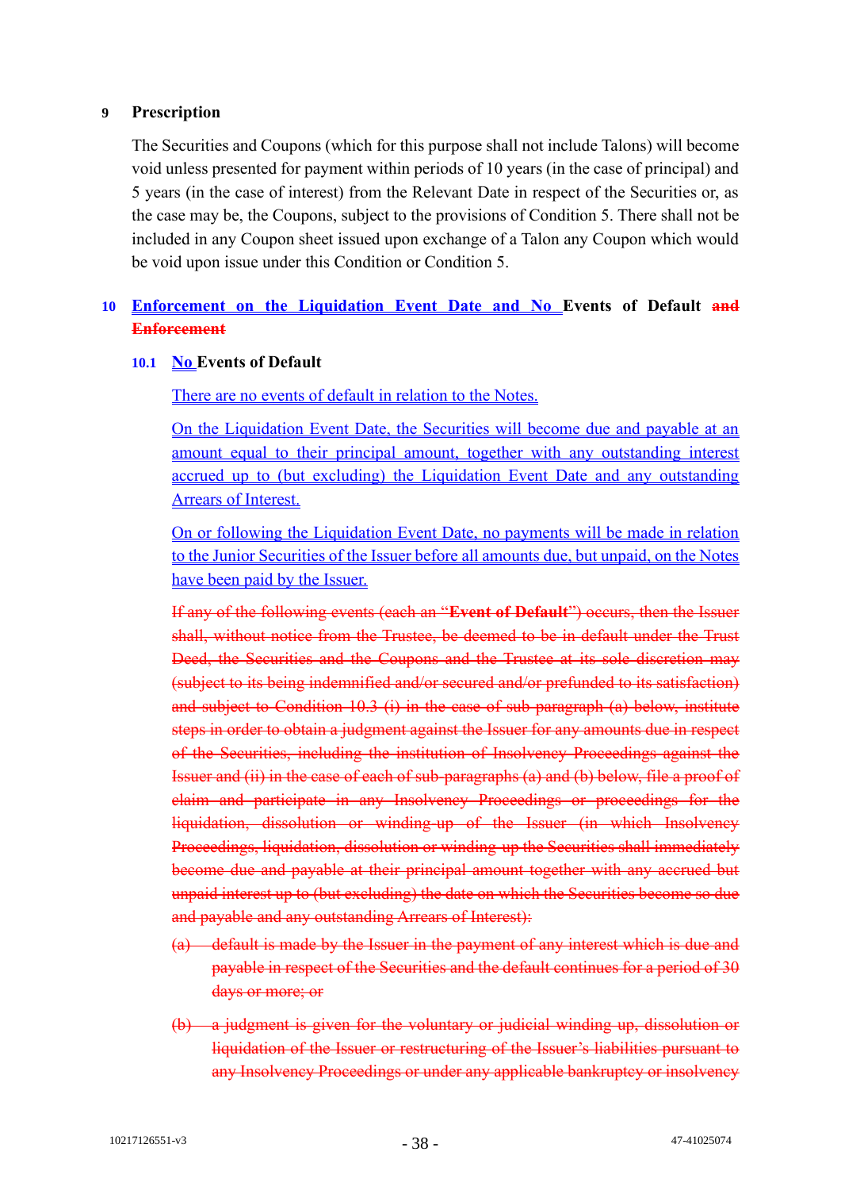### **9 Prescription**

The Securities and Coupons (which for this purpose shall not include Talons) will become void unless presented for payment within periods of 10 years (in the case of principal) and 5 years (in the case of interest) from the Relevant Date in respect of the Securities or, as the case may be, the Coupons, subject to the provisions of Condition 5. There shall not be included in any Coupon sheet issued upon exchange of a Talon any Coupon which would be void upon issue under this Condition or Condition 5.

# **10 Enforcement on the Liquidation Event Date and No Events of Default and Enforcement**

# **10.1 No Events of Default**

There are no events of default in relation to the Notes.

On the Liquidation Event Date, the Securities will become due and payable at an amount equal to their principal amount, together with any outstanding interest accrued up to (but excluding) the Liquidation Event Date and any outstanding Arrears of Interest.

On or following the Liquidation Event Date, no payments will be made in relation to the Junior Securities of the Issuer before all amounts due, but unpaid, on the Notes have been paid by the Issuer.

If any of the following events (each an "**Event of Default**") occurs, then the Issuer shall, without notice from the Trustee, be deemed to be in default under the Trust Deed, the Securities and the Coupons and the Trustee at its sole discretion may (subject to its being indemnified and/or secured and/or prefunded to its satisfaction) and subject to Condition 10.3 (i) in the case of sub-paragraph (a) below, institute steps in order to obtain a judgment against the Issuer for any amounts due in respect of the Securities, including the institution of Insolvency Proceedings against the Issuer and (ii) in the case of each of sub-paragraphs (a) and (b) below, file a proof of claim and participate in any Insolvency Proceedings or proceedings for the liquidation, dissolution or winding-up of the Issuer (in which Insolvency Proceedings, liquidation, dissolution or winding-up the Securities shall immediately become due and payable at their principal amount together with any accrued but unpaid interest up to (but excluding) the date on which the Securities become so due and payable and any outstanding Arrears of Interest):

- (a) default is made by the Issuer in the payment of any interest which is due and payable in respect of the Securities and the default continues for a period of 30 days or more; or
- (b) a judgment is given for the voluntary or judicial winding up, dissolution or liquidation of the Issuer or restructuring of the Issuer's liabilities pursuant to any Insolvency Proceedings or under any applicable bankruptcy or insolvency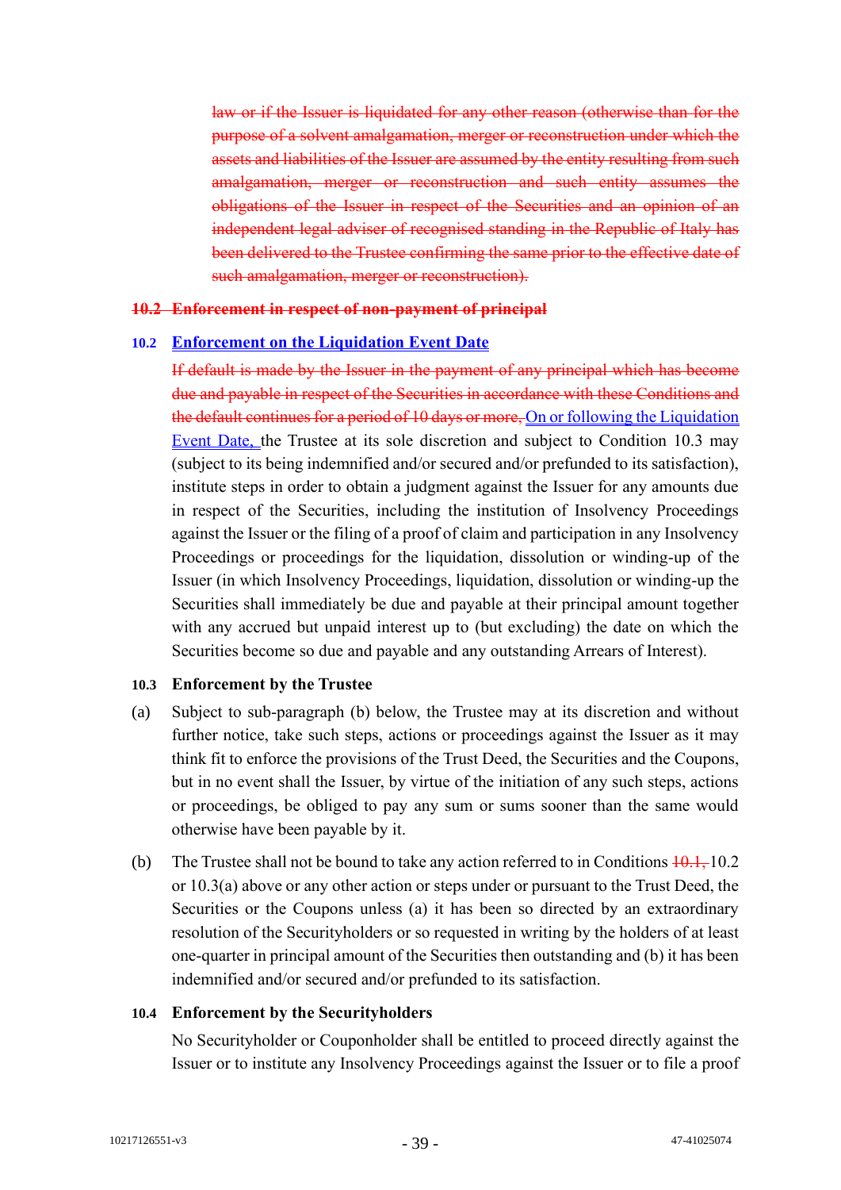law or if the Issuer is liquidated for any other reason (otherwise than for the purpose of a solvent amalgamation, merger or reconstruction under which the assets and liabilities of the Issuer are assumed by the entity resulting from such amalgamation, merger or reconstruction and such entity assumes the obligations of the Issuer in respect of the Securities and an opinion of an independent legal adviser of recognised standing in the Republic of Italy has been delivered to the Trustee confirming the same prior to the effective date of such amalgamation, merger or reconstruction).

#### **10.2 Enforcement in respect of non-payment of principal**

#### **10.2 Enforcement on the Liquidation Event Date**

If default is made by the Issuer in the payment of any principal which has become due and payable in respect of the Securities in accordance with these Conditions and the default continues for a period of 10 days or more, On or following the Liquidation Event Date, the Trustee at its sole discretion and subject to Condition 10.3 may (subject to its being indemnified and/or secured and/or prefunded to its satisfaction), institute steps in order to obtain a judgment against the Issuer for any amounts due in respect of the Securities, including the institution of Insolvency Proceedings against the Issuer or the filing of a proof of claim and participation in any Insolvency Proceedings or proceedings for the liquidation, dissolution or winding-up of the Issuer (in which Insolvency Proceedings, liquidation, dissolution or winding-up the Securities shall immediately be due and payable at their principal amount together with any accrued but unpaid interest up to (but excluding) the date on which the Securities become so due and payable and any outstanding Arrears of Interest).

#### **10.3 Enforcement by the Trustee**

- (a) Subject to sub-paragraph (b) below, the Trustee may at its discretion and without further notice, take such steps, actions or proceedings against the Issuer as it may think fit to enforce the provisions of the Trust Deed, the Securities and the Coupons, but in no event shall the Issuer, by virtue of the initiation of any such steps, actions or proceedings, be obliged to pay any sum or sums sooner than the same would otherwise have been payable by it.
- (b) The Trustee shall not be bound to take any action referred to in Conditions  $\frac{10.1}{10.2}$ or 10.3(a) above or any other action or steps under or pursuant to the Trust Deed, the Securities or the Coupons unless (a) it has been so directed by an extraordinary resolution of the Securityholders or so requested in writing by the holders of at least one-quarter in principal amount of the Securities then outstanding and (b) it has been indemnified and/or secured and/or prefunded to its satisfaction.

#### **10.4 Enforcement by the Securityholders**

No Securityholder or Couponholder shall be entitled to proceed directly against the Issuer or to institute any Insolvency Proceedings against the Issuer or to file a proof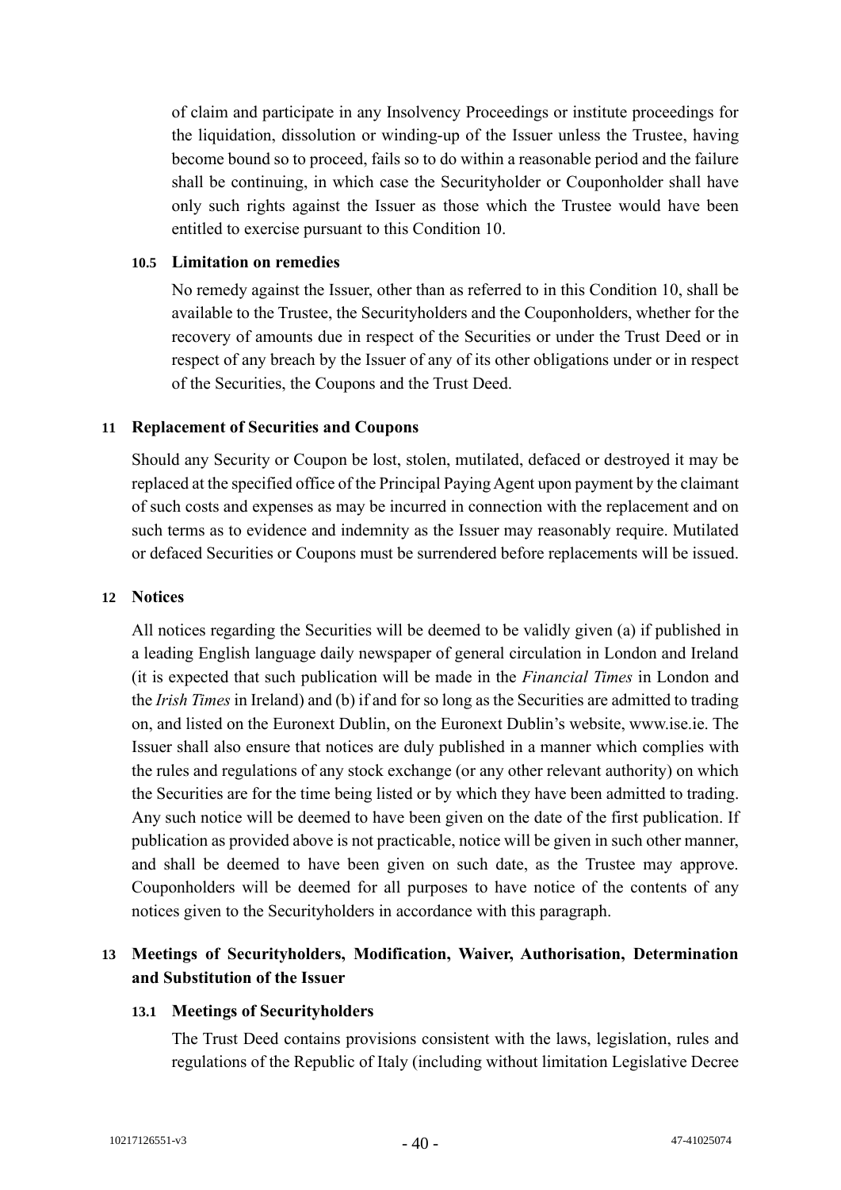of claim and participate in any Insolvency Proceedings or institute proceedings for the liquidation, dissolution or winding-up of the Issuer unless the Trustee, having become bound so to proceed, fails so to do within a reasonable period and the failure shall be continuing, in which case the Securityholder or Couponholder shall have only such rights against the Issuer as those which the Trustee would have been entitled to exercise pursuant to this Condition 10.

#### **10.5 Limitation on remedies**

No remedy against the Issuer, other than as referred to in this Condition 10, shall be available to the Trustee, the Securityholders and the Couponholders, whether for the recovery of amounts due in respect of the Securities or under the Trust Deed or in respect of any breach by the Issuer of any of its other obligations under or in respect of the Securities, the Coupons and the Trust Deed.

#### **11 Replacement of Securities and Coupons**

Should any Security or Coupon be lost, stolen, mutilated, defaced or destroyed it may be replaced at the specified office of the Principal Paying Agent upon payment by the claimant of such costs and expenses as may be incurred in connection with the replacement and on such terms as to evidence and indemnity as the Issuer may reasonably require. Mutilated or defaced Securities or Coupons must be surrendered before replacements will be issued.

#### **12 Notices**

All notices regarding the Securities will be deemed to be validly given (a) if published in a leading English language daily newspaper of general circulation in London and Ireland (it is expected that such publication will be made in the *Financial Times* in London and the *Irish Times* in Ireland) and (b) if and for so long as the Securities are admitted to trading on, and listed on the Euronext Dublin, on the Euronext Dublin's website, www.ise.ie. The Issuer shall also ensure that notices are duly published in a manner which complies with the rules and regulations of any stock exchange (or any other relevant authority) on which the Securities are for the time being listed or by which they have been admitted to trading. Any such notice will be deemed to have been given on the date of the first publication. If publication as provided above is not practicable, notice will be given in such other manner, and shall be deemed to have been given on such date, as the Trustee may approve. Couponholders will be deemed for all purposes to have notice of the contents of any notices given to the Securityholders in accordance with this paragraph.

# **13 Meetings of Securityholders, Modification, Waiver, Authorisation, Determination and Substitution of the Issuer**

#### **13.1 Meetings of Securityholders**

The Trust Deed contains provisions consistent with the laws, legislation, rules and regulations of the Republic of Italy (including without limitation Legislative Decree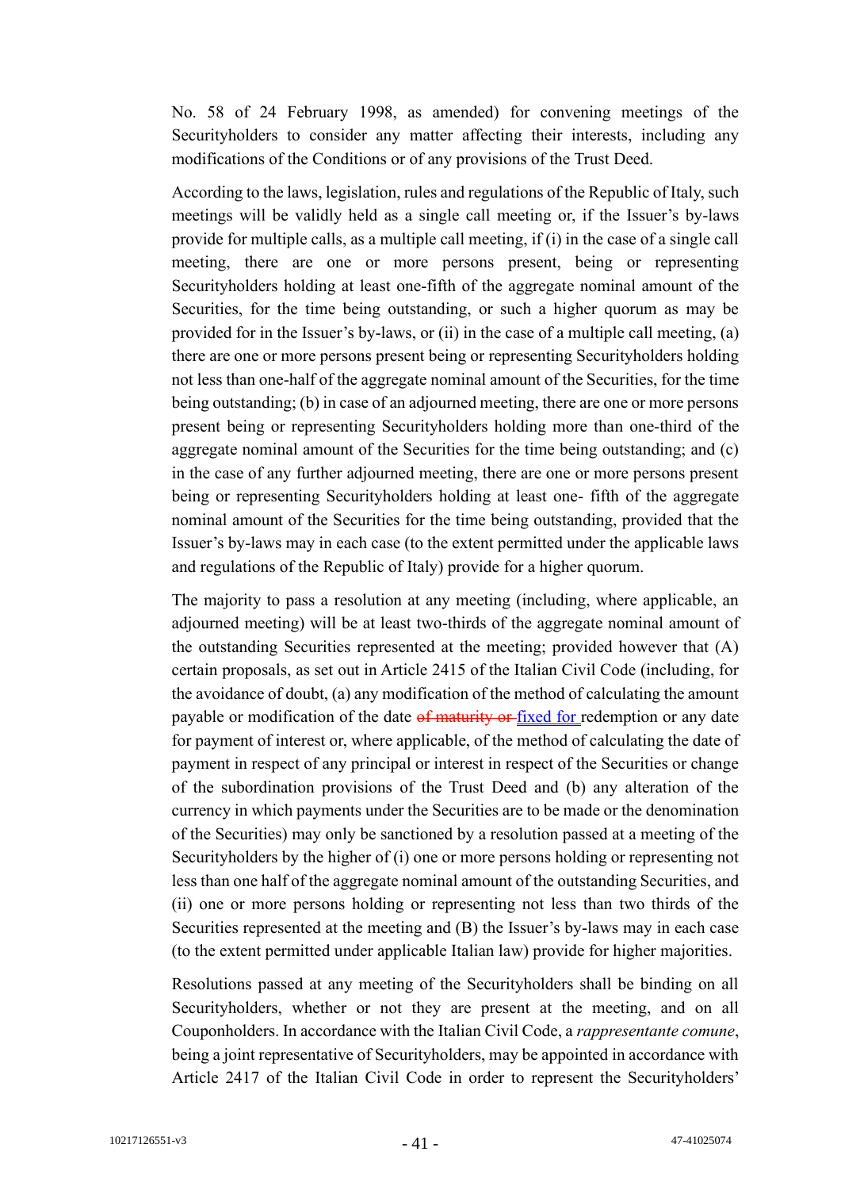No. 58 of 24 February 1998, as amended) for convening meetings of the Securityholders to consider any matter affecting their interests, including any modifications of the Conditions or of any provisions of the Trust Deed.

According to the laws, legislation, rules and regulations of the Republic of Italy, such meetings will be validly held as a single call meeting or, if the Issuer's by-laws provide for multiple calls, as a multiple call meeting, if (i) in the case of a single call meeting, there are one or more persons present, being or representing Securityholders holding at least one-fifth of the aggregate nominal amount of the Securities, for the time being outstanding, or such a higher quorum as may be provided for in the Issuer's by-laws, or (ii) in the case of a multiple call meeting, (a) there are one or more persons present being or representing Securityholders holding not less than one-half of the aggregate nominal amount of the Securities, for the time being outstanding; (b) in case of an adjourned meeting, there are one or more persons present being or representing Securityholders holding more than one-third of the aggregate nominal amount of the Securities for the time being outstanding; and (c) in the case of any further adjourned meeting, there are one or more persons present being or representing Securityholders holding at least one- fifth of the aggregate nominal amount of the Securities for the time being outstanding, provided that the Issuer's by-laws may in each case (to the extent permitted under the applicable laws and regulations of the Republic of Italy) provide for a higher quorum.

The majority to pass a resolution at any meeting (including, where applicable, an adjourned meeting) will be at least two-thirds of the aggregate nominal amount of the outstanding Securities represented at the meeting; provided however that (A) certain proposals, as set out in Article 2415 of the Italian Civil Code (including, for the avoidance of doubt, (a) any modification of the method of calculating the amount payable or modification of the date of maturity or fixed for redemption or any date for payment of interest or, where applicable, of the method of calculating the date of payment in respect of any principal or interest in respect of the Securities or change of the subordination provisions of the Trust Deed and (b) any alteration of the currency in which payments under the Securities are to be made or the denomination of the Securities) may only be sanctioned by a resolution passed at a meeting of the Securityholders by the higher of (i) one or more persons holding or representing not less than one half of the aggregate nominal amount of the outstanding Securities, and (ii) one or more persons holding or representing not less than two thirds of the Securities represented at the meeting and (B) the Issuer's by-laws may in each case (to the extent permitted under applicable Italian law) provide for higher majorities.

Resolutions passed at any meeting of the Securityholders shall be binding on all Securityholders, whether or not they are present at the meeting, and on all Couponholders. In accordance with the Italian Civil Code, a *rappresentante comune*, being a joint representative of Securityholders, may be appointed in accordance with Article 2417 of the Italian Civil Code in order to represent the Securityholders'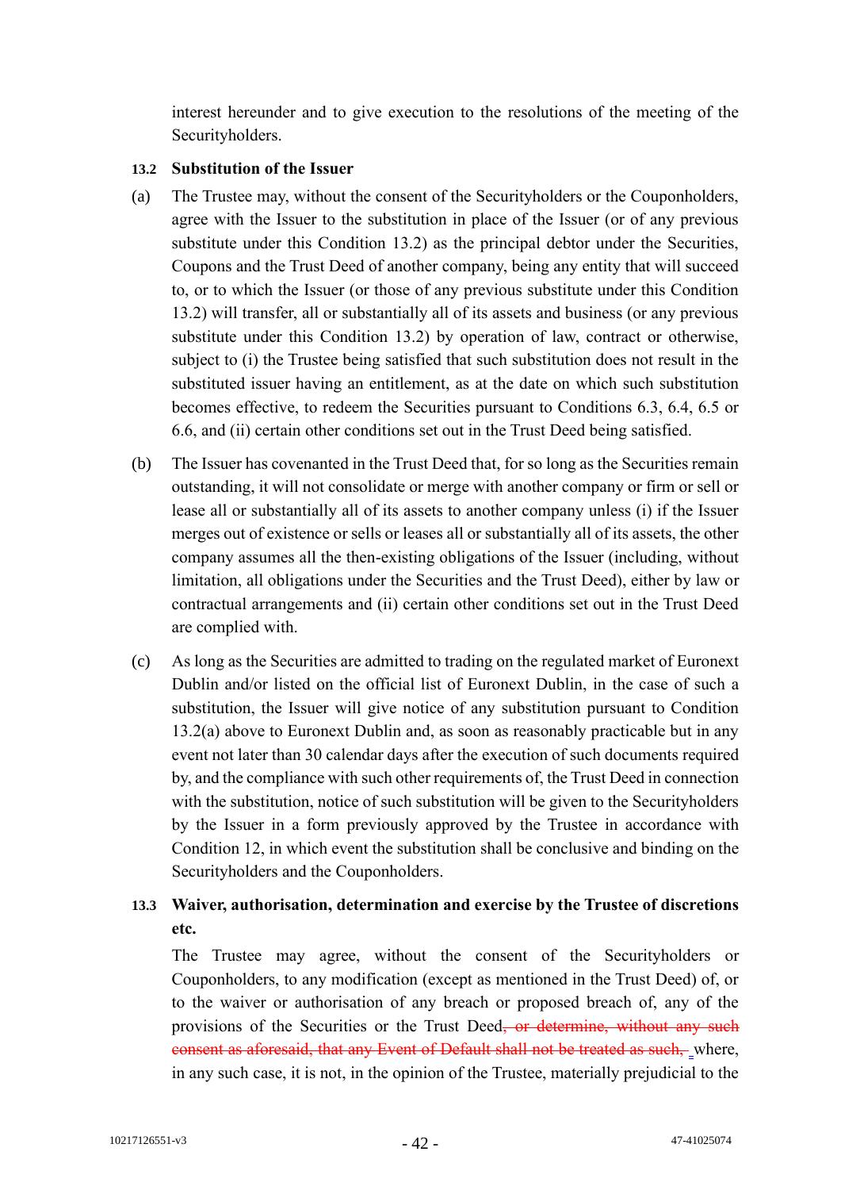interest hereunder and to give execution to the resolutions of the meeting of the Securityholders.

### **13.2 Substitution of the Issuer**

- (a) The Trustee may, without the consent of the Securityholders or the Couponholders, agree with the Issuer to the substitution in place of the Issuer (or of any previous substitute under this Condition 13.2) as the principal debtor under the Securities, Coupons and the Trust Deed of another company, being any entity that will succeed to, or to which the Issuer (or those of any previous substitute under this Condition 13.2) will transfer, all or substantially all of its assets and business (or any previous substitute under this Condition 13.2) by operation of law, contract or otherwise, subject to (i) the Trustee being satisfied that such substitution does not result in the substituted issuer having an entitlement, as at the date on which such substitution becomes effective, to redeem the Securities pursuant to Conditions 6.3, 6.4, 6.5 or 6.6, and (ii) certain other conditions set out in the Trust Deed being satisfied.
- (b) The Issuer has covenanted in the Trust Deed that, for so long as the Securities remain outstanding, it will not consolidate or merge with another company or firm or sell or lease all or substantially all of its assets to another company unless (i) if the Issuer merges out of existence or sells or leases all or substantially all of its assets, the other company assumes all the then-existing obligations of the Issuer (including, without limitation, all obligations under the Securities and the Trust Deed), either by law or contractual arrangements and (ii) certain other conditions set out in the Trust Deed are complied with.
- (c) As long as the Securities are admitted to trading on the regulated market of Euronext Dublin and/or listed on the official list of Euronext Dublin, in the case of such a substitution, the Issuer will give notice of any substitution pursuant to Condition 13.2(a) above to Euronext Dublin and, as soon as reasonably practicable but in any event not later than 30 calendar days after the execution of such documents required by, and the compliance with such other requirements of, the Trust Deed in connection with the substitution, notice of such substitution will be given to the Securityholders by the Issuer in a form previously approved by the Trustee in accordance with Condition 12, in which event the substitution shall be conclusive and binding on the Securityholders and the Couponholders.

# **13.3 Waiver, authorisation, determination and exercise by the Trustee of discretions etc.**

The Trustee may agree, without the consent of the Securityholders or Couponholders, to any modification (except as mentioned in the Trust Deed) of, or to the waiver or authorisation of any breach or proposed breach of, any of the provisions of the Securities or the Trust Deed<del>, or determine, without any such</del> consent as aforesaid, that any Event of Default shall not be treated as such, where, in any such case, it is not, in the opinion of the Trustee, materially prejudicial to the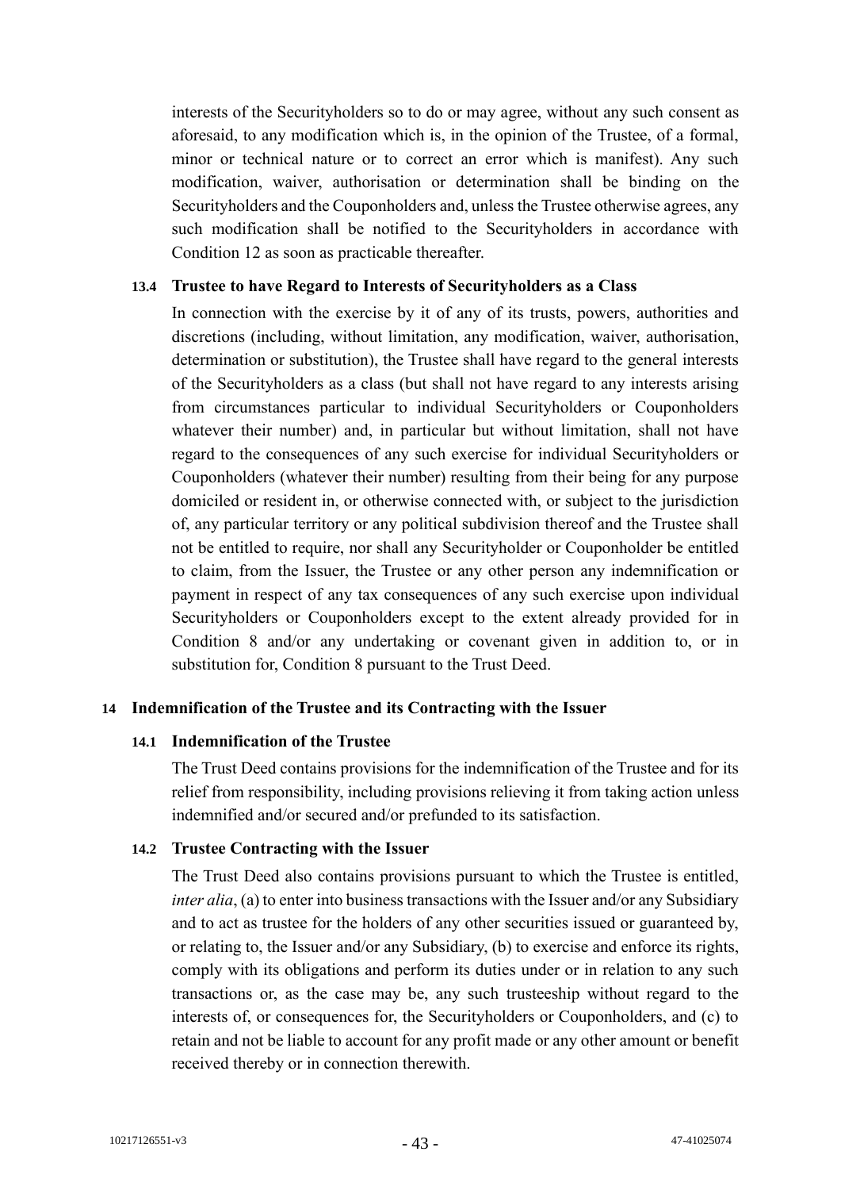interests of the Securityholders so to do or may agree, without any such consent as aforesaid, to any modification which is, in the opinion of the Trustee, of a formal, minor or technical nature or to correct an error which is manifest). Any such modification, waiver, authorisation or determination shall be binding on the Securityholders and the Couponholders and, unless the Trustee otherwise agrees, any such modification shall be notified to the Securityholders in accordance with Condition 12 as soon as practicable thereafter.

#### **13.4 Trustee to have Regard to Interests of Securityholders as a Class**

In connection with the exercise by it of any of its trusts, powers, authorities and discretions (including, without limitation, any modification, waiver, authorisation, determination or substitution), the Trustee shall have regard to the general interests of the Securityholders as a class (but shall not have regard to any interests arising from circumstances particular to individual Securityholders or Couponholders whatever their number) and, in particular but without limitation, shall not have regard to the consequences of any such exercise for individual Securityholders or Couponholders (whatever their number) resulting from their being for any purpose domiciled or resident in, or otherwise connected with, or subject to the jurisdiction of, any particular territory or any political subdivision thereof and the Trustee shall not be entitled to require, nor shall any Securityholder or Couponholder be entitled to claim, from the Issuer, the Trustee or any other person any indemnification or payment in respect of any tax consequences of any such exercise upon individual Securityholders or Couponholders except to the extent already provided for in Condition 8 and/or any undertaking or covenant given in addition to, or in substitution for, Condition 8 pursuant to the Trust Deed.

#### **14 Indemnification of the Trustee and its Contracting with the Issuer**

#### **14.1 Indemnification of the Trustee**

The Trust Deed contains provisions for the indemnification of the Trustee and for its relief from responsibility, including provisions relieving it from taking action unless indemnified and/or secured and/or prefunded to its satisfaction.

#### **14.2 Trustee Contracting with the Issuer**

The Trust Deed also contains provisions pursuant to which the Trustee is entitled, *inter alia*, (a) to enter into business transactions with the Issuer and/or any Subsidiary and to act as trustee for the holders of any other securities issued or guaranteed by, or relating to, the Issuer and/or any Subsidiary, (b) to exercise and enforce its rights, comply with its obligations and perform its duties under or in relation to any such transactions or, as the case may be, any such trusteeship without regard to the interests of, or consequences for, the Securityholders or Couponholders, and (c) to retain and not be liable to account for any profit made or any other amount or benefit received thereby or in connection therewith.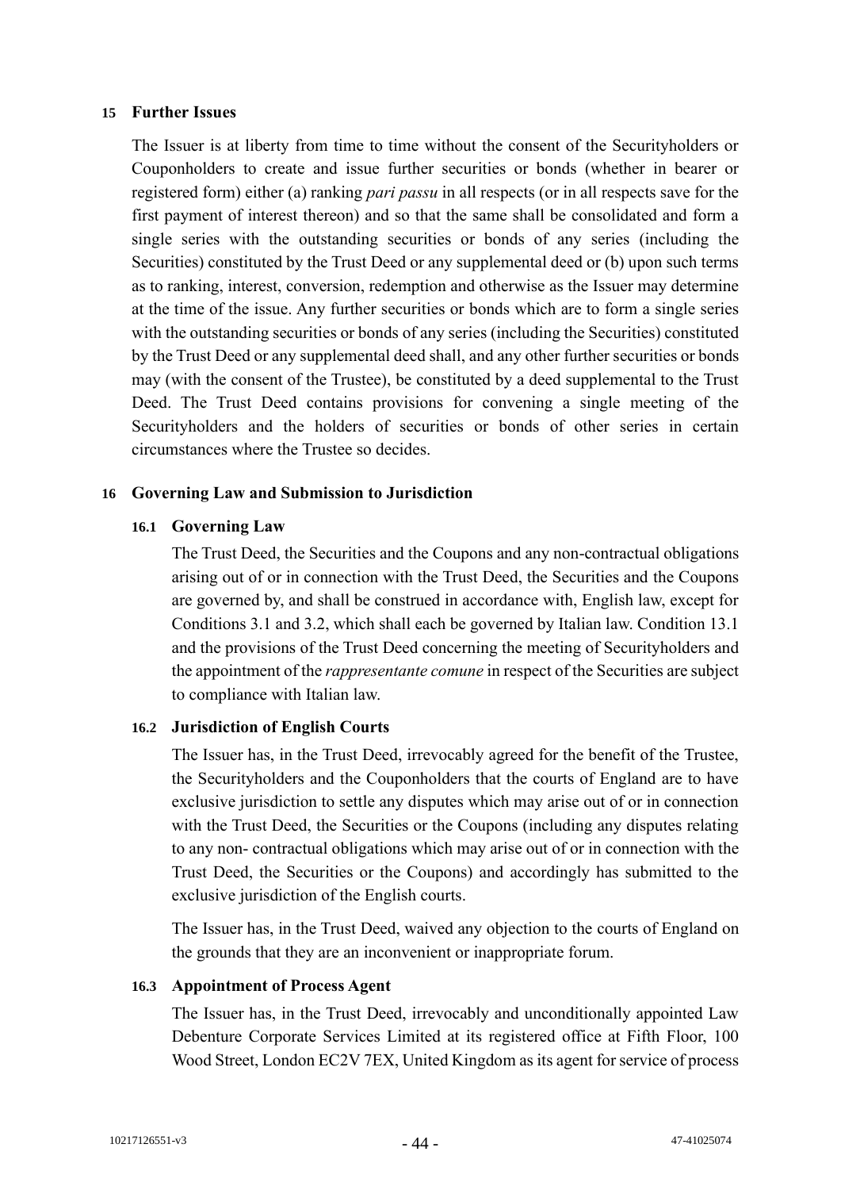#### **15 Further Issues**

The Issuer is at liberty from time to time without the consent of the Securityholders or Couponholders to create and issue further securities or bonds (whether in bearer or registered form) either (a) ranking *pari passu* in all respects (or in all respects save for the first payment of interest thereon) and so that the same shall be consolidated and form a single series with the outstanding securities or bonds of any series (including the Securities) constituted by the Trust Deed or any supplemental deed or (b) upon such terms as to ranking, interest, conversion, redemption and otherwise as the Issuer may determine at the time of the issue. Any further securities or bonds which are to form a single series with the outstanding securities or bonds of any series (including the Securities) constituted by the Trust Deed or any supplemental deed shall, and any other further securities or bonds may (with the consent of the Trustee), be constituted by a deed supplemental to the Trust Deed. The Trust Deed contains provisions for convening a single meeting of the Securityholders and the holders of securities or bonds of other series in certain circumstances where the Trustee so decides.

#### **16 Governing Law and Submission to Jurisdiction**

#### **16.1 Governing Law**

The Trust Deed, the Securities and the Coupons and any non-contractual obligations arising out of or in connection with the Trust Deed, the Securities and the Coupons are governed by, and shall be construed in accordance with, English law, except for Conditions 3.1 and 3.2, which shall each be governed by Italian law. Condition 13.1 and the provisions of the Trust Deed concerning the meeting of Securityholders and the appointment of the *rappresentante comune* in respect of the Securities are subject to compliance with Italian law.

#### **16.2 Jurisdiction of English Courts**

The Issuer has, in the Trust Deed, irrevocably agreed for the benefit of the Trustee, the Securityholders and the Couponholders that the courts of England are to have exclusive jurisdiction to settle any disputes which may arise out of or in connection with the Trust Deed, the Securities or the Coupons (including any disputes relating to any non- contractual obligations which may arise out of or in connection with the Trust Deed, the Securities or the Coupons) and accordingly has submitted to the exclusive jurisdiction of the English courts.

The Issuer has, in the Trust Deed, waived any objection to the courts of England on the grounds that they are an inconvenient or inappropriate forum.

#### **16.3 Appointment of Process Agent**

The Issuer has, in the Trust Deed, irrevocably and unconditionally appointed Law Debenture Corporate Services Limited at its registered office at Fifth Floor, 100 Wood Street, London EC2V 7EX, United Kingdom as its agent for service of process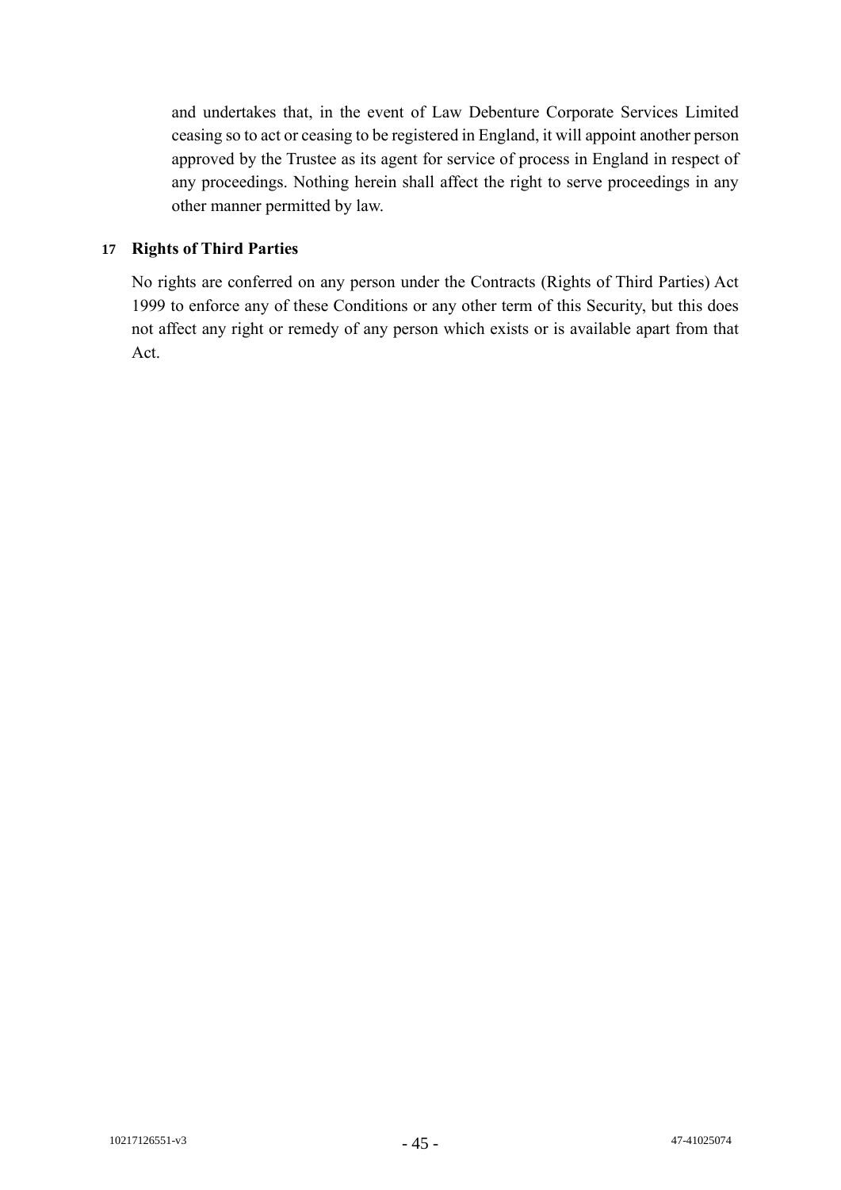and undertakes that, in the event of Law Debenture Corporate Services Limited ceasing so to act or ceasing to be registered in England, it will appoint another person approved by the Trustee as its agent for service of process in England in respect of any proceedings. Nothing herein shall affect the right to serve proceedings in any other manner permitted by law.

# **17 Rights of Third Parties**

No rights are conferred on any person under the Contracts (Rights of Third Parties) Act 1999 to enforce any of these Conditions or any other term of this Security, but this does not affect any right or remedy of any person which exists or is available apart from that Act.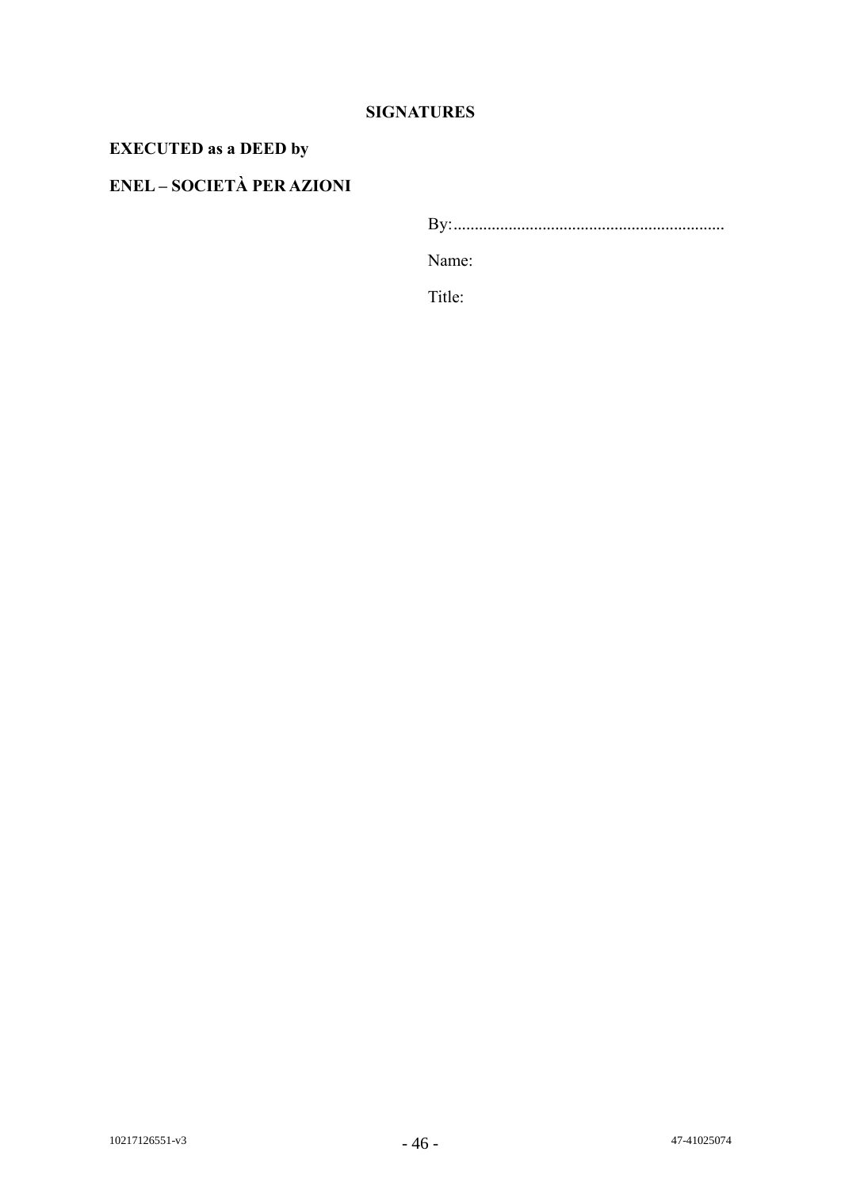# **SIGNATURES**

# **EXECUTED as a DEED by**

# **ENEL – SOCIETÀ PER AZIONI**

By:................................................................

Name:

Title: